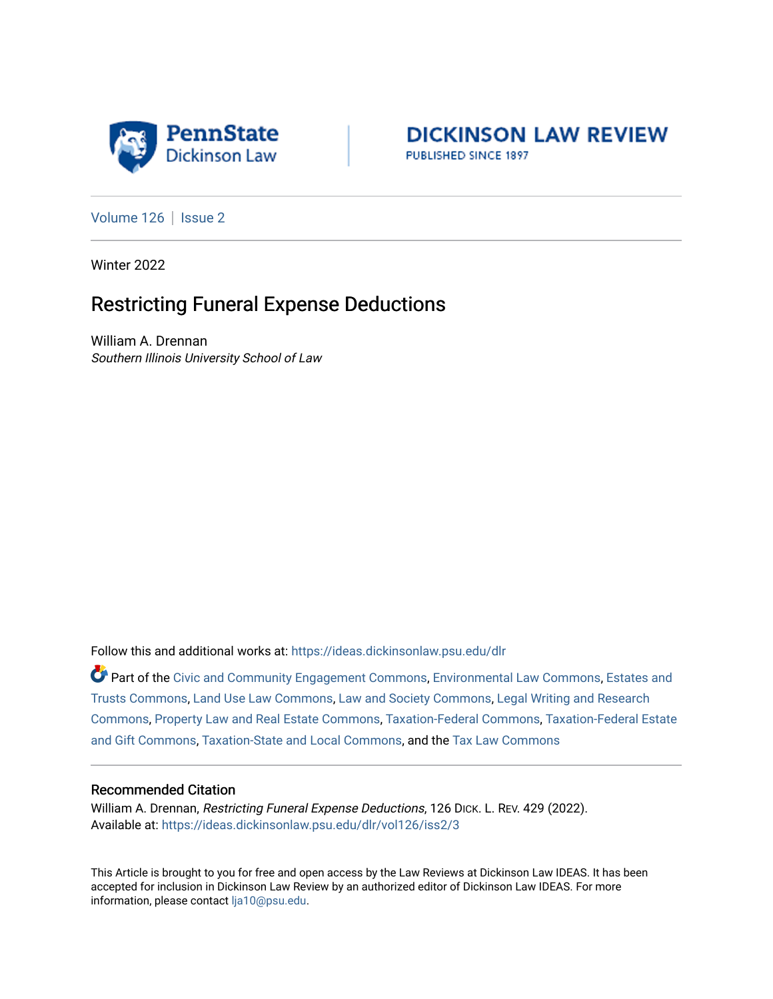



[Volume 126](https://ideas.dickinsonlaw.psu.edu/dlr/vol126) | [Issue 2](https://ideas.dickinsonlaw.psu.edu/dlr/vol126/iss2)

Winter 2022

# Restricting Funeral Expense Deductions

William A. Drennan Southern Illinois University School of Law

Follow this and additional works at: [https://ideas.dickinsonlaw.psu.edu/dlr](https://ideas.dickinsonlaw.psu.edu/dlr?utm_source=ideas.dickinsonlaw.psu.edu%2Fdlr%2Fvol126%2Fiss2%2F3&utm_medium=PDF&utm_campaign=PDFCoverPages) 

Part of the [Civic and Community Engagement Commons](http://network.bepress.com/hgg/discipline/1028?utm_source=ideas.dickinsonlaw.psu.edu%2Fdlr%2Fvol126%2Fiss2%2F3&utm_medium=PDF&utm_campaign=PDFCoverPages), [Environmental Law Commons](http://network.bepress.com/hgg/discipline/599?utm_source=ideas.dickinsonlaw.psu.edu%2Fdlr%2Fvol126%2Fiss2%2F3&utm_medium=PDF&utm_campaign=PDFCoverPages), Estates and [Trusts Commons,](http://network.bepress.com/hgg/discipline/906?utm_source=ideas.dickinsonlaw.psu.edu%2Fdlr%2Fvol126%2Fiss2%2F3&utm_medium=PDF&utm_campaign=PDFCoverPages) [Land Use Law Commons,](http://network.bepress.com/hgg/discipline/852?utm_source=ideas.dickinsonlaw.psu.edu%2Fdlr%2Fvol126%2Fiss2%2F3&utm_medium=PDF&utm_campaign=PDFCoverPages) [Law and Society Commons](http://network.bepress.com/hgg/discipline/853?utm_source=ideas.dickinsonlaw.psu.edu%2Fdlr%2Fvol126%2Fiss2%2F3&utm_medium=PDF&utm_campaign=PDFCoverPages), [Legal Writing and Research](http://network.bepress.com/hgg/discipline/614?utm_source=ideas.dickinsonlaw.psu.edu%2Fdlr%2Fvol126%2Fiss2%2F3&utm_medium=PDF&utm_campaign=PDFCoverPages)  [Commons](http://network.bepress.com/hgg/discipline/614?utm_source=ideas.dickinsonlaw.psu.edu%2Fdlr%2Fvol126%2Fiss2%2F3&utm_medium=PDF&utm_campaign=PDFCoverPages), [Property Law and Real Estate Commons](http://network.bepress.com/hgg/discipline/897?utm_source=ideas.dickinsonlaw.psu.edu%2Fdlr%2Fvol126%2Fiss2%2F3&utm_medium=PDF&utm_campaign=PDFCoverPages), [Taxation-Federal Commons,](http://network.bepress.com/hgg/discipline/881?utm_source=ideas.dickinsonlaw.psu.edu%2Fdlr%2Fvol126%2Fiss2%2F3&utm_medium=PDF&utm_campaign=PDFCoverPages) [Taxation-Federal Estate](http://network.bepress.com/hgg/discipline/880?utm_source=ideas.dickinsonlaw.psu.edu%2Fdlr%2Fvol126%2Fiss2%2F3&utm_medium=PDF&utm_campaign=PDFCoverPages)  [and Gift Commons,](http://network.bepress.com/hgg/discipline/880?utm_source=ideas.dickinsonlaw.psu.edu%2Fdlr%2Fvol126%2Fiss2%2F3&utm_medium=PDF&utm_campaign=PDFCoverPages) [Taxation-State and Local Commons,](http://network.bepress.com/hgg/discipline/882?utm_source=ideas.dickinsonlaw.psu.edu%2Fdlr%2Fvol126%2Fiss2%2F3&utm_medium=PDF&utm_campaign=PDFCoverPages) and the [Tax Law Commons](http://network.bepress.com/hgg/discipline/898?utm_source=ideas.dickinsonlaw.psu.edu%2Fdlr%2Fvol126%2Fiss2%2F3&utm_medium=PDF&utm_campaign=PDFCoverPages) 

# Recommended Citation

William A. Drennan, Restricting Funeral Expense Deductions, 126 DICK. L. REV. 429 (2022). Available at: [https://ideas.dickinsonlaw.psu.edu/dlr/vol126/iss2/3](https://ideas.dickinsonlaw.psu.edu/dlr/vol126/iss2/3?utm_source=ideas.dickinsonlaw.psu.edu%2Fdlr%2Fvol126%2Fiss2%2F3&utm_medium=PDF&utm_campaign=PDFCoverPages)

This Article is brought to you for free and open access by the Law Reviews at Dickinson Law IDEAS. It has been accepted for inclusion in Dickinson Law Review by an authorized editor of Dickinson Law IDEAS. For more information, please contact [lja10@psu.edu.](mailto:lja10@psu.edu)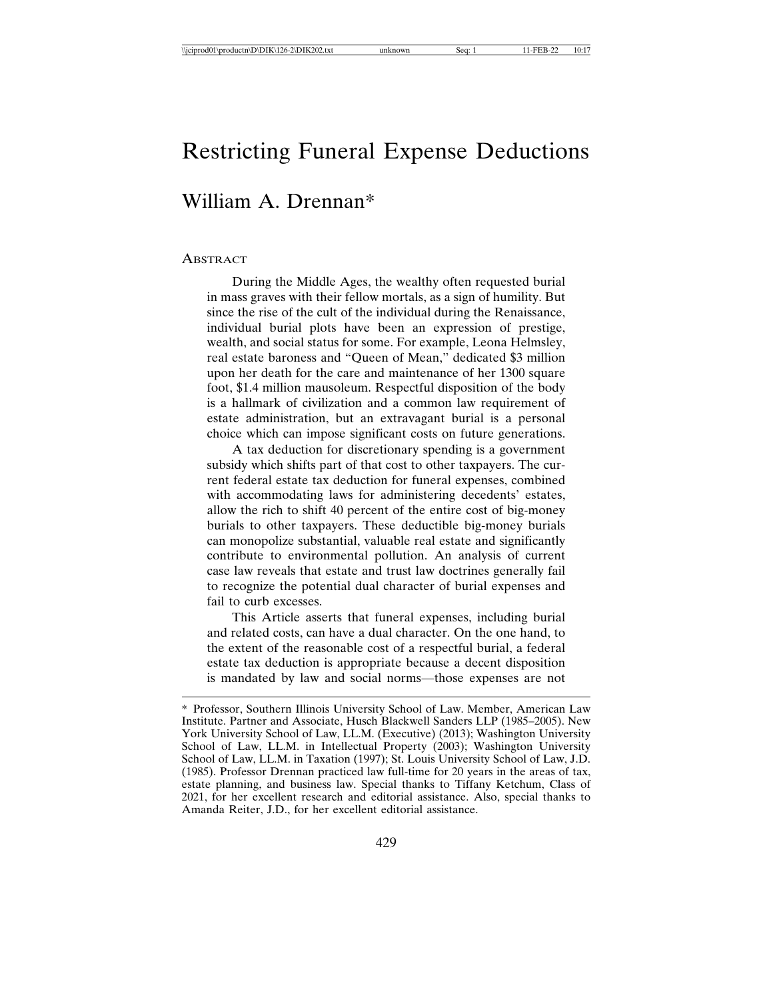# Restricting Funeral Expense Deductions

# William A. Drennan\*

#### **ABSTRACT**

During the Middle Ages, the wealthy often requested burial in mass graves with their fellow mortals, as a sign of humility. But since the rise of the cult of the individual during the Renaissance, individual burial plots have been an expression of prestige, wealth, and social status for some. For example, Leona Helmsley, real estate baroness and "Queen of Mean," dedicated \$3 million upon her death for the care and maintenance of her 1300 square foot, \$1.4 million mausoleum. Respectful disposition of the body is a hallmark of civilization and a common law requirement of estate administration, but an extravagant burial is a personal choice which can impose significant costs on future generations.

A tax deduction for discretionary spending is a government subsidy which shifts part of that cost to other taxpayers. The current federal estate tax deduction for funeral expenses, combined with accommodating laws for administering decedents' estates, allow the rich to shift 40 percent of the entire cost of big-money burials to other taxpayers. These deductible big-money burials can monopolize substantial, valuable real estate and significantly contribute to environmental pollution. An analysis of current case law reveals that estate and trust law doctrines generally fail to recognize the potential dual character of burial expenses and fail to curb excesses.

This Article asserts that funeral expenses, including burial and related costs, can have a dual character. On the one hand, to the extent of the reasonable cost of a respectful burial, a federal estate tax deduction is appropriate because a decent disposition is mandated by law and social norms—those expenses are not

<sup>\*</sup> Professor, Southern Illinois University School of Law. Member, American Law Institute. Partner and Associate, Husch Blackwell Sanders LLP (1985–2005). New York University School of Law, LL.M. (Executive) (2013); Washington University School of Law, LL.M. in Intellectual Property (2003); Washington University School of Law, LL.M. in Taxation (1997); St. Louis University School of Law, J.D. (1985). Professor Drennan practiced law full-time for 20 years in the areas of tax, estate planning, and business law. Special thanks to Tiffany Ketchum, Class of 2021, for her excellent research and editorial assistance. Also, special thanks to Amanda Reiter, J.D., for her excellent editorial assistance.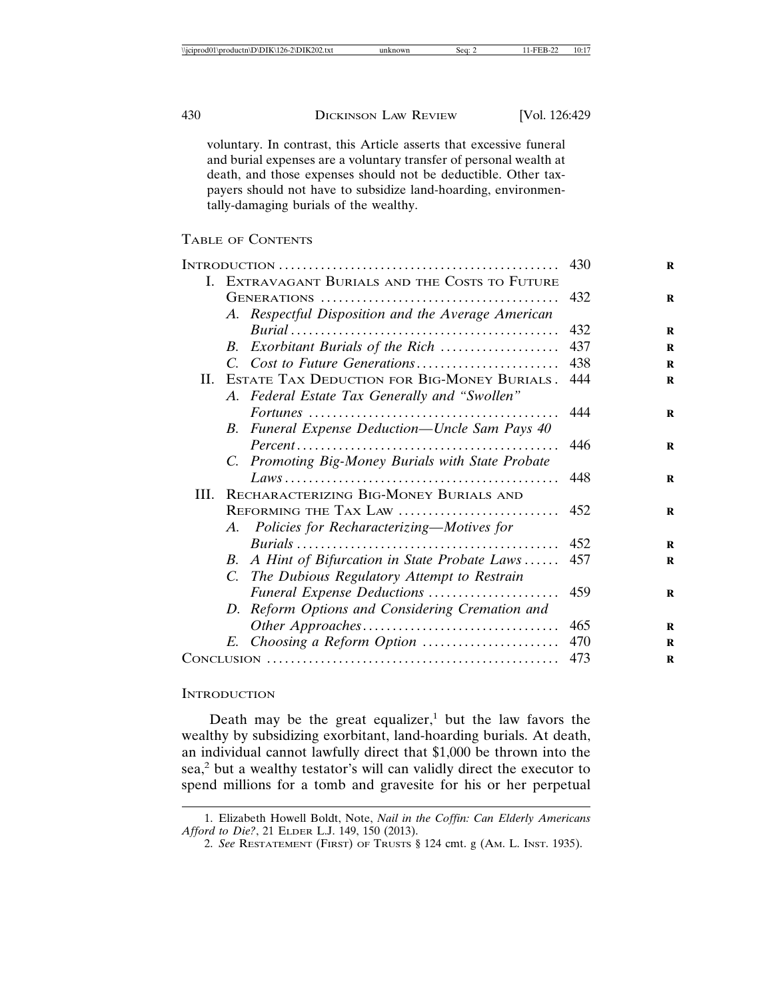voluntary. In contrast, this Article asserts that excessive funeral and burial expenses are a voluntary transfer of personal wealth at death, and those expenses should not be deductible. Other taxpayers should not have to subsidize land-hoarding, environmentally-damaging burials of the wealthy.

#### TABLE OF CONTENTS

|                                                                                                                              |                                                                                                     | 430 |
|------------------------------------------------------------------------------------------------------------------------------|-----------------------------------------------------------------------------------------------------|-----|
|                                                                                                                              | I. EXTRAVAGANT BURIALS AND THE COSTS TO FUTURE                                                      |     |
|                                                                                                                              |                                                                                                     | 432 |
|                                                                                                                              | A. Respectful Disposition and the Average American                                                  |     |
|                                                                                                                              |                                                                                                     | 432 |
|                                                                                                                              | B. Exorbitant Burials of the Rich                                                                   | 437 |
|                                                                                                                              |                                                                                                     | 438 |
|                                                                                                                              | II. ESTATE TAX DEDUCTION FOR BIG-MONEY BURIALS.                                                     | 444 |
|                                                                                                                              | A. Federal Estate Tax Generally and "Swollen"                                                       |     |
|                                                                                                                              |                                                                                                     | 444 |
|                                                                                                                              | Funeral Expense Deduction-Uncle Sam Pays 40<br>В.                                                   |     |
|                                                                                                                              | $Percent \dots \dots \dots \dots \dots \dots \dots \dots \dots \dots \dots \dots \dots \dots \dots$ | 446 |
|                                                                                                                              | C. Promoting Big-Money Burials with State Probate                                                   |     |
|                                                                                                                              |                                                                                                     | 448 |
| HI.                                                                                                                          | RECHARACTERIZING BIG-MONEY BURIALS AND                                                              |     |
|                                                                                                                              | REFORMING THE TAX LAW                                                                               | 452 |
|                                                                                                                              | Policies for Recharacterizing—Motives for<br>A.                                                     |     |
|                                                                                                                              |                                                                                                     | 452 |
|                                                                                                                              | A Hint of Bifurcation in State Probate Laws<br>В.                                                   | 457 |
|                                                                                                                              | C. The Dubious Regulatory Attempt to Restrain                                                       |     |
|                                                                                                                              | Funeral Expense Deductions                                                                          | 459 |
|                                                                                                                              | D. Reform Options and Considering Cremation and                                                     |     |
|                                                                                                                              |                                                                                                     | 465 |
|                                                                                                                              | E. Choosing a Reform Option                                                                         | 470 |
| $Conv]$ $\ldots$ $\ldots$ $\ldots$ $\ldots$ $\ldots$ $\ldots$ $\ldots$ $\ldots$ $\ldots$ $\ldots$ $\ldots$ $\ldots$ $\ldots$ |                                                                                                     | 473 |
|                                                                                                                              |                                                                                                     |     |

#### **INTRODUCTION**

Death may be the great equalizer,<sup>1</sup> but the law favors the wealthy by subsidizing exorbitant, land-hoarding burials. At death, an individual cannot lawfully direct that \$1,000 be thrown into the sea,<sup>2</sup> but a wealthy testator's will can validly direct the executor to spend millions for a tomb and gravesite for his or her perpetual

<sup>1.</sup> Elizabeth Howell Boldt, Note, *Nail in the Coffin: Can Elderly Americans Afford to Die?*, 21 ELDER L.J. 149, 150 (2013).

<sup>2.</sup> *See* RESTATEMENT (FIRST) OF TRUSTS § 124 cmt. g (AM. L. INST. 1935).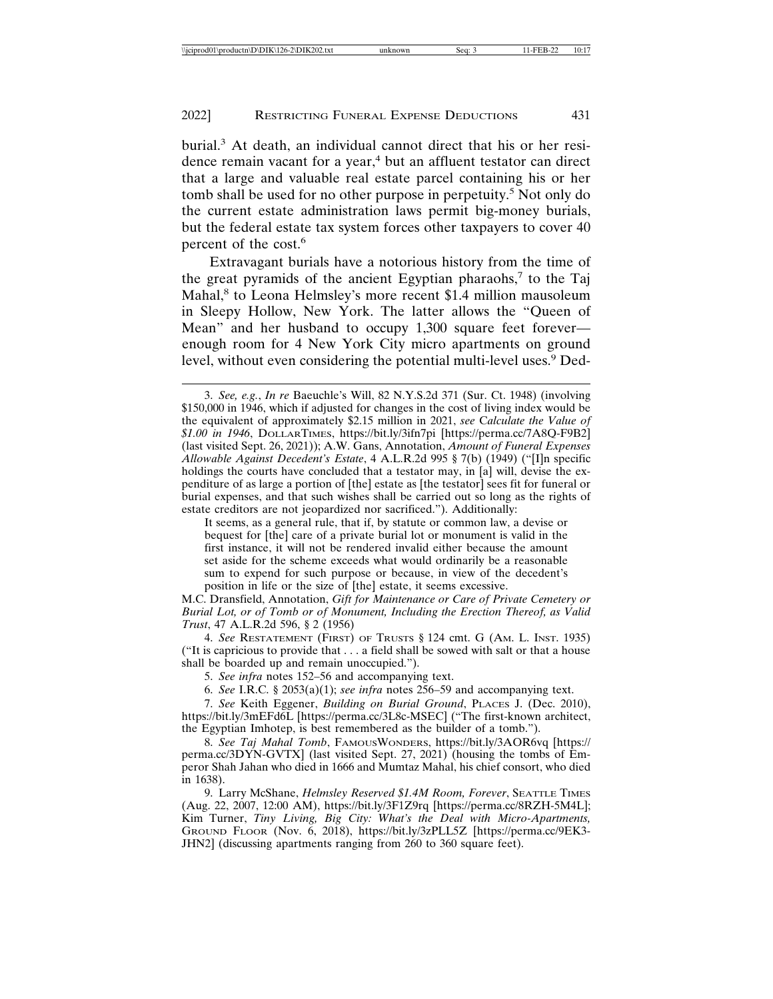burial.<sup>3</sup> At death, an individual cannot direct that his or her residence remain vacant for a year,<sup>4</sup> but an affluent testator can direct that a large and valuable real estate parcel containing his or her tomb shall be used for no other purpose in perpetuity.<sup>5</sup> Not only do the current estate administration laws permit big-money burials, but the federal estate tax system forces other taxpayers to cover 40 percent of the cost.6

Extravagant burials have a notorious history from the time of the great pyramids of the ancient Egyptian pharaohs,<sup>7</sup> to the Taj Mahal,<sup>8</sup> to Leona Helmsley's more recent \$1.4 million mausoleum in Sleepy Hollow, New York. The latter allows the "Queen of Mean" and her husband to occupy 1,300 square feet forever enough room for 4 New York City micro apartments on ground level, without even considering the potential multi-level uses.<sup>9</sup> Ded-

It seems, as a general rule, that if, by statute or common law, a devise or bequest for [the] care of a private burial lot or monument is valid in the first instance, it will not be rendered invalid either because the amount set aside for the scheme exceeds what would ordinarily be a reasonable sum to expend for such purpose or because, in view of the decedent's position in life or the size of [the] estate, it seems excessive.

M.C. Dransfield, Annotation, *Gift for Maintenance or Care of Private Cemetery or Burial Lot, or of Tomb or of Monument, Including the Erection Thereof, as Valid Trust*, 47 A.L.R.2d 596, § 2 (1956)

4. *See* RESTATEMENT (FIRST) OF TRUSTS § 124 cmt. G (AM. L. INST. 1935) ("It is capricious to provide that . . . a field shall be sowed with salt or that a house shall be boarded up and remain unoccupied.").

5. *See infra* notes 152–56 and accompanying text.

6. *See* I.R.C. § 2053(a)(1); *see infra* notes 256–59 and accompanying text.

7. *See* Keith Eggener, *Building on Burial Ground*, PLACES J. (Dec. 2010), https://bit.ly/3mEFd6L [https://perma.cc/3L8c-MSEC] ("The first-known architect, the Egyptian Imhotep, is best remembered as the builder of a tomb.").

8. *See Taj Mahal Tomb*, FAMOUSWONDERS, https://bit.ly/3AOR6vq [https:// perma.cc/3DYN-GVTX] (last visited Sept. 27, 2021) (housing the tombs of Emperor Shah Jahan who died in 1666 and Mumtaz Mahal, his chief consort, who died in 1638).

9. Larry McShane, *Helmsley Reserved \$1.4M Room, Forever*, SEATTLE TIMES (Aug. 22, 2007, 12:00 AM), https://bit.ly/3F1Z9rq [https://perma.cc/8RZH-5M4L]; Kim Turner, *Tiny Living, Big City: What's the Deal with Micro-Apartments,* GROUND FLOOR (Nov. 6, 2018), https://bit.ly/3zPLL5Z [https://perma.cc/9EK3- JHN2] (discussing apartments ranging from 260 to 360 square feet).

<sup>3.</sup> *See, e.g.*, *In re* Baeuchle's Will, 82 N.Y.S.2d 371 (Sur. Ct. 1948) (involving \$150,000 in 1946, which if adjusted for changes in the cost of living index would be the equivalent of approximately \$2.15 million in 2021, *see* C*alculate the Value of \$1.00 in 1946*, DOLLARTIMES, https://bit.ly/3ifn7pi [https://perma.cc/7A8Q-F9B2] (last visited Sept. 26, 2021)); A.W. Gans, Annotation, *Amount of Funeral Expenses Allowable Against Decedent's Estate*, 4 A.L.R.2d 995 § 7(b) (1949) ("[I]n specific holdings the courts have concluded that a testator may, in [a] will, devise the expenditure of as large a portion of [the] estate as [the testator] sees fit for funeral or burial expenses, and that such wishes shall be carried out so long as the rights of estate creditors are not jeopardized nor sacrificed."). Additionally: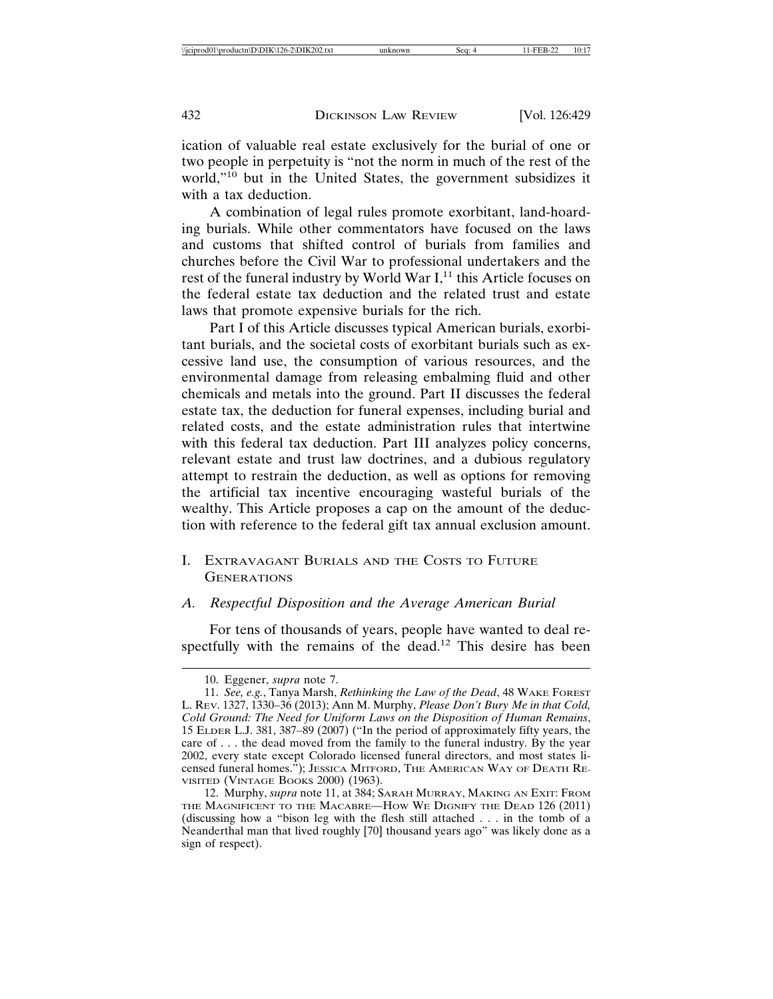ication of valuable real estate exclusively for the burial of one or two people in perpetuity is "not the norm in much of the rest of the world,"<sup>10</sup> but in the United States, the government subsidizes it with a tax deduction.

A combination of legal rules promote exorbitant, land-hoarding burials. While other commentators have focused on the laws and customs that shifted control of burials from families and churches before the Civil War to professional undertakers and the rest of the funeral industry by World War I,<sup>11</sup> this Article focuses on the federal estate tax deduction and the related trust and estate laws that promote expensive burials for the rich.

Part I of this Article discusses typical American burials, exorbitant burials, and the societal costs of exorbitant burials such as excessive land use, the consumption of various resources, and the environmental damage from releasing embalming fluid and other chemicals and metals into the ground. Part II discusses the federal estate tax, the deduction for funeral expenses, including burial and related costs, and the estate administration rules that intertwine with this federal tax deduction. Part III analyzes policy concerns, relevant estate and trust law doctrines, and a dubious regulatory attempt to restrain the deduction, as well as options for removing the artificial tax incentive encouraging wasteful burials of the wealthy. This Article proposes a cap on the amount of the deduction with reference to the federal gift tax annual exclusion amount.

I. EXTRAVAGANT BURIALS AND THE COSTS TO FUTURE **GENERATIONS** 

#### *A. Respectful Disposition and the Average American Burial*

For tens of thousands of years, people have wanted to deal respectfully with the remains of the dead.12 This desire has been

<sup>10.</sup> Eggener, *supra* note 7.

<sup>11.</sup> *See, e.g.*, Tanya Marsh, *Rethinking the Law of the Dead*, 48 WAKE FOREST L. REV. 1327, 1330–36 (2013); Ann M. Murphy, *Please Don't Bury Me in that Cold, Cold Ground: The Need for Uniform Laws on the Disposition of Human Remains*, 15 ELDER L.J. 381, 387–89 (2007) ("In the period of approximately fifty years, the care of . . . the dead moved from the family to the funeral industry. By the year 2002, every state except Colorado licensed funeral directors, and most states licensed funeral homes."); JESSICA MITFORD, THE AMERICAN WAY OF DEATH RE-VISITED (VINTAGE BOOKS 2000) (1963).

<sup>12.</sup> Murphy, *supra* note 11, at 384; SARAH MURRAY, MAKING AN EXIT: FROM THE MAGNIFICENT TO THE MACABRE—HOW WE DIGNIFY THE DEAD 126 (2011) (discussing how a "bison leg with the flesh still attached . . . in the tomb of a Neanderthal man that lived roughly [70] thousand years ago" was likely done as a sign of respect).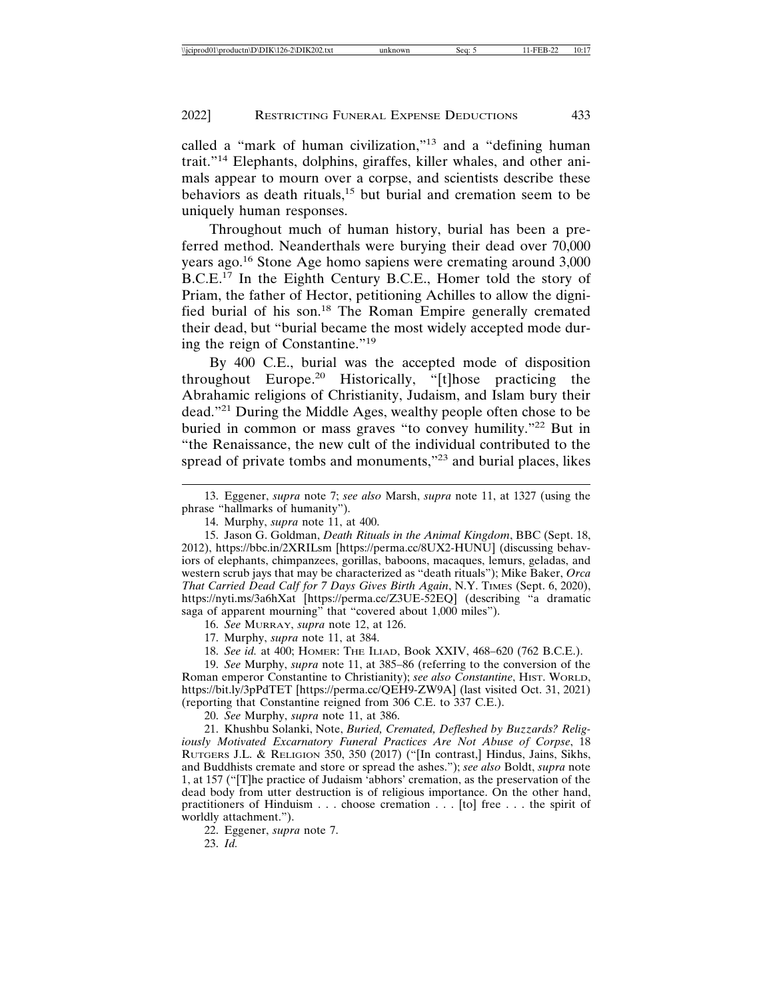called a "mark of human civilization,"13 and a "defining human trait."14 Elephants, dolphins, giraffes, killer whales, and other animals appear to mourn over a corpse, and scientists describe these behaviors as death rituals,<sup>15</sup> but burial and cremation seem to be uniquely human responses.

Throughout much of human history, burial has been a preferred method. Neanderthals were burying their dead over 70,000 years ago.16 Stone Age homo sapiens were cremating around 3,000  $B.C.E.<sup>17</sup>$  In the Eighth Century B.C.E., Homer told the story of Priam, the father of Hector, petitioning Achilles to allow the dignified burial of his son.18 The Roman Empire generally cremated their dead, but "burial became the most widely accepted mode during the reign of Constantine."<sup>19</sup>

By 400 C.E., burial was the accepted mode of disposition throughout Europe.20 Historically, "[t]hose practicing the Abrahamic religions of Christianity, Judaism, and Islam bury their dead."21 During the Middle Ages, wealthy people often chose to be buried in common or mass graves "to convey humility."<sup>22</sup> But in "the Renaissance, the new cult of the individual contributed to the spread of private tombs and monuments,"23 and burial places, likes

15. Jason G. Goldman, *Death Rituals in the Animal Kingdom*, BBC (Sept. 18, 2012), https://bbc.in/2XRILsm [https://perma.cc/8UX2-HUNU] (discussing behaviors of elephants, chimpanzees, gorillas, baboons, macaques, lemurs, geladas, and western scrub jays that may be characterized as "death rituals"); Mike Baker, *Orca That Carried Dead Calf for 7 Days Gives Birth Again*, N.Y. TIMES (Sept. 6, 2020), https://nyti.ms/3a6hXat [https://perma.cc/Z3UE-52EQ] (describing "a dramatic saga of apparent mourning" that "covered about 1,000 miles").

16. *See* MURRAY, *supra* note 12, at 126.

17. Murphy, *supra* note 11, at 384.

18. *See id.* at 400; HOMER: THE ILIAD, Book XXIV, 468–620 (762 B.C.E.).

19. *See* Murphy, *supra* note 11, at 385–86 (referring to the conversion of the Roman emperor Constantine to Christianity); *see also Constantine*, HIST. WORLD, https://bit.ly/3pPdTET [https://perma.cc/QEH9-ZW9A] (last visited Oct. 31, 2021) (reporting that Constantine reigned from 306 C.E. to 337 C.E.).

20. *See* Murphy, *supra* note 11, at 386.

21. Khushbu Solanki, Note, *Buried, Cremated, Defleshed by Buzzards? Religiously Motivated Excarnatory Funeral Practices Are Not Abuse of Corpse*, 18 RUTGERS J.L. & RELIGION 350, 350 (2017) ("[In contrast,] Hindus, Jains, Sikhs, and Buddhists cremate and store or spread the ashes."); *see also* Boldt, *supra* note 1, at 157 ("[T]he practice of Judaism 'abhors' cremation, as the preservation of the dead body from utter destruction is of religious importance. On the other hand, practitioners of Hinduism . . . choose cremation . . . [to] free . . . the spirit of worldly attachment.").

22. Eggener, *supra* note 7.

23. *Id.*

<sup>13.</sup> Eggener, *supra* note 7; *see also* Marsh, *supra* note 11, at 1327 (using the phrase "hallmarks of humanity").

<sup>14.</sup> Murphy, *supra* note 11, at 400.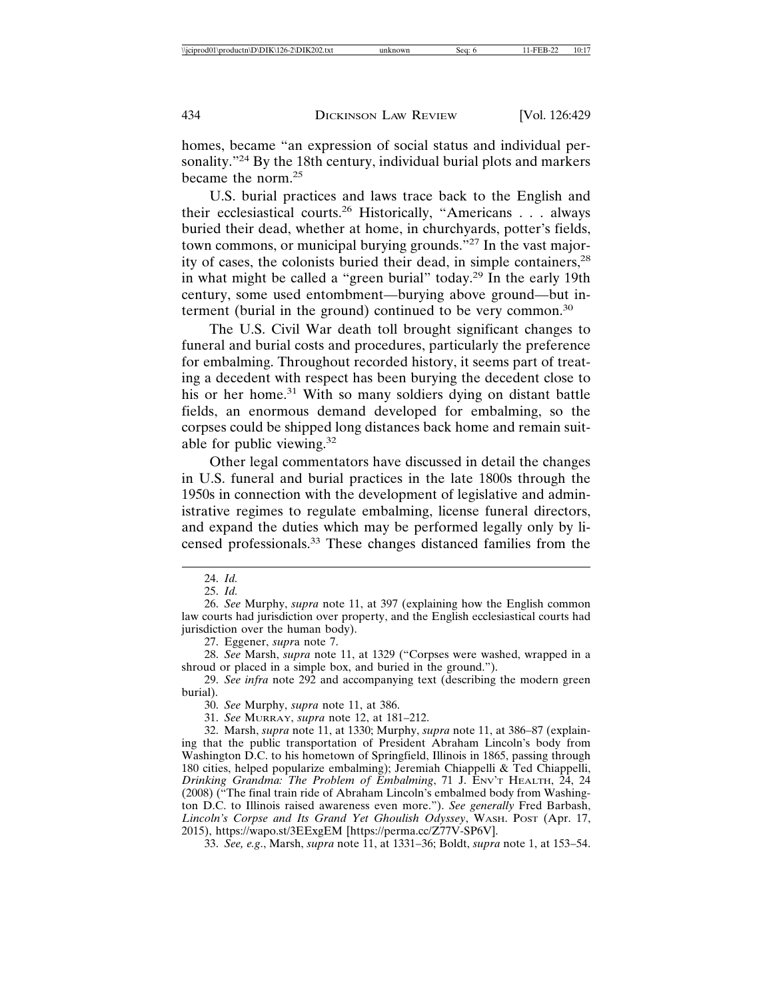homes, became "an expression of social status and individual personality."<sup>24</sup> By the 18th century, individual burial plots and markers became the norm.<sup>25</sup>

U.S. burial practices and laws trace back to the English and their ecclesiastical courts.26 Historically, "Americans . . . always buried their dead, whether at home, in churchyards, potter's fields, town commons, or municipal burying grounds."27 In the vast majority of cases, the colonists buried their dead, in simple containers,<sup>28</sup> in what might be called a "green burial" today.29 In the early 19th century, some used entombment—burying above ground—but interment (burial in the ground) continued to be very common.<sup>30</sup>

The U.S. Civil War death toll brought significant changes to funeral and burial costs and procedures, particularly the preference for embalming. Throughout recorded history, it seems part of treating a decedent with respect has been burying the decedent close to his or her home.<sup>31</sup> With so many soldiers dying on distant battle fields, an enormous demand developed for embalming, so the corpses could be shipped long distances back home and remain suitable for public viewing.<sup>32</sup>

Other legal commentators have discussed in detail the changes in U.S. funeral and burial practices in the late 1800s through the 1950s in connection with the development of legislative and administrative regimes to regulate embalming, license funeral directors, and expand the duties which may be performed legally only by licensed professionals.33 These changes distanced families from the

27. Eggener, *supr*a note 7.

28. *See* Marsh, *supra* note 11, at 1329 ("Corpses were washed, wrapped in a shroud or placed in a simple box, and buried in the ground.").

29. *See infra* note 292 and accompanying text (describing the modern green burial).

30. *See* Murphy, *supra* note 11, at 386.

31. *See* MURRAY, *supra* note 12, at 181–212.

32. Marsh, *supra* note 11, at 1330; Murphy, *supra* note 11, at 386–87 (explaining that the public transportation of President Abraham Lincoln's body from Washington D.C. to his hometown of Springfield, Illinois in 1865, passing through 180 cities, helped popularize embalming); Jeremiah Chiappelli & Ted Chiappelli, *Drinking Grandma: The Problem of Embalming*, 71 J. ENV'T HEALTH, 24, 24 (2008) ("The final train ride of Abraham Lincoln's embalmed body from Washington D.C. to Illinois raised awareness even more."). *See generally* Fred Barbash, *Lincoln's Corpse and Its Grand Yet Ghoulish Odyssey*, WASH. POST (Apr. 17, 2015), https://wapo.st/3EExgEM [https://perma.cc/Z77V-SP6V].

33. *See, e.g*., Marsh, *supra* note 11, at 1331–36; Boldt, *supra* note 1, at 153–54.

<sup>24.</sup> *Id.*

<sup>25.</sup> *Id.*

<sup>26.</sup> *See* Murphy, *supra* note 11, at 397 (explaining how the English common law courts had jurisdiction over property, and the English ecclesiastical courts had jurisdiction over the human body).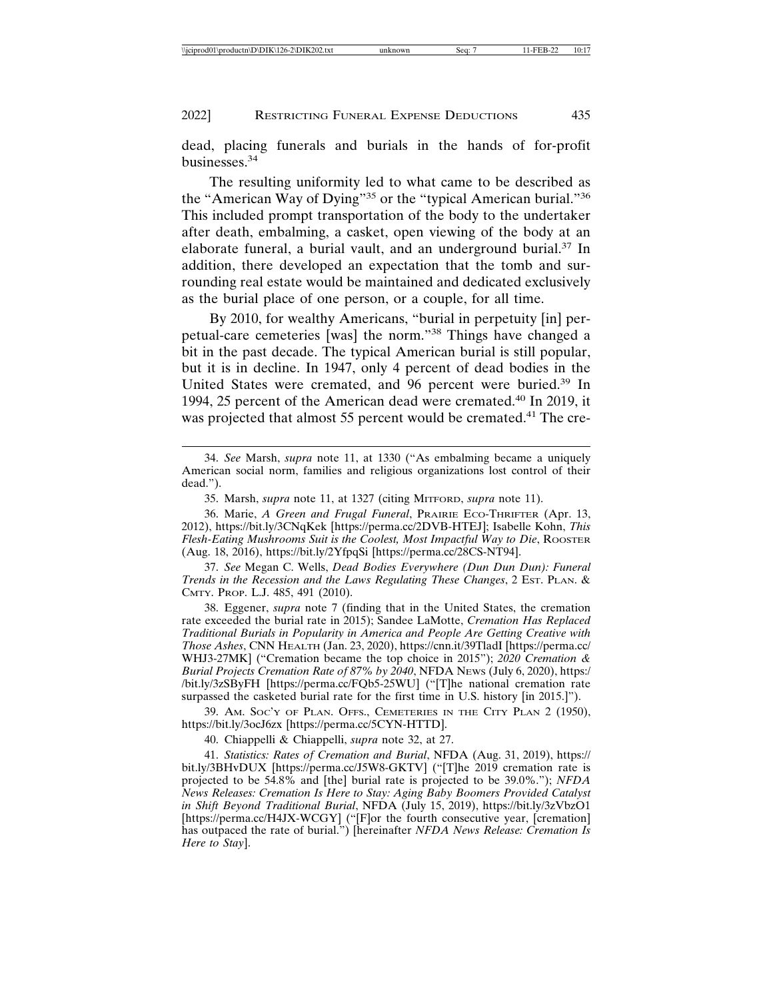dead, placing funerals and burials in the hands of for-profit businesses.<sup>34</sup>

The resulting uniformity led to what came to be described as the "American Way of Dying"<sup>35</sup> or the "typical American burial."<sup>36</sup> This included prompt transportation of the body to the undertaker after death, embalming, a casket, open viewing of the body at an elaborate funeral, a burial vault, and an underground burial.37 In addition, there developed an expectation that the tomb and surrounding real estate would be maintained and dedicated exclusively as the burial place of one person, or a couple, for all time.

By 2010, for wealthy Americans, "burial in perpetuity [in] perpetual-care cemeteries [was] the norm."38 Things have changed a bit in the past decade. The typical American burial is still popular, but it is in decline. In 1947, only 4 percent of dead bodies in the United States were cremated, and 96 percent were buried.<sup>39</sup> In 1994, 25 percent of the American dead were cremated.40 In 2019, it was projected that almost 55 percent would be cremated.<sup>41</sup> The cre-

37. *See* Megan C. Wells, *Dead Bodies Everywhere (Dun Dun Dun): Funeral Trends in the Recession and the Laws Regulating These Changes*, 2 EST. PLAN. & CMTY. PROP. L.J. 485, 491 (2010).

38. Eggener, *supra* note 7 (finding that in the United States, the cremation rate exceeded the burial rate in 2015); Sandee LaMotte, *Cremation Has Replaced Traditional Burials in Popularity in America and People Are Getting Creative with Those Ashes*, CNN HEALTH (Jan. 23, 2020), https://cnn.it/39TladI [https://perma.cc/ WHJ3-27MK] ("Cremation became the top choice in 2015"); *2020 Cremation & Burial Projects Cremation Rate of 87% by 2040*, NFDA NEWS (July 6, 2020), https:/ /bit.ly/3zSByFH [https://perma.cc/FQb5-25WU] ("[T]he national cremation rate surpassed the casketed burial rate for the first time in U.S. history [in 2015.]").

39. AM. SOC'Y OF PLAN. OFFS., CEMETERIES IN THE CITY PLAN 2 (1950), https://bit.ly/3ocJ6zx [https://perma.cc/5CYN-HTTD].

40. Chiappelli & Chiappelli, *supra* note 32, at 27.

41. *Statistics: Rates of Cremation and Burial*, NFDA (Aug. 31, 2019), https:// bit.ly/3BHvDUX [https://perma.cc/J5W8-GKTV] ("[T]he 2019 cremation rate is projected to be 54.8% and [the] burial rate is projected to be 39.0%."); *NFDA News Releases: Cremation Is Here to Stay: Aging Baby Boomers Provided Catalyst in Shift Beyond Traditional Burial*, NFDA (July 15, 2019), https://bit.ly/3zVbzO1 [https://perma.cc/H4JX-WCGY] ("[F]or the fourth consecutive year, [cremation] has outpaced the rate of burial.") [hereinafter *NFDA News Release: Cremation Is Here to Stay*].

<sup>34.</sup> *See* Marsh, *supra* note 11, at 1330 ("As embalming became a uniquely American social norm, families and religious organizations lost control of their dead.").

<sup>35.</sup> Marsh, *supra* note 11, at 1327 (citing MITFORD, *supra* note 11).

<sup>36.</sup> Marie, *A Green and Frugal Funeral*, PRAIRIE ECO-THRIFTER (Apr. 13, 2012), https://bit.ly/3CNqKek [https://perma.cc/2DVB-HTEJ]; Isabelle Kohn, *This Flesh-Eating Mushrooms Suit is the Coolest, Most Impactful Way to Die*, ROOSTER (Aug. 18, 2016), https://bit.ly/2YfpqSi [https://perma.cc/28CS-NT94].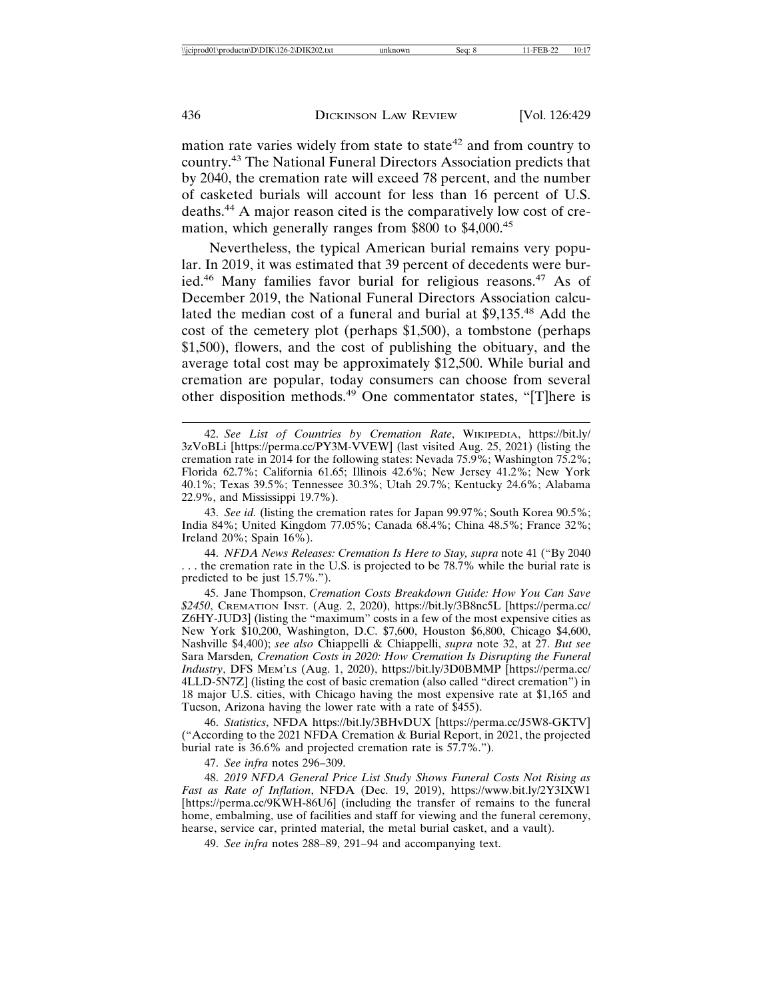mation rate varies widely from state to state<sup>42</sup> and from country to country.43 The National Funeral Directors Association predicts that by 2040, the cremation rate will exceed 78 percent, and the number of casketed burials will account for less than 16 percent of U.S. deaths.44 A major reason cited is the comparatively low cost of cremation, which generally ranges from \$800 to \$4,000.<sup>45</sup>

Nevertheless, the typical American burial remains very popular. In 2019, it was estimated that 39 percent of decedents were buried.46 Many families favor burial for religious reasons.47 As of December 2019, the National Funeral Directors Association calculated the median cost of a funeral and burial at \$9,135.48 Add the cost of the cemetery plot (perhaps \$1,500), a tombstone (perhaps \$1,500), flowers, and the cost of publishing the obituary, and the average total cost may be approximately \$12,500. While burial and cremation are popular, today consumers can choose from several other disposition methods.49 One commentator states, "[T]here is

43. *See id.* (listing the cremation rates for Japan 99.97%; South Korea 90.5%; India 84%; United Kingdom 77.05%; Canada 68.4%; China 48.5%; France 32%; Ireland 20%; Spain 16%).

44. *NFDA News Releases: Cremation Is Here to Stay, supra* note 41 ("By 2040 ... the cremation rate in the U.S. is projected to be 78.7% while the burial rate is predicted to be just 15.7%.").

45. Jane Thompson, *Cremation Costs Breakdown Guide: How You Can Save \$2450*, CREMATION INST. (Aug. 2, 2020), https://bit.ly/3B8nc5L [https://perma.cc/ Z6HY-JUD3] (listing the "maximum" costs in a few of the most expensive cities as New York \$10,200, Washington, D.C. \$7,600, Houston \$6,800, Chicago \$4,600, Nashville \$4,400); *see also* Chiappelli & Chiappelli, *supra* note 32, at 27. *But see* Sara Marsden*, Cremation Costs in 2020: How Cremation Is Disrupting the Funeral Industry*, DFS MEM'LS (Aug. 1, 2020), https://bit.ly/3D0BMMP [https://perma.cc/ 4LLD-5N7Z] (listing the cost of basic cremation (also called "direct cremation") in 18 major U.S. cities, with Chicago having the most expensive rate at \$1,165 and Tucson, Arizona having the lower rate with a rate of \$455).

46. *Statistics*, NFDA https://bit.ly/3BHvDUX [https://perma.cc/J5W8-GKTV] ("According to the 2021 NFDA Cremation & Burial Report, in 2021, the projected burial rate is 36.6% and projected cremation rate is 57.7%.").

47. *See infra* notes 296–309.

48. *2019 NFDA General Price List Study Shows Funeral Costs Not Rising as Fast as Rate of Inflation*, NFDA (Dec. 19, 2019), https://www.bit.ly/2Y3IXW1 [https://perma.cc/9KWH-86U6] (including the transfer of remains to the funeral home, embalming, use of facilities and staff for viewing and the funeral ceremony, hearse, service car, printed material, the metal burial casket, and a vault).

49. *See infra* notes 288–89, 291–94 and accompanying text.

<sup>42.</sup> *See List of Countries by Cremation Rate*, WIKIPEDIA, https://bit.ly/ 3zVoBLi [https://perma.cc/PY3M-VVEW] (last visited Aug. 25, 2021) (listing the cremation rate in 2014 for the following states: Nevada 75.9%; Washington 75.2%; Florida 62.7%; California 61.65; Illinois 42.6%; New Jersey 41.2%; New York 40.1%; Texas 39.5%; Tennessee 30.3%; Utah 29.7%; Kentucky 24.6%; Alabama 22.9%, and Mississippi 19.7%).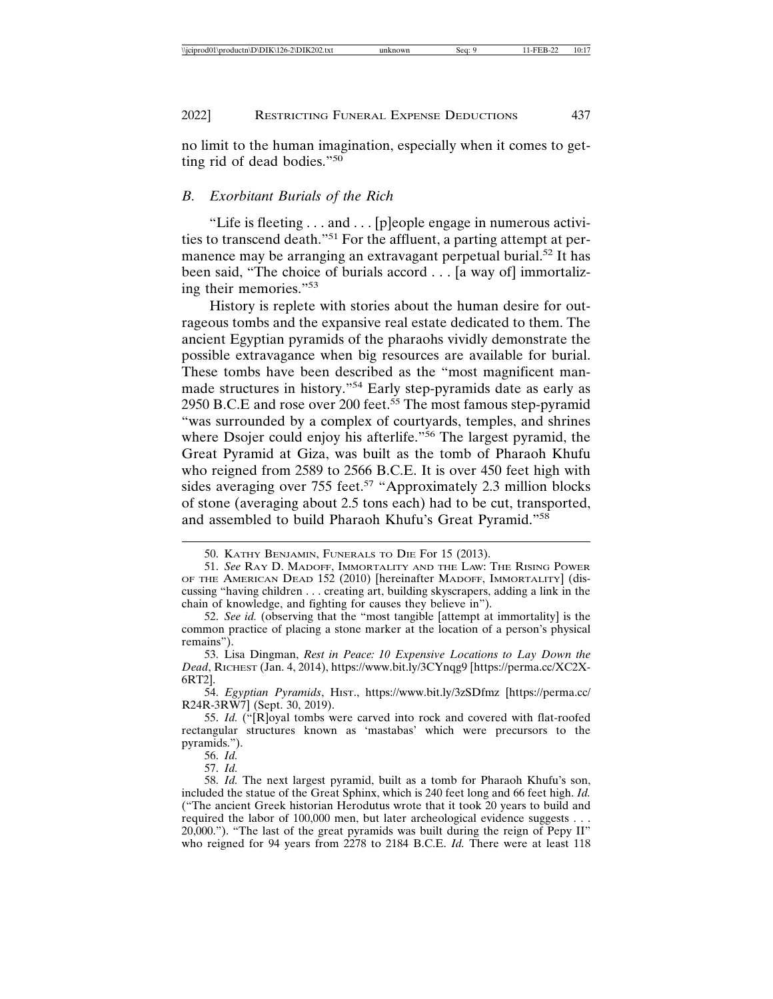no limit to the human imagination, especially when it comes to getting rid of dead bodies."<sup>50</sup>

#### *B. Exorbitant Burials of the Rich*

"Life is fleeting . . . and . . . [p]eople engage in numerous activities to transcend death."51 For the affluent, a parting attempt at permanence may be arranging an extravagant perpetual burial.<sup>52</sup> It has been said, "The choice of burials accord . . . [a way of] immortalizing their memories."<sup>53</sup>

History is replete with stories about the human desire for outrageous tombs and the expansive real estate dedicated to them. The ancient Egyptian pyramids of the pharaohs vividly demonstrate the possible extravagance when big resources are available for burial. These tombs have been described as the "most magnificent manmade structures in history."54 Early step-pyramids date as early as 2950 B.C.E and rose over 200 feet.<sup>55</sup> The most famous step-pyramid "was surrounded by a complex of courtyards, temples, and shrines where Dsojer could enjoy his afterlife."<sup>56</sup> The largest pyramid, the Great Pyramid at Giza, was built as the tomb of Pharaoh Khufu who reigned from 2589 to 2566 B.C.E. It is over 450 feet high with sides averaging over 755 feet.<sup>57</sup> "Approximately 2.3 million blocks" of stone (averaging about 2.5 tons each) had to be cut, transported, and assembled to build Pharaoh Khufu's Great Pyramid."<sup>58</sup>

54. *Egyptian Pyramids*, HIST., https://www.bit.ly/3zSDfmz [https://perma.cc/ R24R-3RW7] (Sept. 30, 2019).

56. *Id.*

57. *Id.*

<sup>50.</sup> KATHY BENJAMIN, FUNERALS TO DIE For 15 (2013).

<sup>51.</sup> *See* RAY D. MADOFF, IMMORTALITY AND THE LAW: THE RISING POWER OF THE AMERICAN DEAD 152 (2010) [hereinafter MADOFF, IMMORTALITY] (discussing "having children . . . creating art, building skyscrapers, adding a link in the chain of knowledge, and fighting for causes they believe in").

<sup>52.</sup> *See id.* (observing that the "most tangible [attempt at immortality] is the common practice of placing a stone marker at the location of a person's physical remains").

<sup>53.</sup> Lisa Dingman, *Rest in Peace: 10 Expensive Locations to Lay Down the Dead*, RICHEST (Jan. 4, 2014), https://www.bit.ly/3CYnqg9 [https://perma.cc/XC2X-6RT2].

<sup>55.</sup> *Id.* ("[R]oyal tombs were carved into rock and covered with flat-roofed rectangular structures known as 'mastabas' which were precursors to the pyramids.").

<sup>58.</sup> *Id.* The next largest pyramid, built as a tomb for Pharaoh Khufu's son, included the statue of the Great Sphinx, which is 240 feet long and 66 feet high. *Id.* ("The ancient Greek historian Herodutus wrote that it took 20 years to build and required the labor of 100,000 men, but later archeological evidence suggests . . . 20,000."). "The last of the great pyramids was built during the reign of Pepy II" who reigned for 94 years from 2278 to 2184 B.C.E. *Id.* There were at least 118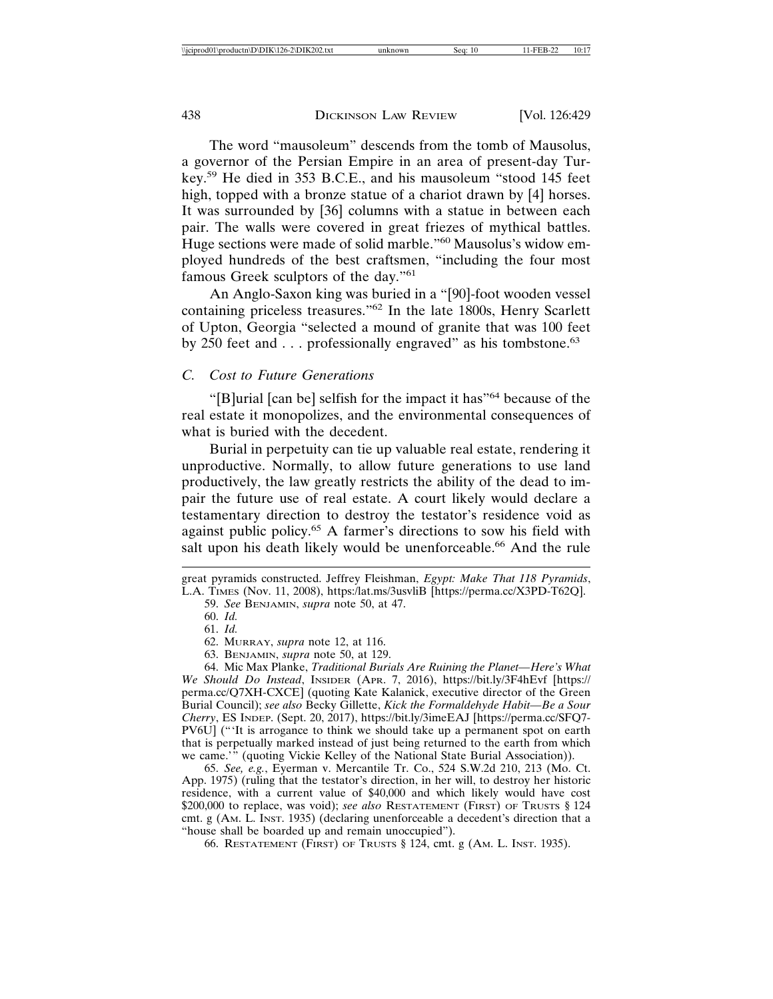The word "mausoleum" descends from the tomb of Mausolus, a governor of the Persian Empire in an area of present-day Turkey.59 He died in 353 B.C.E., and his mausoleum "stood 145 feet high, topped with a bronze statue of a chariot drawn by [4] horses. It was surrounded by [36] columns with a statue in between each pair. The walls were covered in great friezes of mythical battles. Huge sections were made of solid marble."<sup>60</sup> Mausolus's widow employed hundreds of the best craftsmen, "including the four most famous Greek sculptors of the day."<sup>61</sup>

An Anglo-Saxon king was buried in a "[90]-foot wooden vessel containing priceless treasures."62 In the late 1800s, Henry Scarlett of Upton, Georgia "selected a mound of granite that was 100 feet by 250 feet and . . . professionally engraved" as his tombstone.<sup>63</sup>

### *C. Cost to Future Generations*

"[B]urial [can be] selfish for the impact it has"64 because of the real estate it monopolizes, and the environmental consequences of what is buried with the decedent.

Burial in perpetuity can tie up valuable real estate, rendering it unproductive. Normally, to allow future generations to use land productively, the law greatly restricts the ability of the dead to impair the future use of real estate. A court likely would declare a testamentary direction to destroy the testator's residence void as against public policy.<sup>65</sup> A farmer's directions to sow his field with salt upon his death likely would be unenforceable.<sup>66</sup> And the rule

65. *See, e.g.*, Eyerman v. Mercantile Tr. Co., 524 S.W.2d 210, 213 (Mo. Ct. App. 1975) (ruling that the testator's direction, in her will, to destroy her historic residence, with a current value of \$40,000 and which likely would have cost \$200,000 to replace, was void); *see also* RESTATEMENT (FIRST) OF TRUSTS § 124 cmt. g (AM. L. INST. 1935) (declaring unenforceable a decedent's direction that a "house shall be boarded up and remain unoccupied").

66. RESTATEMENT (FIRST) OF TRUSTS § 124, cmt. g (AM. L. INST. 1935).

great pyramids constructed. Jeffrey Fleishman, *Egypt: Make That 118 Pyramids*, L.A. TIMES (Nov. 11, 2008), https:/lat.ms/3usvliB [https://perma.cc/X3PD-T62Q].

<sup>59.</sup> *See* BENJAMIN, *supra* note 50, at 47.

<sup>60.</sup> *Id.*

<sup>61.</sup> *Id.*

<sup>62.</sup> MURRAY, *supra* note 12, at 116.

<sup>63.</sup> BENJAMIN, *supra* note 50, at 129.

<sup>64.</sup> Mic Max Planke, *Traditional Burials Are Ruining the Planet—Here's What We Should Do Instead*, INSIDER (APR. 7, 2016), https://bit.ly/3F4hEvf [https:// perma.cc/Q7XH-CXCE] (quoting Kate Kalanick, executive director of the Green Burial Council); *see also* Becky Gillette, *Kick the Formaldehyde Habit—Be a Sour Cherry*, ES INDEP. (Sept. 20, 2017), https://bit.ly/3imeEAJ [https://perma.cc/SFQ7- PV6U] ("'It is arrogance to think we should take up a permanent spot on earth that is perpetually marked instead of just being returned to the earth from which we came.'" (quoting Vickie Kelley of the National State Burial Association)).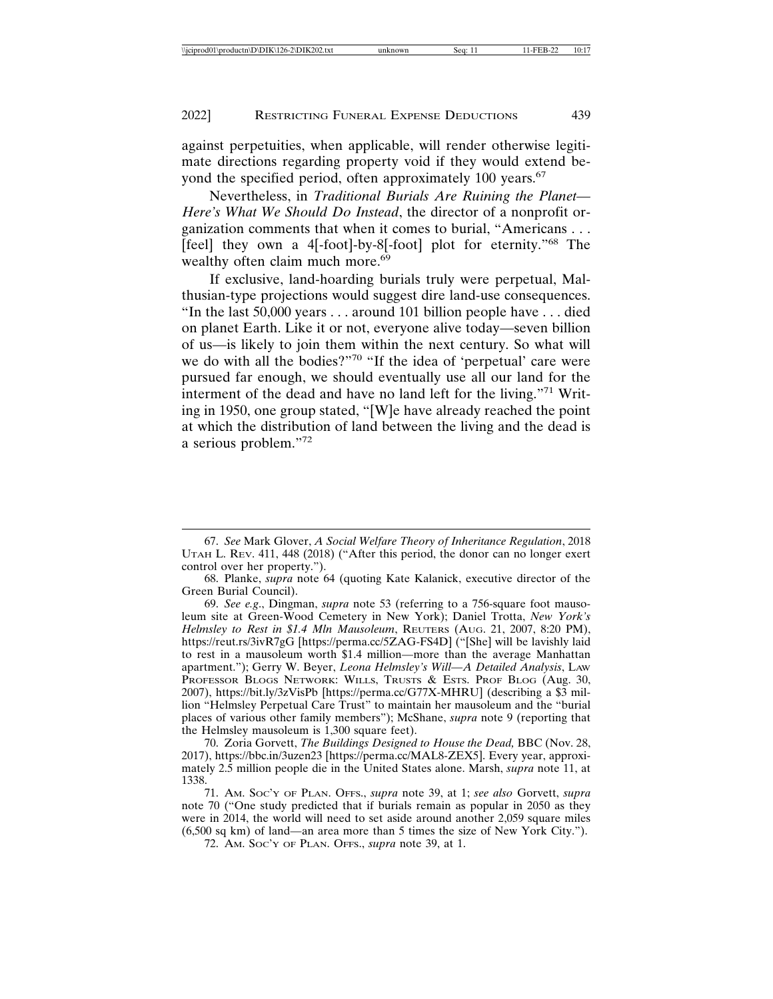against perpetuities, when applicable, will render otherwise legitimate directions regarding property void if they would extend beyond the specified period, often approximately 100 years.<sup>67</sup>

Nevertheless, in *Traditional Burials Are Ruining the Planet— Here's What We Should Do Instead*, the director of a nonprofit organization comments that when it comes to burial, "Americans . . . [feel] they own a 4[-foot]-by-8[-foot] plot for eternity."68 The wealthy often claim much more.<sup>69</sup>

If exclusive, land-hoarding burials truly were perpetual, Malthusian-type projections would suggest dire land-use consequences. "In the last 50,000 years . . . around 101 billion people have . . . died on planet Earth. Like it or not, everyone alive today—seven billion of us—is likely to join them within the next century. So what will we do with all the bodies?"70 "If the idea of 'perpetual' care were pursued far enough, we should eventually use all our land for the interment of the dead and have no land left for the living."71 Writing in 1950, one group stated, "[W]e have already reached the point at which the distribution of land between the living and the dead is a serious problem."72

70. Zoria Gorvett, *The Buildings Designed to House the Dead,* BBC (Nov. 28, 2017), https://bbc.in/3uzen23 [https://perma.cc/MAL8-ZEX5]. Every year, approximately 2.5 million people die in the United States alone. Marsh, *supra* note 11, at 1338.

<sup>67.</sup> *See* Mark Glover, *A Social Welfare Theory of Inheritance Regulation*, 2018 UTAH L. REV. 411, 448 (2018) ("After this period, the donor can no longer exert control over her property.").

<sup>68.</sup> Planke, *supra* note 64 (quoting Kate Kalanick, executive director of the Green Burial Council).

<sup>69.</sup> *See e.g*., Dingman, *supra* note 53 (referring to a 756-square foot mausoleum site at Green-Wood Cemetery in New York); Daniel Trotta, *New York's Helmsley to Rest in \$1.4 Mln Mausoleum*, REUTERS (AUG. 21, 2007, 8:20 PM), https://reut.rs/3ivR7gG [https://perma.cc/5ZAG-FS4D] ("[She] will be lavishly laid to rest in a mausoleum worth \$1.4 million—more than the average Manhattan apartment."); Gerry W. Beyer, *Leona Helmsley's Will—A Detailed Analysis*, LAW PROFESSOR BLOGS NETWORK: WILLS, TRUSTS & ESTS. PROF BLOG (Aug. 30, 2007), https://bit.ly/3zVisPb [https://perma.cc/G77X-MHRU] (describing a \$3 million "Helmsley Perpetual Care Trust" to maintain her mausoleum and the "burial places of various other family members"); McShane, *supra* note 9 (reporting that the Helmsley mausoleum is 1,300 square feet).

<sup>71.</sup> AM. SOC'Y OF PLAN. OFFS., *supra* note 39, at 1; *see also* Gorvett, *supra* note 70 ("One study predicted that if burials remain as popular in 2050 as they were in 2014, the world will need to set aside around another 2,059 square miles (6,500 sq km) of land—an area more than 5 times the size of New York City.").

<sup>72.</sup> AM. SOC'Y OF PLAN. OFFS., *supra* note 39, at 1.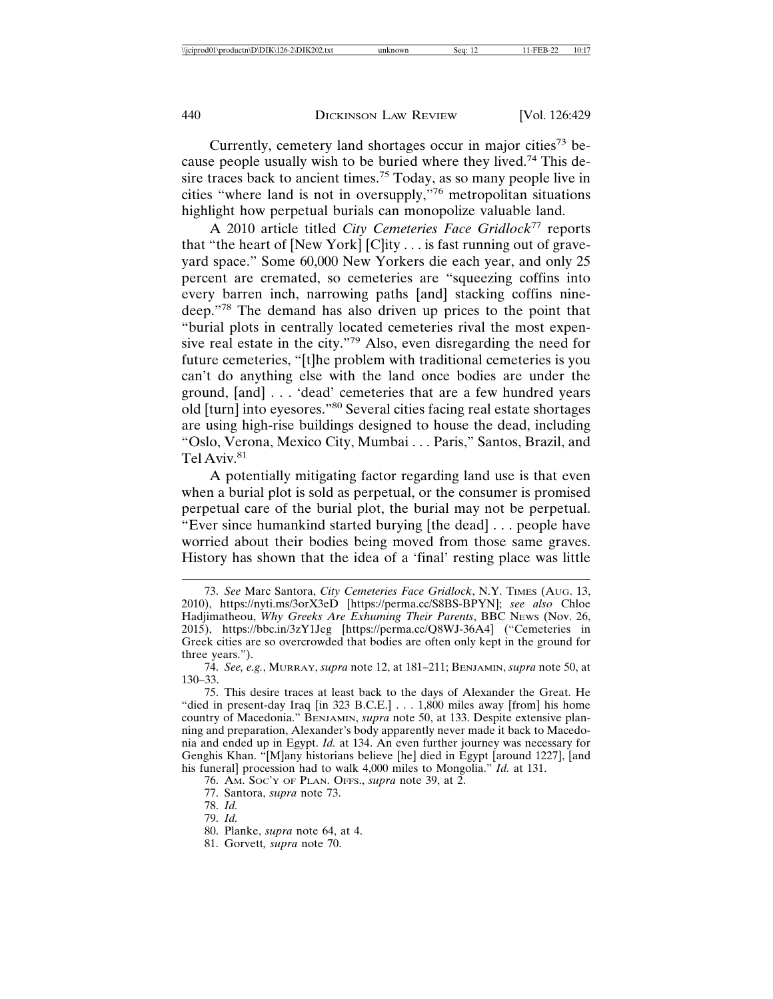Currently, cemetery land shortages occur in major cities<sup>73</sup> because people usually wish to be buried where they lived.74 This desire traces back to ancient times.<sup>75</sup> Today, as so many people live in cities "where land is not in oversupply,"76 metropolitan situations highlight how perpetual burials can monopolize valuable land.

A 2010 article titled *City Cemeteries Face Gridlock*77 reports that "the heart of  $[New York]$   $[Clity \dots$  is fast running out of graveyard space." Some 60,000 New Yorkers die each year, and only 25 percent are cremated, so cemeteries are "squeezing coffins into every barren inch, narrowing paths [and] stacking coffins ninedeep."78 The demand has also driven up prices to the point that "burial plots in centrally located cemeteries rival the most expensive real estate in the city."79 Also, even disregarding the need for future cemeteries, "[t]he problem with traditional cemeteries is you can't do anything else with the land once bodies are under the ground, [and] . . . 'dead' cemeteries that are a few hundred years old [turn] into eyesores."80 Several cities facing real estate shortages are using high-rise buildings designed to house the dead, including "Oslo, Verona, Mexico City, Mumbai . . . Paris," Santos, Brazil, and Tel Aviv.<sup>81</sup>

A potentially mitigating factor regarding land use is that even when a burial plot is sold as perpetual, or the consumer is promised perpetual care of the burial plot, the burial may not be perpetual. "Ever since humankind started burying [the dead] . . . people have worried about their bodies being moved from those same graves. History has shown that the idea of a 'final' resting place was little

<sup>73.</sup> *See* Marc Santora, *City Cemeteries Face Gridlock*, N.Y. TIMES (AUG. 13, 2010), https://nyti.ms/3orX3eD [https://perma.cc/S8BS-BPYN]; *see also* Chloe Hadjimatheou, *Why Greeks Are Exhuming Their Parents*, BBC NEWS (Nov. 26, 2015), https://bbc.in/3zY1Jeg [https://perma.cc/Q8WJ-36A4] ("Cemeteries in Greek cities are so overcrowded that bodies are often only kept in the ground for three years.").

<sup>74.</sup> *See, e.g.*, MURRAY, *supra* note 12, at 181–211; BENJAMIN, *supra* note 50, at 130–33.

<sup>75.</sup> This desire traces at least back to the days of Alexander the Great. He "died in present-day Iraq [in 323 B.C.E.] . . . 1,800 miles away [from] his home country of Macedonia." BENJAMIN, *supra* note 50, at 133. Despite extensive planning and preparation, Alexander's body apparently never made it back to Macedonia and ended up in Egypt. *Id.* at 134. An even further journey was necessary for Genghis Khan. "[M]any historians believe [he] died in Egypt [around 1227], [and his funeral] procession had to walk 4,000 miles to Mongolia." *Id.* at 131.

<sup>76.</sup> AM. SOC'Y OF PLAN. OFFS., *supra* note 39, at 2.

<sup>77.</sup> Santora, *supra* note 73.

<sup>78.</sup> *Id.*

<sup>79.</sup> *Id.*

<sup>80.</sup> Planke, *supra* note 64, at 4.

<sup>81.</sup> Gorvett*, supra* note 70.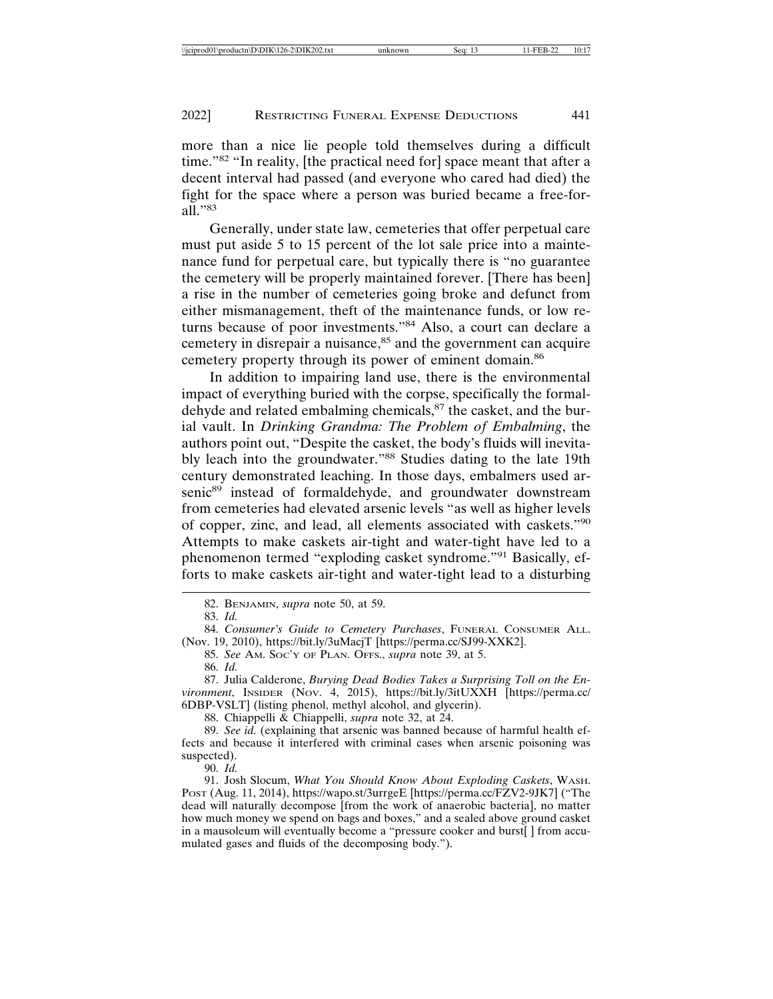more than a nice lie people told themselves during a difficult time."82 "In reality, [the practical need for] space meant that after a decent interval had passed (and everyone who cared had died) the fight for the space where a person was buried became a free-forall<sup>"83</sup>

Generally, under state law, cemeteries that offer perpetual care must put aside 5 to 15 percent of the lot sale price into a maintenance fund for perpetual care, but typically there is "no guarantee the cemetery will be properly maintained forever. [There has been] a rise in the number of cemeteries going broke and defunct from either mismanagement, theft of the maintenance funds, or low returns because of poor investments."84 Also, a court can declare a cemetery in disrepair a nuisance,<sup>85</sup> and the government can acquire cemetery property through its power of eminent domain.<sup>86</sup>

In addition to impairing land use, there is the environmental impact of everything buried with the corpse, specifically the formaldehyde and related embalming chemicals,<sup>87</sup> the casket, and the burial vault. In *Drinking Grandma: The Problem of Embalming*, the authors point out, "Despite the casket, the body's fluids will inevitably leach into the groundwater."<sup>88</sup> Studies dating to the late 19th century demonstrated leaching. In those days, embalmers used arsenic<sup>89</sup> instead of formaldehyde, and groundwater downstream from cemeteries had elevated arsenic levels "as well as higher levels of copper, zinc, and lead, all elements associated with caskets."<sup>90</sup> Attempts to make caskets air-tight and water-tight have led to a phenomenon termed "exploding casket syndrome."91 Basically, efforts to make caskets air-tight and water-tight lead to a disturbing

82. BENJAMIN, *supra* note 50, at 59.

83. *Id.*

84. *Consumer's Guide to Cemetery Purchases*, FUNERAL CONSUMER ALL. (Nov. 19, 2010), https://bit.ly/3uMacjT [https://perma.cc/SJ99-XXK2].

85. *See* AM. SOC'Y OF PLAN. OFFS., *supra* note 39, at 5.

86. *Id.*

87. Julia Calderone, *Burying Dead Bodies Takes a Surprising Toll on the Environment*, INSIDER (NOV. 4, 2015), https://bit.ly/3itUXXH [https://perma.cc/ 6DBP-VSLT] (listing phenol, methyl alcohol, and glycerin).

88. Chiappelli & Chiappelli, *supra* note 32, at 24.

89. *See id.* (explaining that arsenic was banned because of harmful health effects and because it interfered with criminal cases when arsenic poisoning was suspected).

90. *Id.*

91. Josh Slocum, *What You Should Know About Exploding Caskets*, WASH. POST (Aug. 11, 2014), https://wapo.st/3urrgeE [https://perma.cc/FZV2-9JK7] ("The dead will naturally decompose [from the work of anaerobic bacteria], no matter how much money we spend on bags and boxes," and a sealed above ground casket in a mausoleum will eventually become a "pressure cooker and burst[ ] from accumulated gases and fluids of the decomposing body.").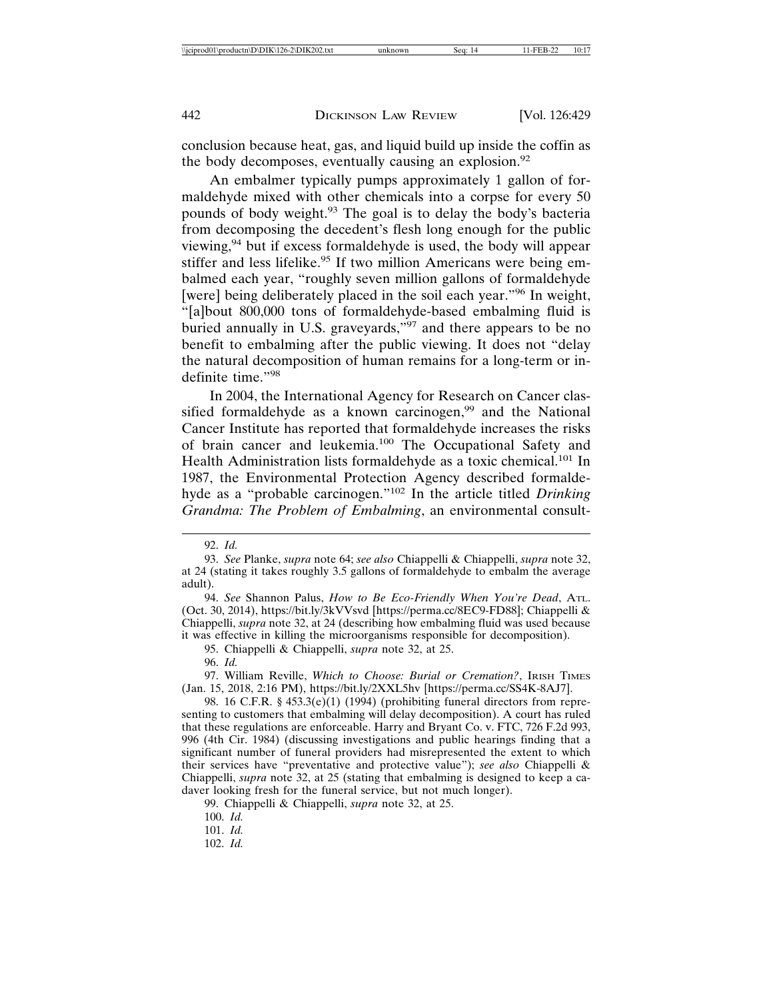conclusion because heat, gas, and liquid build up inside the coffin as the body decomposes, eventually causing an explosion. $92$ 

An embalmer typically pumps approximately 1 gallon of formaldehyde mixed with other chemicals into a corpse for every 50 pounds of body weight.93 The goal is to delay the body's bacteria from decomposing the decedent's flesh long enough for the public viewing,94 but if excess formaldehyde is used, the body will appear stiffer and less lifelike.<sup>95</sup> If two million Americans were being embalmed each year, "roughly seven million gallons of formaldehyde [were] being deliberately placed in the soil each year."<sup>96</sup> In weight, "[a]bout 800,000 tons of formaldehyde-based embalming fluid is buried annually in U.S. graveyards,"<sup>97</sup> and there appears to be no benefit to embalming after the public viewing. It does not "delay the natural decomposition of human remains for a long-term or indefinite time."<sup>98</sup>

In 2004, the International Agency for Research on Cancer classified formaldehyde as a known carcinogen,<sup>99</sup> and the National Cancer Institute has reported that formaldehyde increases the risks of brain cancer and leukemia.100 The Occupational Safety and Health Administration lists formaldehyde as a toxic chemical.<sup>101</sup> In 1987, the Environmental Protection Agency described formaldehyde as a "probable carcinogen."102 In the article titled *Drinking Grandma: The Problem of Embalming*, an environmental consult-

94. *See* Shannon Palus, *How to Be Eco-Friendly When You're Dead*, ATL. (Oct. 30, 2014), https://bit.ly/3kVVsvd [https://perma.cc/8EC9-FD88]; Chiappelli & Chiappelli, *supra* note 32, at 24 (describing how embalming fluid was used because it was effective in killing the microorganisms responsible for decomposition).

95. Chiappelli & Chiappelli, *supra* note 32, at 25.

96. *Id.*

97. William Reville, *Which to Choose: Burial or Cremation?*, IRISH TIMES (Jan. 15, 2018, 2:16 PM), https://bit.ly/2XXL5hv [https://perma.cc/SS4K-8AJ7].

98. 16 C.F.R. § 453.3(e)(1) (1994) (prohibiting funeral directors from representing to customers that embalming will delay decomposition). A court has ruled that these regulations are enforceable. Harry and Bryant Co. v. FTC, 726 F.2d 993, 996 (4th Cir. 1984) (discussing investigations and public hearings finding that a significant number of funeral providers had misrepresented the extent to which their services have "preventative and protective value"); *see also* Chiappelli & Chiappelli, *supra* note 32, at 25 (stating that embalming is designed to keep a cadaver looking fresh for the funeral service, but not much longer).

99. Chiappelli & Chiappelli, *supra* note 32, at 25.

100. *Id.*

101. *Id.*

102. *Id.*

<sup>92.</sup> *Id.*

<sup>93.</sup> *See* Planke, *supra* note 64; *see also* Chiappelli & Chiappelli, *supra* note 32, at 24 (stating it takes roughly 3.5 gallons of formaldehyde to embalm the average adult).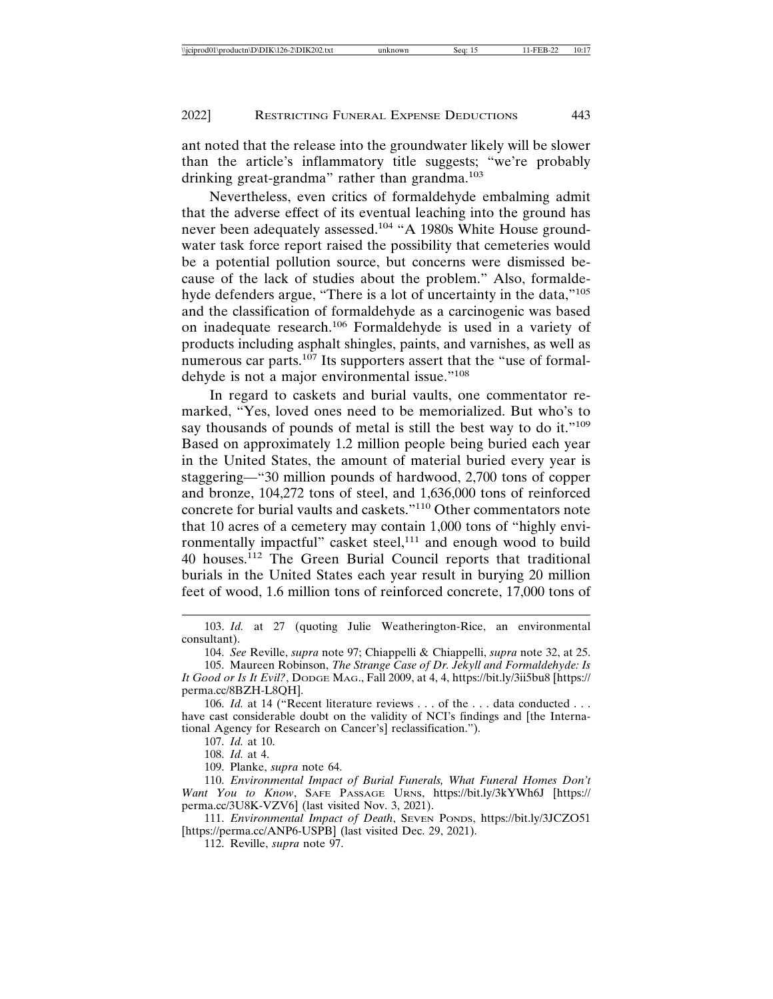ant noted that the release into the groundwater likely will be slower than the article's inflammatory title suggests; "we're probably drinking great-grandma" rather than grandma.<sup>103</sup>

Nevertheless, even critics of formaldehyde embalming admit that the adverse effect of its eventual leaching into the ground has never been adequately assessed.<sup>104</sup> "A 1980s White House groundwater task force report raised the possibility that cemeteries would be a potential pollution source, but concerns were dismissed because of the lack of studies about the problem." Also, formaldehyde defenders argue, "There is a lot of uncertainty in the data,"<sup>105</sup> and the classification of formaldehyde as a carcinogenic was based on inadequate research.106 Formaldehyde is used in a variety of products including asphalt shingles, paints, and varnishes, as well as numerous car parts.<sup>107</sup> Its supporters assert that the "use of formaldehyde is not a major environmental issue."<sup>108</sup>

In regard to caskets and burial vaults, one commentator remarked, "Yes, loved ones need to be memorialized. But who's to say thousands of pounds of metal is still the best way to do it."<sup>109</sup> Based on approximately 1.2 million people being buried each year in the United States, the amount of material buried every year is staggering—"30 million pounds of hardwood, 2,700 tons of copper and bronze, 104,272 tons of steel, and 1,636,000 tons of reinforced concrete for burial vaults and caskets."110 Other commentators note that 10 acres of a cemetery may contain 1,000 tons of "highly environmentally impactful" casket steel, $111$  and enough wood to build 40 houses.112 The Green Burial Council reports that traditional burials in the United States each year result in burying 20 million feet of wood, 1.6 million tons of reinforced concrete, 17,000 tons of

104. *See* Reville, *supra* note 97; Chiappelli & Chiappelli, *supra* note 32, at 25.

106. *Id.* at 14 ("Recent literature reviews . . . of the . . . data conducted . . . have cast considerable doubt on the validity of NCI's findings and [the International Agency for Research on Cancer's] reclassification.").

107. *Id.* at 10.

108. *Id.* at 4.

109. Planke, *supra* note 64.

110. *Environmental Impact of Burial Funerals, What Funeral Homes Don't Want You to Know*, SAFE PASSAGE URNS, https://bit.ly/3kYWh6J [https:// perma.cc/3U8K-VZV6] (last visited Nov. 3, 2021).

111. *Environmental Impact of Death*, SEVEN PONDS, https://bit.ly/3JCZO51 [https://perma.cc/ANP6-USPB] (last visited Dec. 29, 2021).

112. Reville, *supra* note 97.

<sup>103.</sup> *Id.* at 27 (quoting Julie Weatherington-Rice, an environmental consultant).

<sup>105.</sup> Maureen Robinson, *The Strange Case of Dr. Jekyll and Formaldehyde: Is It Good or Is It Evil?*, DODGE MAG., Fall 2009, at 4, 4, https://bit.ly/3ii5bu8 [https:// perma.cc/8BZH-L8QH].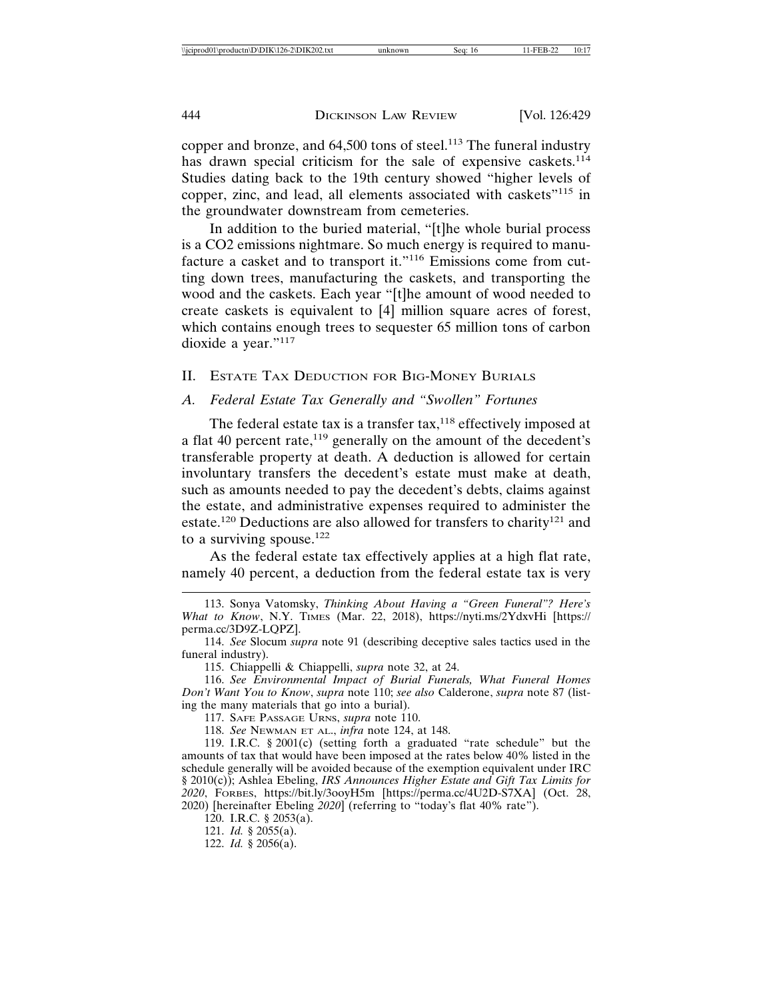copper and bronze, and 64,500 tons of steel.<sup>113</sup> The funeral industry has drawn special criticism for the sale of expensive caskets.<sup>114</sup> Studies dating back to the 19th century showed "higher levels of copper, zinc, and lead, all elements associated with caskets"115 in the groundwater downstream from cemeteries.

In addition to the buried material, "[t]he whole burial process is a CO2 emissions nightmare. So much energy is required to manufacture a casket and to transport it."116 Emissions come from cutting down trees, manufacturing the caskets, and transporting the wood and the caskets. Each year "[t]he amount of wood needed to create caskets is equivalent to [4] million square acres of forest, which contains enough trees to sequester 65 million tons of carbon dioxide a year."117

II. ESTATE TAX DEDUCTION FOR BIG-MONEY BURIALS

#### *A. Federal Estate Tax Generally and "Swollen" Fortunes*

The federal estate tax is a transfer tax, $118$  effectively imposed at a flat 40 percent rate,<sup>119</sup> generally on the amount of the decedent's transferable property at death. A deduction is allowed for certain involuntary transfers the decedent's estate must make at death, such as amounts needed to pay the decedent's debts, claims against the estate, and administrative expenses required to administer the estate.<sup>120</sup> Deductions are also allowed for transfers to charity<sup>121</sup> and to a surviving spouse. $122$ 

As the federal estate tax effectively applies at a high flat rate, namely 40 percent, a deduction from the federal estate tax is very

120. I.R.C. § 2053(a).

<sup>113.</sup> Sonya Vatomsky, *Thinking About Having a "Green Funeral"? Here's What to Know*, N.Y. TIMES (Mar. 22, 2018), https://nyti.ms/2YdxvHi [https:// perma.cc/3D9Z-LQPZ].

<sup>114.</sup> *See* Slocum *supra* note 91 (describing deceptive sales tactics used in the funeral industry).

<sup>115.</sup> Chiappelli & Chiappelli, *supra* note 32, at 24.

<sup>116.</sup> *See Environmental Impact of Burial Funerals, What Funeral Homes Don't Want You to Know*, *supra* note 110; *see also* Calderone, *supra* note 87 (listing the many materials that go into a burial).

<sup>117.</sup> SAFE PASSAGE URNS, *supra* note 110.

<sup>118.</sup> *See* NEWMAN ET AL., *infra* note 124, at 148.

<sup>119.</sup> I.R.C. § 2001(c) (setting forth a graduated "rate schedule" but the amounts of tax that would have been imposed at the rates below 40% listed in the schedule generally will be avoided because of the exemption equivalent under IRC § 2010(c)); Ashlea Ebeling, *IRS Announces Higher Estate and Gift Tax Limits for 2020*, FORBES, https://bit.ly/3ooyH5m [https://perma.cc/4U2D-S7XA] (Oct. 28, 2020) [hereinafter Ebeling *2020*] (referring to "today's flat 40% rate").

<sup>121.</sup> *Id.* § 2055(a).

<sup>122.</sup> *Id.* § 2056(a).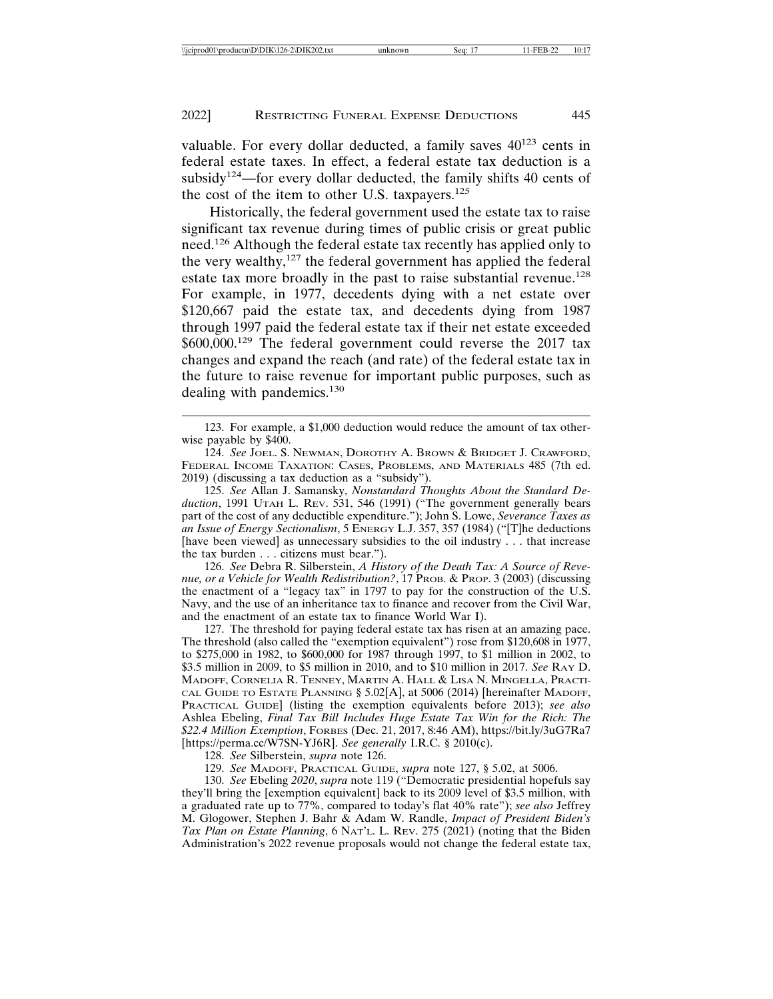valuable. For every dollar deducted, a family saves  $40^{123}$  cents in federal estate taxes. In effect, a federal estate tax deduction is a subsidy<sup>124</sup>—for every dollar deducted, the family shifts 40 cents of the cost of the item to other U.S. taxpayers.<sup>125</sup>

Historically, the federal government used the estate tax to raise significant tax revenue during times of public crisis or great public need.126 Although the federal estate tax recently has applied only to the very wealthy,<sup>127</sup> the federal government has applied the federal estate tax more broadly in the past to raise substantial revenue.<sup>128</sup> For example, in 1977, decedents dying with a net estate over \$120,667 paid the estate tax, and decedents dying from 1987 through 1997 paid the federal estate tax if their net estate exceeded \$600,000.<sup>129</sup> The federal government could reverse the 2017 tax changes and expand the reach (and rate) of the federal estate tax in the future to raise revenue for important public purposes, such as dealing with pandemics.<sup>130</sup>

125. *See* Allan J. Samansky, *Nonstandard Thoughts About the Standard Deduction*, 1991 UTAH L. REV. 531, 546 (1991) ("The government generally bears part of the cost of any deductible expenditure."); John S. Lowe, *Severance Taxes as an Issue of Energy Sectionalism*, 5 ENERGY L.J. 357, 357 (1984) ("[T]he deductions [have been viewed] as unnecessary subsidies to the oil industry . . . that increase the tax burden . . . citizens must bear.").

126. *See* Debra R. Silberstein, *A History of the Death Tax: A Source of Revenue, or a Vehicle for Wealth Redistribution?*, 17 PROB. & PROP. 3 (2003) (discussing the enactment of a "legacy tax" in 1797 to pay for the construction of the U.S. Navy, and the use of an inheritance tax to finance and recover from the Civil War, and the enactment of an estate tax to finance World War I).

127. The threshold for paying federal estate tax has risen at an amazing pace. The threshold (also called the "exemption equivalent") rose from \$120,608 in 1977, to \$275,000 in 1982, to \$600,000 for 1987 through 1997, to \$1 million in 2002, to \$3.5 million in 2009, to \$5 million in 2010, and to \$10 million in 2017. *See* RAY D. MADOFF, CORNELIA R. TENNEY, MARTIN A. HALL & LISA N. MINGELLA, PRACTI-CAL GUIDE TO ESTATE PLANNING § 5.02[A], at 5006 (2014) [hereinafter MADOFF, PRACTICAL GUIDE] (listing the exemption equivalents before 2013); *see also* Ashlea Ebeling, *Final Tax Bill Includes Huge Estate Tax Win for the Rich: The \$22.4 Million Exemption*, FORBES (Dec. 21, 2017, 8:46 AM), https://bit.ly/3uG7Ra7 [https://perma.cc/W7SN-YJ6R]. *See generally* I.R.C. § 2010(c).

128. *See* Silberstein, *supra* note 126.

129. *See* MADOFF, PRACTICAL GUIDE, *supra* note 127, § 5.02, at 5006.

130. *See* Ebeling *2020*, *supra* note 119 ("Democratic presidential hopefuls say they'll bring the [exemption equivalent] back to its 2009 level of \$3.5 million, with a graduated rate up to 77%, compared to today's flat 40% rate"); *see also* Jeffrey M. Glogower, Stephen J. Bahr & Adam W. Randle, *Impact of President Biden's Tax Plan on Estate Planning*, 6 NAT'L. L. REV. 275 (2021) (noting that the Biden Administration's 2022 revenue proposals would not change the federal estate tax,

<sup>123.</sup> For example, a \$1,000 deduction would reduce the amount of tax otherwise payable by \$400.

<sup>124.</sup> *See* JOEL. S. NEWMAN, DOROTHY A. BROWN & BRIDGET J. CRAWFORD, FEDERAL INCOME TAXATION: CASES, PROBLEMS, AND MATERIALS 485 (7th ed. 2019) (discussing a tax deduction as a "subsidy").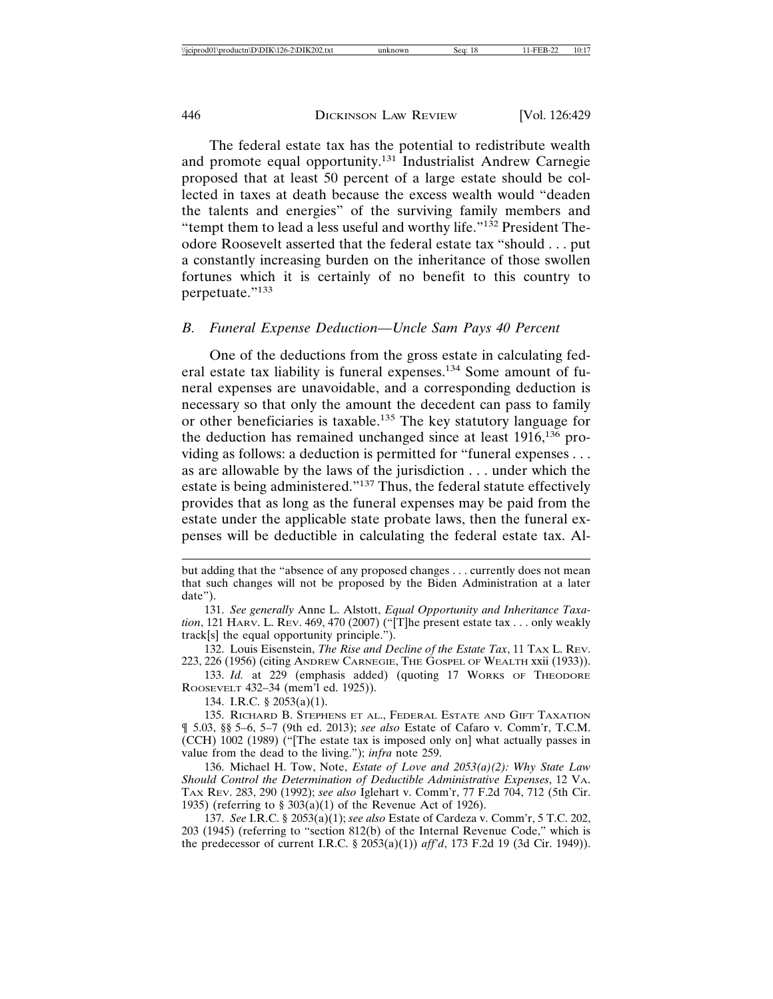The federal estate tax has the potential to redistribute wealth and promote equal opportunity.<sup>131</sup> Industrialist Andrew Carnegie proposed that at least 50 percent of a large estate should be collected in taxes at death because the excess wealth would "deaden the talents and energies" of the surviving family members and "tempt them to lead a less useful and worthy life."132 President Theodore Roosevelt asserted that the federal estate tax "should . . . put a constantly increasing burden on the inheritance of those swollen fortunes which it is certainly of no benefit to this country to perpetuate."133

# *B. Funeral Expense Deduction—Uncle Sam Pays 40 Percent*

One of the deductions from the gross estate in calculating federal estate tax liability is funeral expenses.134 Some amount of funeral expenses are unavoidable, and a corresponding deduction is necessary so that only the amount the decedent can pass to family or other beneficiaries is taxable.135 The key statutory language for the deduction has remained unchanged since at least  $1916$ ,  $136$  providing as follows: a deduction is permitted for "funeral expenses . . . as are allowable by the laws of the jurisdiction . . . under which the estate is being administered."137 Thus, the federal statute effectively provides that as long as the funeral expenses may be paid from the estate under the applicable state probate laws, then the funeral expenses will be deductible in calculating the federal estate tax. Al-

131. *See generally* Anne L. Alstott, *Equal Opportunity and Inheritance Taxation*, 121 HARV. L. REV. 469, 470 (2007) ("[T]he present estate tax . . . only weakly track[s] the equal opportunity principle.").

132. Louis Eisenstein, *The Rise and Decline of the Estate Tax*, 11 TAX L. REV. 223, 226 (1956) (citing ANDREW CARNEGIE, THE GOSPEL OF WEALTH xxii (1933)).

133. *Id.* at 229 (emphasis added) (quoting 17 WORKS OF THEODORE ROOSEVELT 432–34 (mem'l ed. 1925)).

134. I.R.C. § 2053(a)(1).

135. RICHARD B. STEPHENS ET AL., FEDERAL ESTATE AND GIFT TAXATION ¶ 5.03, §§ 5–6, 5–7 (9th ed. 2013); *see also* Estate of Cafaro v. Comm'r, T.C.M. (CCH) 1002 (1989) ("[The estate tax is imposed only on] what actually passes in value from the dead to the living."); *infra* note 259.

136. Michael H. Tow, Note, *Estate of Love and 2053(a)(2): Why State Law Should Control the Determination of Deductible Administrative Expenses*, 12 VA. TAX REV. 283, 290 (1992); *see also* Iglehart v. Comm'r, 77 F.2d 704, 712 (5th Cir. 1935) (referring to § 303(a)(1) of the Revenue Act of 1926).

137. *See* I.R.C. § 2053(a)(1); *see also* Estate of Cardeza v. Comm'r, 5 T.C. 202, 203 (1945) (referring to "section 812(b) of the Internal Revenue Code," which is the predecessor of current I.R.C. § 2053(a)(1)) *aff'd*, 173 F.2d 19 (3d Cir. 1949)).

but adding that the "absence of any proposed changes . . . currently does not mean that such changes will not be proposed by the Biden Administration at a later date").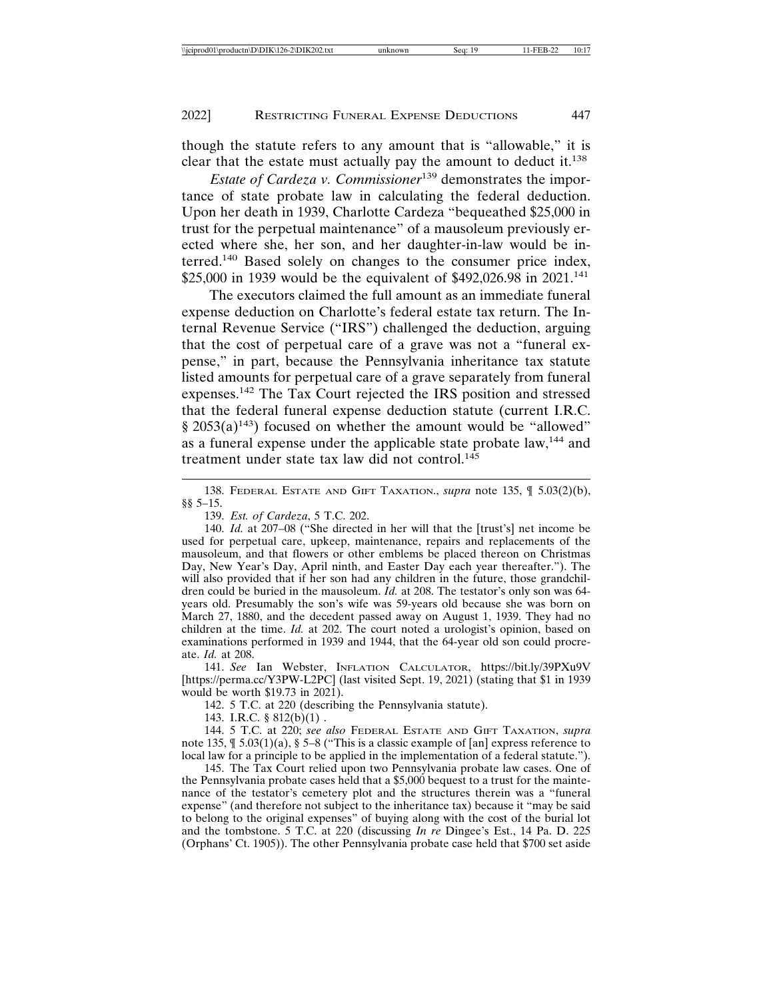though the statute refers to any amount that is "allowable," it is clear that the estate must actually pay the amount to deduct it.<sup>138</sup>

*Estate of Cardeza v. Commissioner*139 demonstrates the importance of state probate law in calculating the federal deduction. Upon her death in 1939, Charlotte Cardeza "bequeathed \$25,000 in trust for the perpetual maintenance" of a mausoleum previously erected where she, her son, and her daughter-in-law would be interred.140 Based solely on changes to the consumer price index, \$25,000 in 1939 would be the equivalent of \$492,026.98 in 2021.<sup>141</sup>

The executors claimed the full amount as an immediate funeral expense deduction on Charlotte's federal estate tax return. The Internal Revenue Service ("IRS") challenged the deduction, arguing that the cost of perpetual care of a grave was not a "funeral expense," in part, because the Pennsylvania inheritance tax statute listed amounts for perpetual care of a grave separately from funeral expenses.142 The Tax Court rejected the IRS position and stressed that the federal funeral expense deduction statute (current I.R.C.  $\S 2053(a)^{143}$  focused on whether the amount would be "allowed" as a funeral expense under the applicable state probate law,144 and treatment under state tax law did not control.<sup>145</sup>

138. FEDERAL ESTATE AND GIFT TAXATION., *supra* note 135, ¶ 5.03(2)(b), §§ 5–15.

139. *Est. of Cardeza*, 5 T.C. 202.

140. *Id.* at 207–08 ("She directed in her will that the [trust's] net income be used for perpetual care, upkeep, maintenance, repairs and replacements of the mausoleum, and that flowers or other emblems be placed thereon on Christmas Day, New Year's Day, April ninth, and Easter Day each year thereafter."). The will also provided that if her son had any children in the future, those grandchildren could be buried in the mausoleum. *Id.* at 208. The testator's only son was 64 years old. Presumably the son's wife was 59-years old because she was born on March 27, 1880, and the decedent passed away on August 1, 1939. They had no children at the time. *Id.* at 202. The court noted a urologist's opinion, based on examinations performed in 1939 and 1944, that the 64-year old son could procreate. *Id.* at 208.

141. *See* Ian Webster, INFLATION CALCULATOR, https://bit.ly/39PXu9V [https://perma.cc/Y3PW-L2PC] (last visited Sept. 19, 2021) (stating that \$1 in 1939 would be worth \$19.73 in 2021).

142. 5 T.C. at 220 (describing the Pennsylvania statute).

143. I.R.C. § 812(b)(1) .

144. 5 T.C. at 220; *see also* FEDERAL ESTATE AND GIFT TAXATION, *supra* note 135,  $\oint 5.03(1)(a)$ ,  $\oint 5-8$  ("This is a classic example of [an] express reference to local law for a principle to be applied in the implementation of a federal statute.").

145. The Tax Court relied upon two Pennsylvania probate law cases. One of the Pennsylvania probate cases held that a \$5,000 bequest to a trust for the maintenance of the testator's cemetery plot and the structures therein was a "funeral expense" (and therefore not subject to the inheritance tax) because it "may be said to belong to the original expenses" of buying along with the cost of the burial lot and the tombstone. 5 T.C. at 220 (discussing *In re* Dingee's Est., 14 Pa. D. 225 (Orphans' Ct. 1905)). The other Pennsylvania probate case held that \$700 set aside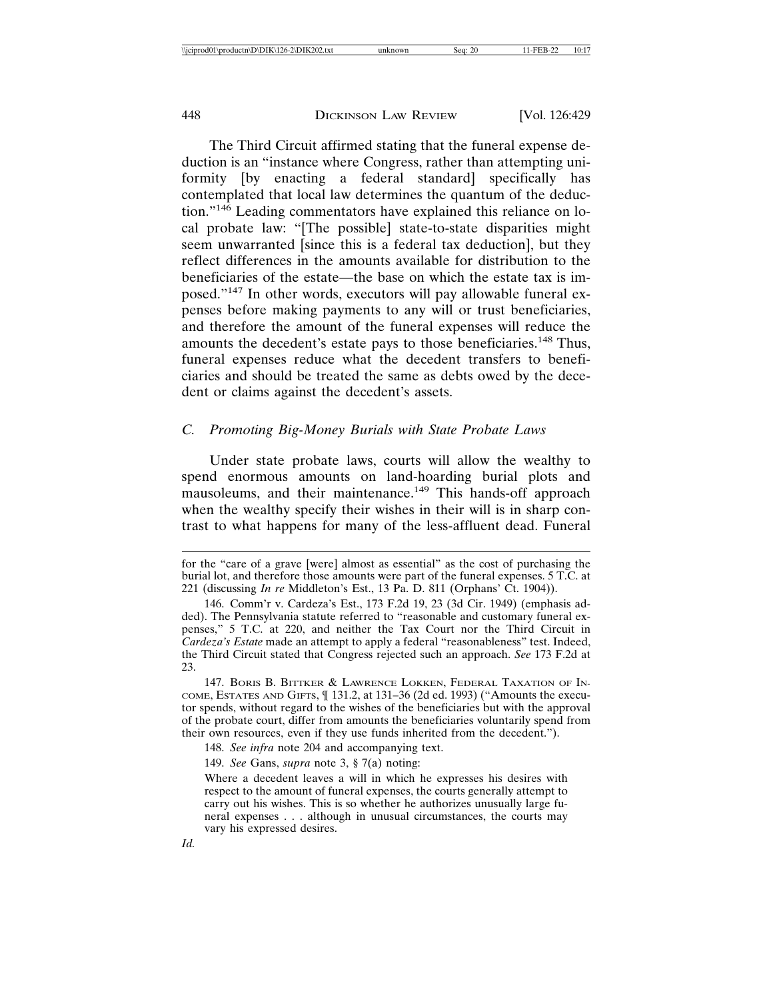The Third Circuit affirmed stating that the funeral expense deduction is an "instance where Congress, rather than attempting uniformity [by enacting a federal standard] specifically has contemplated that local law determines the quantum of the deduction."146 Leading commentators have explained this reliance on local probate law: "[The possible] state-to-state disparities might seem unwarranted [since this is a federal tax deduction], but they reflect differences in the amounts available for distribution to the beneficiaries of the estate—the base on which the estate tax is imposed."147 In other words, executors will pay allowable funeral expenses before making payments to any will or trust beneficiaries, and therefore the amount of the funeral expenses will reduce the amounts the decedent's estate pays to those beneficiaries.<sup>148</sup> Thus, funeral expenses reduce what the decedent transfers to beneficiaries and should be treated the same as debts owed by the decedent or claims against the decedent's assets.

# *C. Promoting Big-Money Burials with State Probate Laws*

Under state probate laws, courts will allow the wealthy to spend enormous amounts on land-hoarding burial plots and mausoleums, and their maintenance.<sup>149</sup> This hands-off approach when the wealthy specify their wishes in their will is in sharp contrast to what happens for many of the less-affluent dead. Funeral

*Id.*

for the "care of a grave [were] almost as essential" as the cost of purchasing the burial lot, and therefore those amounts were part of the funeral expenses. 5 T.C. at 221 (discussing *In re* Middleton's Est., 13 Pa. D. 811 (Orphans' Ct. 1904)).

<sup>146.</sup> Comm'r v. Cardeza's Est., 173 F.2d 19, 23 (3d Cir. 1949) (emphasis added). The Pennsylvania statute referred to "reasonable and customary funeral expenses," 5 T.C. at 220, and neither the Tax Court nor the Third Circuit in *Cardeza's Estate* made an attempt to apply a federal "reasonableness" test. Indeed, the Third Circuit stated that Congress rejected such an approach. *See* 173 F.2d at 23.

<sup>147.</sup> BORIS B. BITTKER & LAWRENCE LOKKEN, FEDERAL TAXATION OF IN-COME, ESTATES AND GIFTS, ¶ 131.2, at 131–36 (2d ed. 1993) ("Amounts the executor spends, without regard to the wishes of the beneficiaries but with the approval of the probate court, differ from amounts the beneficiaries voluntarily spend from their own resources, even if they use funds inherited from the decedent.").

<sup>148.</sup> *See infra* note 204 and accompanying text.

<sup>149.</sup> *See* Gans, *supra* note 3, § 7(a) noting:

Where a decedent leaves a will in which he expresses his desires with respect to the amount of funeral expenses, the courts generally attempt to carry out his wishes. This is so whether he authorizes unusually large funeral expenses . . . although in unusual circumstances, the courts may vary his expressed desires.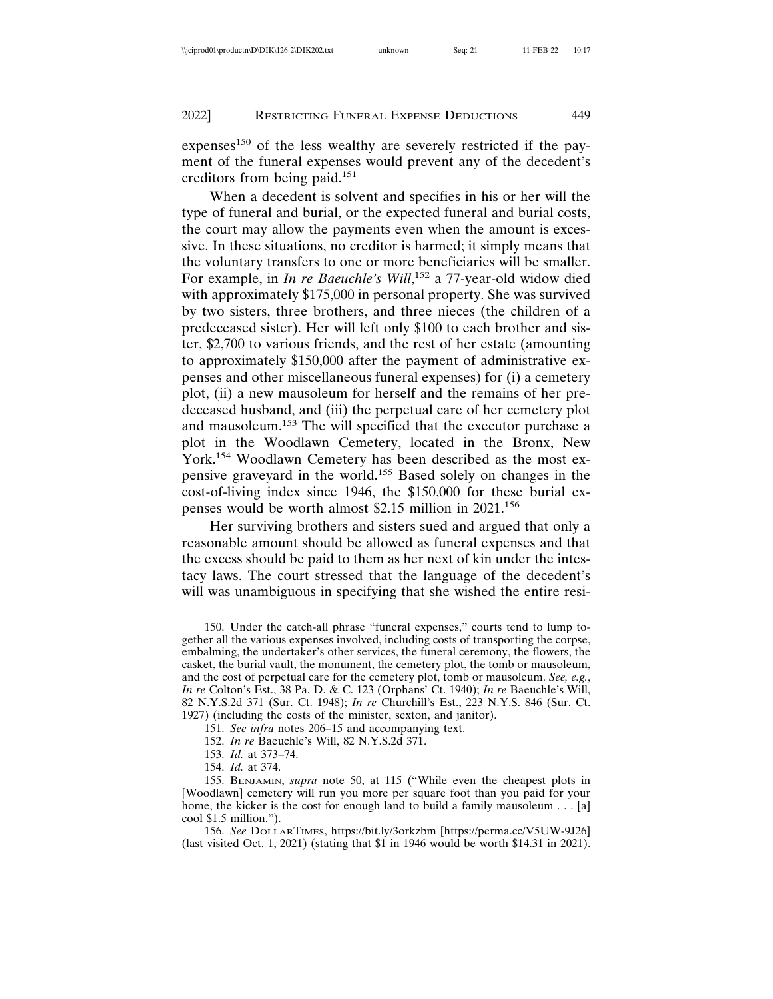expenses<sup>150</sup> of the less wealthy are severely restricted if the payment of the funeral expenses would prevent any of the decedent's creditors from being paid.<sup>151</sup>

When a decedent is solvent and specifies in his or her will the type of funeral and burial, or the expected funeral and burial costs, the court may allow the payments even when the amount is excessive. In these situations, no creditor is harmed; it simply means that the voluntary transfers to one or more beneficiaries will be smaller. For example, in *In re Baeuchle's Will*,<sup>152</sup> a 77-year-old widow died with approximately \$175,000 in personal property. She was survived by two sisters, three brothers, and three nieces (the children of a predeceased sister). Her will left only \$100 to each brother and sister, \$2,700 to various friends, and the rest of her estate (amounting to approximately \$150,000 after the payment of administrative expenses and other miscellaneous funeral expenses) for (i) a cemetery plot, (ii) a new mausoleum for herself and the remains of her predeceased husband, and (iii) the perpetual care of her cemetery plot and mausoleum.153 The will specified that the executor purchase a plot in the Woodlawn Cemetery, located in the Bronx, New York.154 Woodlawn Cemetery has been described as the most expensive graveyard in the world.155 Based solely on changes in the cost-of-living index since 1946, the \$150,000 for these burial expenses would be worth almost \$2.15 million in 2021.<sup>156</sup>

Her surviving brothers and sisters sued and argued that only a reasonable amount should be allowed as funeral expenses and that the excess should be paid to them as her next of kin under the intestacy laws. The court stressed that the language of the decedent's will was unambiguous in specifying that she wished the entire resi-

- 153. *Id.* at 373–74.
- 154. *Id.* at 374.

156. *See* DOLLARTIMES, https://bit.ly/3orkzbm [https://perma.cc/V5UW-9J26] (last visited Oct. 1, 2021) (stating that \$1 in 1946 would be worth \$14.31 in 2021).

<sup>150.</sup> Under the catch-all phrase "funeral expenses," courts tend to lump together all the various expenses involved, including costs of transporting the corpse, embalming, the undertaker's other services, the funeral ceremony, the flowers, the casket, the burial vault, the monument, the cemetery plot, the tomb or mausoleum, and the cost of perpetual care for the cemetery plot, tomb or mausoleum. *See, e.g.*, *In re* Colton's Est., 38 Pa. D. & C. 123 (Orphans' Ct. 1940); *In re* Baeuchle's Will, 82 N.Y.S.2d 371 (Sur. Ct. 1948); *In re* Churchill's Est., 223 N.Y.S. 846 (Sur. Ct. 1927) (including the costs of the minister, sexton, and janitor).

<sup>151.</sup> *See infra* notes 206–15 and accompanying text.

<sup>152.</sup> *In re* Baeuchle's Will, 82 N.Y.S.2d 371.

<sup>155.</sup> BENJAMIN, *supra* note 50, at 115 ("While even the cheapest plots in [Woodlawn] cemetery will run you more per square foot than you paid for your home, the kicker is the cost for enough land to build a family mausoleum . . . [a] cool \$1.5 million.").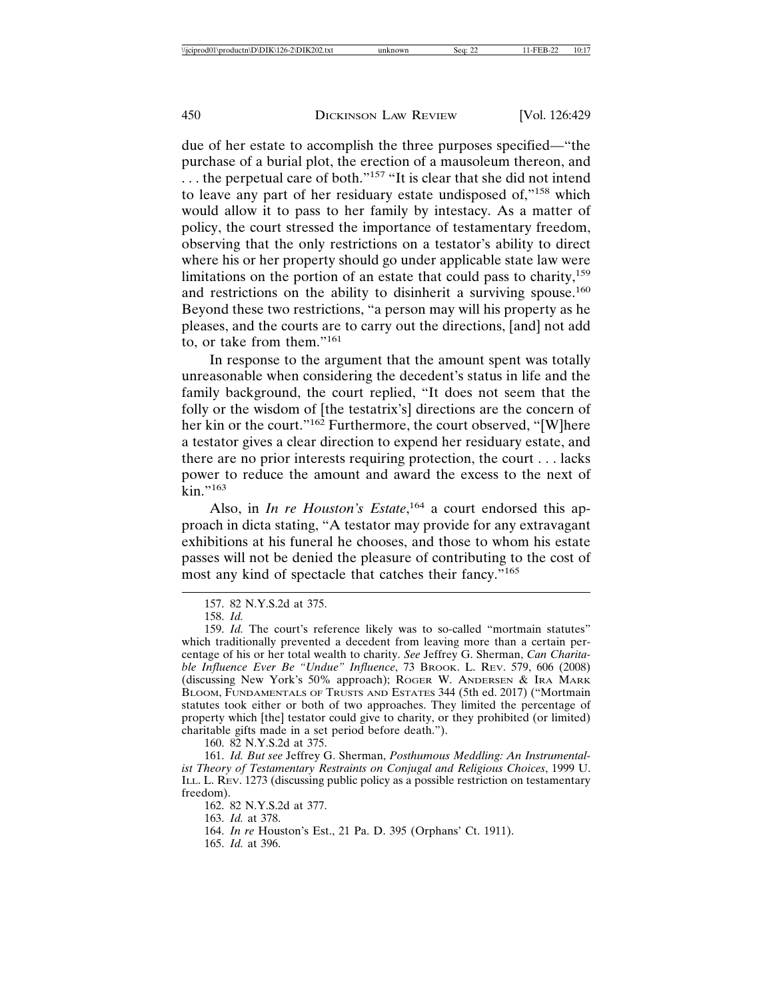due of her estate to accomplish the three purposes specified—"the purchase of a burial plot, the erection of a mausoleum thereon, and  $\ldots$  the perpetual care of both."<sup>157</sup> "It is clear that she did not intend to leave any part of her residuary estate undisposed of,"158 which would allow it to pass to her family by intestacy. As a matter of policy, the court stressed the importance of testamentary freedom, observing that the only restrictions on a testator's ability to direct where his or her property should go under applicable state law were limitations on the portion of an estate that could pass to charity, $159$ and restrictions on the ability to disinherit a surviving spouse.<sup>160</sup> Beyond these two restrictions, "a person may will his property as he pleases, and the courts are to carry out the directions, [and] not add to, or take from them."<sup>161</sup>

In response to the argument that the amount spent was totally unreasonable when considering the decedent's status in life and the family background, the court replied, "It does not seem that the folly or the wisdom of [the testatrix's] directions are the concern of her kin or the court."<sup>162</sup> Furthermore, the court observed, "[W]here a testator gives a clear direction to expend her residuary estate, and there are no prior interests requiring protection, the court . . . lacks power to reduce the amount and award the excess to the next of  $\mathrm{kin}$ ."163

Also, in *In re Houston's Estate*,<sup>164</sup> a court endorsed this approach in dicta stating, "A testator may provide for any extravagant exhibitions at his funeral he chooses, and those to whom his estate passes will not be denied the pleasure of contributing to the cost of most any kind of spectacle that catches their fancy."<sup>165</sup>

158. *Id.*

160. 82 N.Y.S.2d at 375.

161. *Id. But see* Jeffrey G. Sherman, *Posthumous Meddling: An Instrumentalist Theory of Testamentary Restraints on Conjugal and Religious Choices*, 1999 U. ILL. L. REV. 1273 (discussing public policy as a possible restriction on testamentary freedom).

162. 82 N.Y.S.2d at 377.

163. *Id.* at 378.

164. *In re* Houston's Est., 21 Pa. D. 395 (Orphans' Ct. 1911).

165. *Id.* at 396.

<sup>157. 82</sup> N.Y.S.2d at 375.

<sup>159.</sup> *Id.* The court's reference likely was to so-called "mortmain statutes" which traditionally prevented a decedent from leaving more than a certain percentage of his or her total wealth to charity. *See* Jeffrey G. Sherman, *Can Charitable Influence Ever Be "Undue" Influence*, 73 BROOK. L. REV. 579, 606 (2008) (discussing New York's 50% approach); ROGER W. ANDERSEN & IRA MARK BLOOM, FUNDAMENTALS OF TRUSTS AND ESTATES 344 (5th ed. 2017) ("Mortmain statutes took either or both of two approaches. They limited the percentage of property which [the] testator could give to charity, or they prohibited (or limited) charitable gifts made in a set period before death.").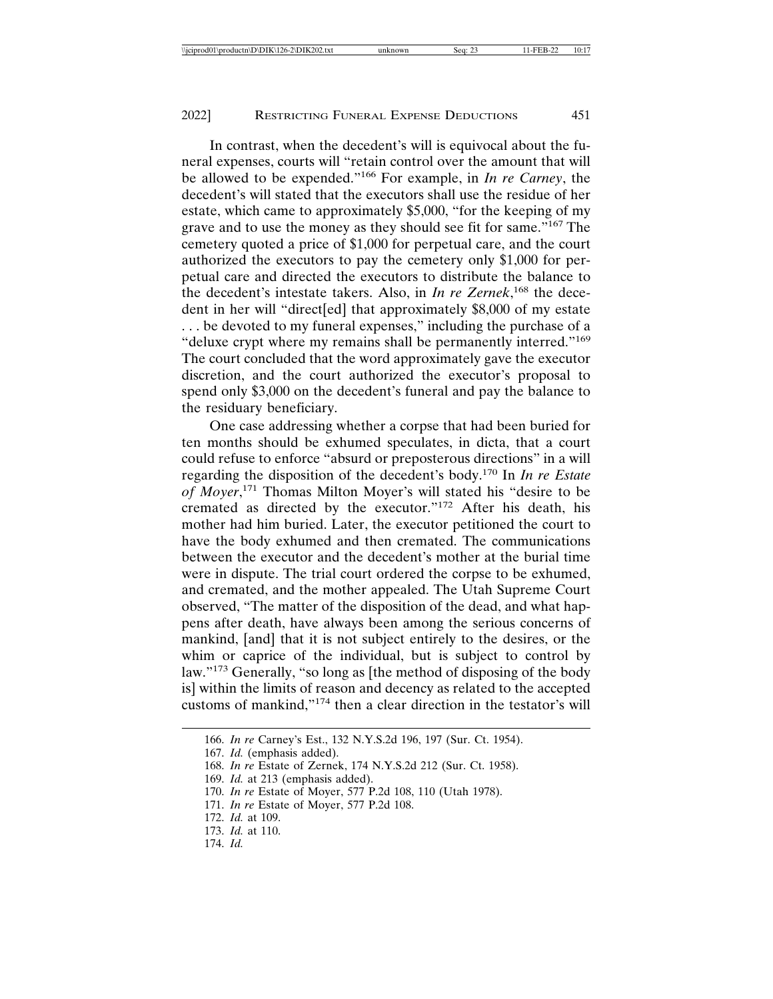In contrast, when the decedent's will is equivocal about the funeral expenses, courts will "retain control over the amount that will be allowed to be expended."166 For example, in *In re Carney*, the decedent's will stated that the executors shall use the residue of her estate, which came to approximately \$5,000, "for the keeping of my grave and to use the money as they should see fit for same."167 The cemetery quoted a price of \$1,000 for perpetual care, and the court authorized the executors to pay the cemetery only \$1,000 for perpetual care and directed the executors to distribute the balance to the decedent's intestate takers. Also, in *In re Zernek*, 168 the decedent in her will "direct[ed] that approximately \$8,000 of my estate ... be devoted to my funeral expenses," including the purchase of a "deluxe crypt where my remains shall be permanently interred."<sup>169</sup> The court concluded that the word approximately gave the executor discretion, and the court authorized the executor's proposal to spend only \$3,000 on the decedent's funeral and pay the balance to the residuary beneficiary.

One case addressing whether a corpse that had been buried for ten months should be exhumed speculates, in dicta, that a court could refuse to enforce "absurd or preposterous directions" in a will regarding the disposition of the decedent's body.170 In *In re Estate of Moyer*, 171 Thomas Milton Moyer's will stated his "desire to be cremated as directed by the executor."172 After his death, his mother had him buried. Later, the executor petitioned the court to have the body exhumed and then cremated. The communications between the executor and the decedent's mother at the burial time were in dispute. The trial court ordered the corpse to be exhumed, and cremated, and the mother appealed. The Utah Supreme Court observed, "The matter of the disposition of the dead, and what happens after death, have always been among the serious concerns of mankind, [and] that it is not subject entirely to the desires, or the whim or caprice of the individual, but is subject to control by law."173 Generally, "so long as [the method of disposing of the body is] within the limits of reason and decency as related to the accepted customs of mankind,"174 then a clear direction in the testator's will

<sup>166.</sup> *In re* Carney's Est., 132 N.Y.S.2d 196, 197 (Sur. Ct. 1954).

<sup>167.</sup> *Id.* (emphasis added).

<sup>168.</sup> *In re* Estate of Zernek, 174 N.Y.S.2d 212 (Sur. Ct. 1958).

<sup>169.</sup> *Id.* at 213 (emphasis added).

<sup>170.</sup> *In re* Estate of Moyer, 577 P.2d 108, 110 (Utah 1978).

<sup>171.</sup> *In re* Estate of Moyer, 577 P.2d 108.

<sup>172.</sup> *Id.* at 109.

<sup>173.</sup> *Id.* at 110.

<sup>174.</sup> *Id.*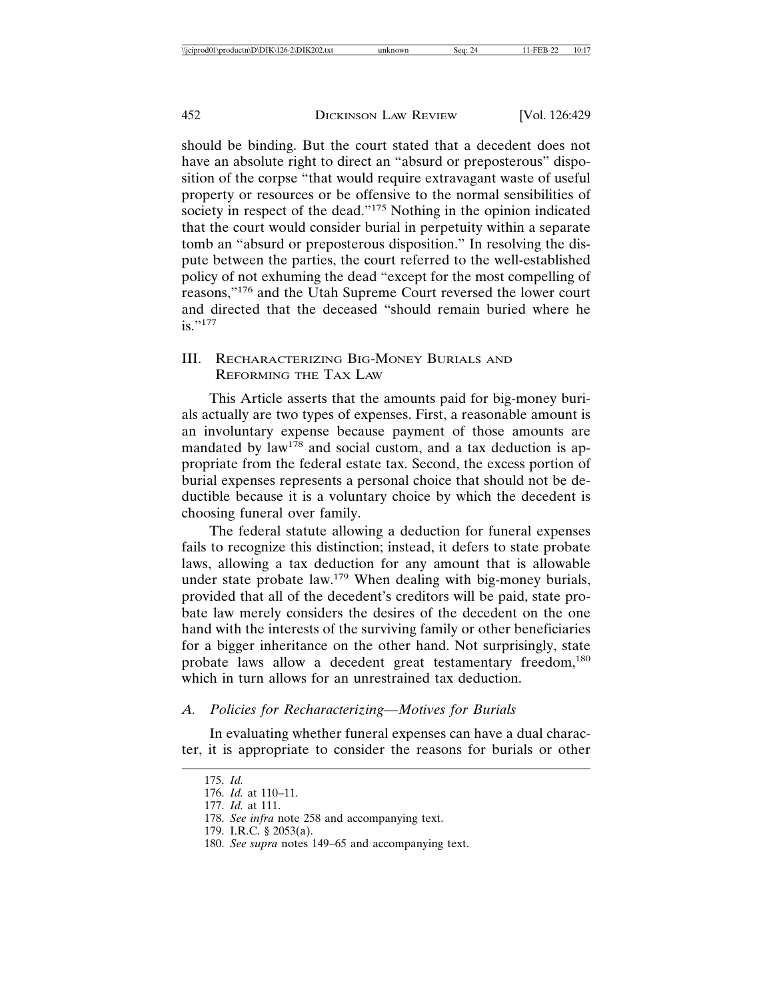should be binding. But the court stated that a decedent does not have an absolute right to direct an "absurd or preposterous" disposition of the corpse "that would require extravagant waste of useful property or resources or be offensive to the normal sensibilities of society in respect of the dead."<sup>175</sup> Nothing in the opinion indicated that the court would consider burial in perpetuity within a separate tomb an "absurd or preposterous disposition." In resolving the dispute between the parties, the court referred to the well-established policy of not exhuming the dead "except for the most compelling of reasons,"176 and the Utah Supreme Court reversed the lower court and directed that the deceased "should remain buried where he  $i$ s."177

# III. RECHARACTERIZING BIG-MONEY BURIALS AND REFORMING THE TAX LAW

This Article asserts that the amounts paid for big-money burials actually are two types of expenses. First, a reasonable amount is an involuntary expense because payment of those amounts are mandated by  $law^{178}$  and social custom, and a tax deduction is appropriate from the federal estate tax. Second, the excess portion of burial expenses represents a personal choice that should not be deductible because it is a voluntary choice by which the decedent is choosing funeral over family.

The federal statute allowing a deduction for funeral expenses fails to recognize this distinction; instead, it defers to state probate laws, allowing a tax deduction for any amount that is allowable under state probate law.179 When dealing with big-money burials, provided that all of the decedent's creditors will be paid, state probate law merely considers the desires of the decedent on the one hand with the interests of the surviving family or other beneficiaries for a bigger inheritance on the other hand. Not surprisingly, state probate laws allow a decedent great testamentary freedom,<sup>180</sup> which in turn allows for an unrestrained tax deduction.

#### *A. Policies for Recharacterizing—Motives for Burials*

In evaluating whether funeral expenses can have a dual character, it is appropriate to consider the reasons for burials or other

<sup>175.</sup> *Id.*

<sup>176.</sup> *Id.* at 110–11.

<sup>177.</sup> *Id.* at 111.

<sup>178.</sup> *See infra* note 258 and accompanying text.

<sup>179.</sup> I.R.C. § 2053(a).

<sup>180.</sup> *See supra* notes 149–65 and accompanying text.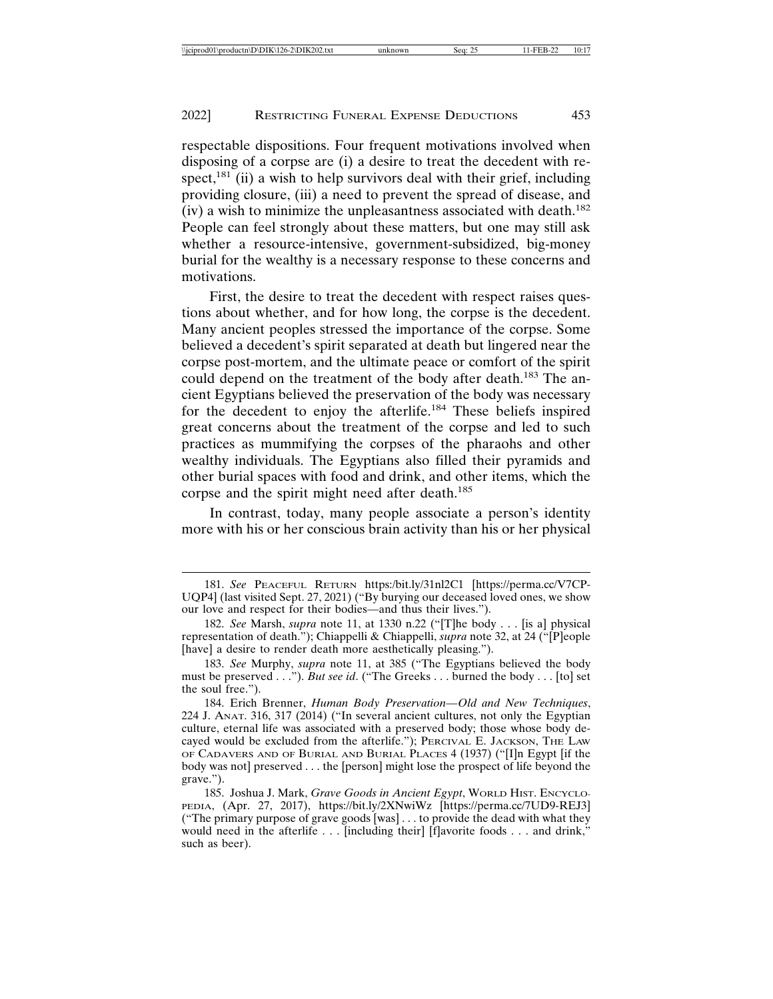respectable dispositions. Four frequent motivations involved when disposing of a corpse are (i) a desire to treat the decedent with respect,<sup>181</sup> (ii) a wish to help survivors deal with their grief, including providing closure, (iii) a need to prevent the spread of disease, and (iv) a wish to minimize the unpleasantness associated with death.<sup>182</sup> People can feel strongly about these matters, but one may still ask whether a resource-intensive, government-subsidized, big-money burial for the wealthy is a necessary response to these concerns and motivations.

First, the desire to treat the decedent with respect raises questions about whether, and for how long, the corpse is the decedent. Many ancient peoples stressed the importance of the corpse. Some believed a decedent's spirit separated at death but lingered near the corpse post-mortem, and the ultimate peace or comfort of the spirit could depend on the treatment of the body after death.<sup>183</sup> The ancient Egyptians believed the preservation of the body was necessary for the decedent to enjoy the afterlife.184 These beliefs inspired great concerns about the treatment of the corpse and led to such practices as mummifying the corpses of the pharaohs and other wealthy individuals. The Egyptians also filled their pyramids and other burial spaces with food and drink, and other items, which the corpse and the spirit might need after death.<sup>185</sup>

In contrast, today, many people associate a person's identity more with his or her conscious brain activity than his or her physical

<sup>181.</sup> *See* PEACEFUL RETURN https:/bit.ly/31nl2C1 [https://perma.cc/V7CP-UQP4] (last visited Sept. 27, 2021) ("By burying our deceased loved ones, we show our love and respect for their bodies—and thus their lives.").

<sup>182.</sup> *See* Marsh, *supra* note 11, at 1330 n.22 ("[T]he body . . . [is a] physical representation of death."); Chiappelli & Chiappelli, *supra* note 32, at 24 ("[P]eople [have] a desire to render death more aesthetically pleasing.").

<sup>183.</sup> *See* Murphy, *supra* note 11, at 385 ("The Egyptians believed the body must be preserved . . ."). *But see id*. ("The Greeks . . . burned the body . . . [to] set the soul free.").

<sup>184.</sup> Erich Brenner, *Human Body Preservation—Old and New Techniques*, 224 J. ANAT. 316, 317 (2014) ("In several ancient cultures, not only the Egyptian culture, eternal life was associated with a preserved body; those whose body decayed would be excluded from the afterlife."); PERCIVAL E. JACKSON, THE LAW OF CADAVERS AND OF BURIAL AND BURIAL PLACES 4 (1937) ("[I]n Egypt [if the body was not] preserved . . . the [person] might lose the prospect of life beyond the grave.").

<sup>185.</sup> Joshua J. Mark, *Grave Goods in Ancient Egypt*, WORLD HIST. ENCYCLO-PEDIA, (Apr. 27, 2017), https://bit.ly/2XNwiWz [https://perma.cc/7UD9-REJ3] ("The primary purpose of grave goods [was] . . . to provide the dead with what they would need in the afterlife . . . [including their] [f]avorite foods . . . and drink," such as beer).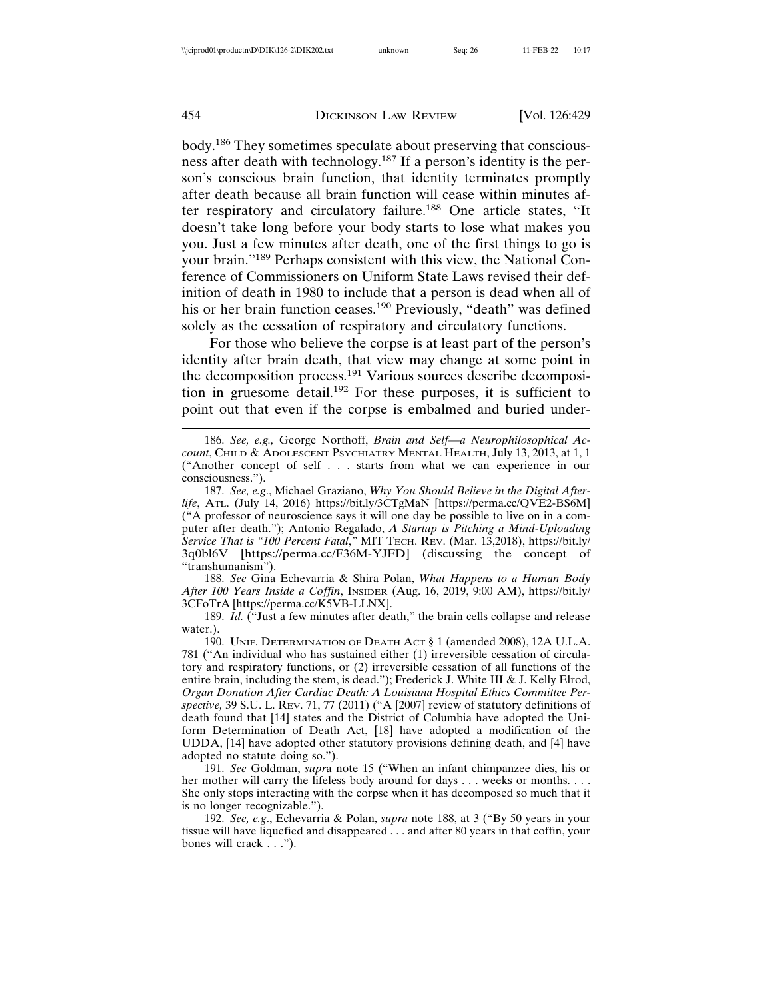body.186 They sometimes speculate about preserving that consciousness after death with technology.187 If a person's identity is the person's conscious brain function, that identity terminates promptly after death because all brain function will cease within minutes after respiratory and circulatory failure.<sup>188</sup> One article states, "It doesn't take long before your body starts to lose what makes you you. Just a few minutes after death, one of the first things to go is your brain."189 Perhaps consistent with this view, the National Conference of Commissioners on Uniform State Laws revised their definition of death in 1980 to include that a person is dead when all of his or her brain function ceases.<sup>190</sup> Previously, "death" was defined solely as the cessation of respiratory and circulatory functions.

For those who believe the corpse is at least part of the person's identity after brain death, that view may change at some point in the decomposition process.191 Various sources describe decomposition in gruesome detail.<sup>192</sup> For these purposes, it is sufficient to point out that even if the corpse is embalmed and buried under-

188. *See* Gina Echevarria & Shira Polan, *What Happens to a Human Body After 100 Years Inside a Coffin*, INSIDER (Aug. 16, 2019, 9:00 AM), https://bit.ly/ 3CFoTrA [https://perma.cc/K5VB-LLNX].

<sup>186.</sup> *See, e.g.,* George Northoff, *Brain and Self—a Neurophilosophical Account*, CHILD & ADOLESCENT PSYCHIATRY MENTAL HEALTH, July 13, 2013, at 1, 1 ("Another concept of self . . . starts from what we can experience in our consciousness.").

<sup>187.</sup> *See, e.g*., Michael Graziano, *Why You Should Believe in the Digital Afterlife*, ATL. (July 14, 2016) https://bit.ly/3CTgMaN [https://perma.cc/QVE2-BS6M] ("A professor of neuroscience says it will one day be possible to live on in a computer after death."); Antonio Regalado, *A Startup is Pitching a Mind-Uploading Service That is "100 Percent Fatal*,*"* MIT TECH. REV. (Mar. 13,2018), https://bit.ly/ 3q0bl6V [https://perma.cc/F36M-YJFD] (discussing the concept of "transhumanism").

<sup>189.</sup> *Id.* ("Just a few minutes after death," the brain cells collapse and release water.).

<sup>190.</sup> UNIF. DETERMINATION OF DEATH ACT § 1 (amended 2008), 12A U.L.A. 781 ("An individual who has sustained either (1) irreversible cessation of circulatory and respiratory functions, or (2) irreversible cessation of all functions of the entire brain, including the stem, is dead."); Frederick J. White III & J. Kelly Elrod, *Organ Donation After Cardiac Death: A Louisiana Hospital Ethics Committee Perspective,* 39 S.U. L. REV. 71, 77 (2011) ("A [2007] review of statutory definitions of death found that [14] states and the District of Columbia have adopted the Uniform Determination of Death Act, [18] have adopted a modification of the UDDA, [14] have adopted other statutory provisions defining death, and [4] have adopted no statute doing so.").

<sup>191.</sup> *See* Goldman, *supr*a note 15 ("When an infant chimpanzee dies, his or her mother will carry the lifeless body around for days . . . weeks or months. . . . She only stops interacting with the corpse when it has decomposed so much that it is no longer recognizable.").

<sup>192.</sup> *See, e.g*., Echevarria & Polan, *supra* note 188, at 3 ("By 50 years in your tissue will have liquefied and disappeared . . . and after 80 years in that coffin, your bones will crack . . .").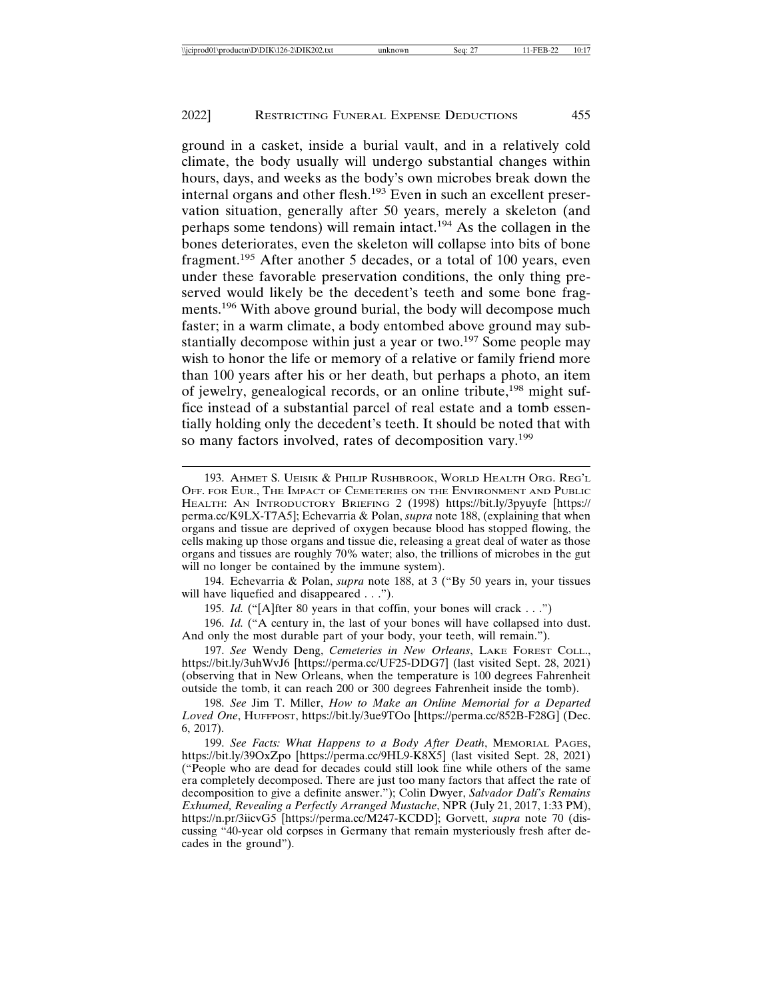ground in a casket, inside a burial vault, and in a relatively cold climate, the body usually will undergo substantial changes within hours, days, and weeks as the body's own microbes break down the internal organs and other flesh.193 Even in such an excellent preservation situation, generally after 50 years, merely a skeleton (and perhaps some tendons) will remain intact.194 As the collagen in the bones deteriorates, even the skeleton will collapse into bits of bone fragment.195 After another 5 decades, or a total of 100 years, even under these favorable preservation conditions, the only thing preserved would likely be the decedent's teeth and some bone fragments.196 With above ground burial, the body will decompose much faster; in a warm climate, a body entombed above ground may substantially decompose within just a year or two.<sup>197</sup> Some people may wish to honor the life or memory of a relative or family friend more than 100 years after his or her death, but perhaps a photo, an item of jewelry, genealogical records, or an online tribute,<sup>198</sup> might suffice instead of a substantial parcel of real estate and a tomb essentially holding only the decedent's teeth. It should be noted that with so many factors involved, rates of decomposition vary.<sup>199</sup>

194. Echevarria & Polan, *supra* note 188, at 3 ("By 50 years in, your tissues will have liquefied and disappeared . . .").

195. *Id.* ("[A]fter 80 years in that coffin, your bones will crack . . .")

196. *Id.* ("A century in, the last of your bones will have collapsed into dust. And only the most durable part of your body, your teeth, will remain.").

197. *See* Wendy Deng, *Cemeteries in New Orleans*, LAKE FOREST COLL., https://bit.ly/3uhWvJ6 [https://perma.cc/UF25-DDG7] (last visited Sept. 28, 2021) (observing that in New Orleans, when the temperature is 100 degrees Fahrenheit outside the tomb, it can reach 200 or 300 degrees Fahrenheit inside the tomb).

198. *See* Jim T. Miller, *How to Make an Online Memorial for a Departed Loved One*, HUFFPOST, https://bit.ly/3ue9TOo [https://perma.cc/852B-F28G] (Dec. 6, 2017).

<sup>193.</sup> AHMET S. UEISIK & PHILIP RUSHBROOK, WORLD HEALTH ORG. REG'L OFF. FOR EUR., THE IMPACT OF CEMETERIES ON THE ENVIRONMENT AND PUBLIC HEALTH: AN INTRODUCTORY BRIEFING 2 (1998) https://bit.ly/3pyuyfe [https:// perma.cc/K9LX-T7A5]; Echevarria & Polan, *supra* note 188, (explaining that when organs and tissue are deprived of oxygen because blood has stopped flowing, the cells making up those organs and tissue die, releasing a great deal of water as those organs and tissues are roughly 70% water; also, the trillions of microbes in the gut will no longer be contained by the immune system).

<sup>199.</sup> *See Facts: What Happens to a Body After Death*, MEMORIAL PAGES, https://bit.ly/39OxZpo [https://perma.cc/9HL9-K8X5] (last visited Sept. 28, 2021) ("People who are dead for decades could still look fine while others of the same era completely decomposed. There are just too many factors that affect the rate of decomposition to give a definite answer."); Colin Dwyer, *Salvador Dal´ı's Remains Exhumed, Revealing a Perfectly Arranged Mustache*, NPR (July 21, 2017, 1:33 PM), https://n.pr/3iicvG5 [https://perma.cc/M247-KCDD]; Gorvett, *supra* note 70 (discussing "40-year old corpses in Germany that remain mysteriously fresh after decades in the ground").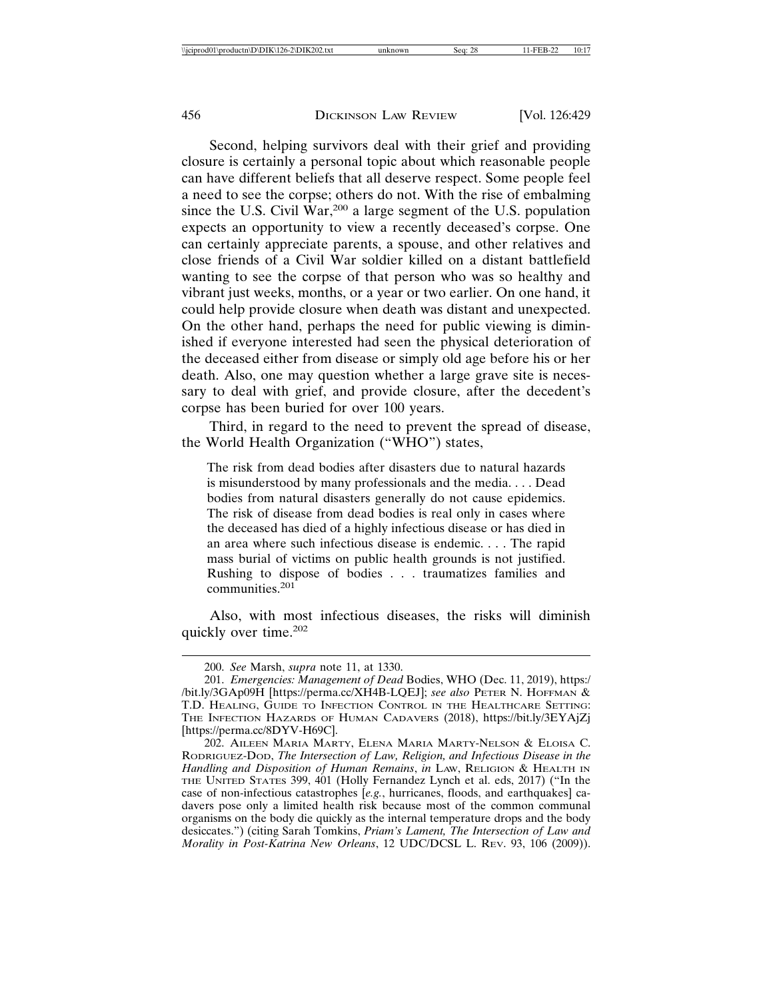Second, helping survivors deal with their grief and providing closure is certainly a personal topic about which reasonable people can have different beliefs that all deserve respect. Some people feel a need to see the corpse; others do not. With the rise of embalming since the U.S. Civil  $\hat{W}ar,^{200}$  a large segment of the U.S. population expects an opportunity to view a recently deceased's corpse. One can certainly appreciate parents, a spouse, and other relatives and close friends of a Civil War soldier killed on a distant battlefield wanting to see the corpse of that person who was so healthy and vibrant just weeks, months, or a year or two earlier. On one hand, it could help provide closure when death was distant and unexpected. On the other hand, perhaps the need for public viewing is diminished if everyone interested had seen the physical deterioration of the deceased either from disease or simply old age before his or her death. Also, one may question whether a large grave site is necessary to deal with grief, and provide closure, after the decedent's corpse has been buried for over 100 years.

Third, in regard to the need to prevent the spread of disease, the World Health Organization ("WHO") states,

The risk from dead bodies after disasters due to natural hazards is misunderstood by many professionals and the media. . . . Dead bodies from natural disasters generally do not cause epidemics. The risk of disease from dead bodies is real only in cases where the deceased has died of a highly infectious disease or has died in an area where such infectious disease is endemic. . . . The rapid mass burial of victims on public health grounds is not justified. Rushing to dispose of bodies . . . traumatizes families and communities.<sup>201</sup>

Also, with most infectious diseases, the risks will diminish quickly over time.<sup>202</sup>

<sup>200.</sup> *See* Marsh, *supra* note 11, at 1330.

<sup>201.</sup> *Emergencies: Management of Dead* Bodies, WHO (Dec. 11, 2019), https:/ /bit.ly/3GAp09H [https://perma.cc/XH4B-LQEJ]; *see also* PETER N. HOFFMAN & T.D. HEALING, GUIDE TO INFECTION CONTROL IN THE HEALTHCARE SETTING: THE INFECTION HAZARDS OF HUMAN CADAVERS (2018), https://bit.ly/3EYAjZj [https://perma.cc/8DYV-H69C].

<sup>202.</sup> AILEEN MARIA MARTY, ELENA MARIA MARTY-NELSON & ELOISA C. RODRIGUEZ-DOD, *The Intersection of Law, Religion, and Infectious Disease in the Handling and Disposition of Human Remains*, *in* LAW, RELIGION & HEALTH IN THE UNITED STATES 399, 401 (Holly Fernandez Lynch et al. eds, 2017) ("In the case of non-infectious catastrophes [*e.g.*, hurricanes, floods, and earthquakes] cadavers pose only a limited health risk because most of the common communal organisms on the body die quickly as the internal temperature drops and the body desiccates.") (citing Sarah Tomkins, *Priam's Lament, The Intersection of Law and Morality in Post-Katrina New Orleans*, 12 UDC/DCSL L. REV. 93, 106 (2009)).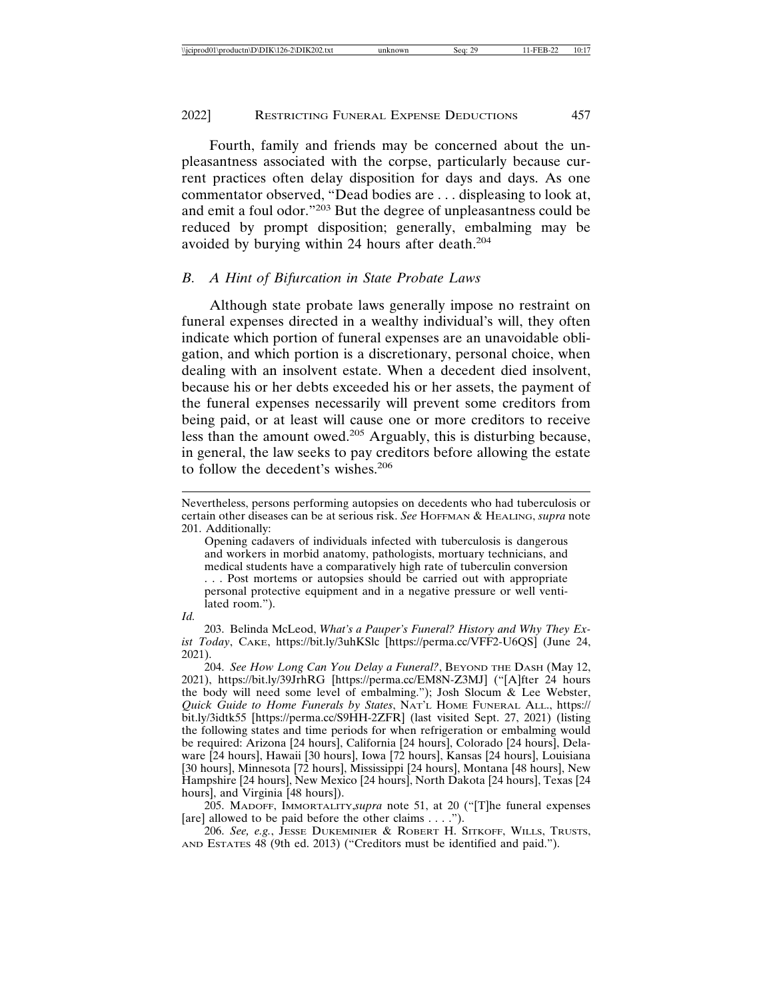Fourth, family and friends may be concerned about the unpleasantness associated with the corpse, particularly because current practices often delay disposition for days and days. As one commentator observed, "Dead bodies are . . . displeasing to look at, and emit a foul odor."203 But the degree of unpleasantness could be reduced by prompt disposition; generally, embalming may be avoided by burying within 24 hours after death.<sup>204</sup>

# *B. A Hint of Bifurcation in State Probate Laws*

Although state probate laws generally impose no restraint on funeral expenses directed in a wealthy individual's will, they often indicate which portion of funeral expenses are an unavoidable obligation, and which portion is a discretionary, personal choice, when dealing with an insolvent estate. When a decedent died insolvent, because his or her debts exceeded his or her assets, the payment of the funeral expenses necessarily will prevent some creditors from being paid, or at least will cause one or more creditors to receive less than the amount owed.205 Arguably, this is disturbing because, in general, the law seeks to pay creditors before allowing the estate to follow the decedent's wishes.<sup>206</sup>

Nevertheless, persons performing autopsies on decedents who had tuberculosis or certain other diseases can be at serious risk. *See* HOFFMAN & HEALING, *supra* note 201. Additionally:

Opening cadavers of individuals infected with tuberculosis is dangerous and workers in morbid anatomy, pathologists, mortuary technicians, and medical students have a comparatively high rate of tuberculin conversion . . . Post mortems or autopsies should be carried out with appropriate personal protective equipment and in a negative pressure or well ventilated room.").

*Id.*

<sup>203.</sup> Belinda McLeod, *What's a Pauper's Funeral? History and Why They Exist Today*, CAKE, https://bit.ly/3uhKSlc [https://perma.cc/VFF2-U6QS] (June 24, 2021).

<sup>204.</sup> *See How Long Can You Delay a Funeral?*, BEYOND THE DASH (May 12, 2021), https://bit.ly/39JrhRG [https://perma.cc/EM8N-Z3MJ] ("[A]fter 24 hours the body will need some level of embalming."); Josh Slocum & Lee Webster, *Quick Guide to Home Funerals by States*, NAT'L HOME FUNERAL ALL., https:// bit.ly/3idtk55 [https://perma.cc/S9HH-2ZFR] (last visited Sept. 27, 2021) (listing the following states and time periods for when refrigeration or embalming would be required: Arizona [24 hours], California [24 hours], Colorado [24 hours], Delaware [24 hours], Hawaii [30 hours], Iowa [72 hours], Kansas [24 hours], Louisiana [30 hours], Minnesota [72 hours], Mississippi [24 hours], Montana [48 hours], New Hampshire [24 hours], New Mexico [24 hours], North Dakota [24 hours], Texas [24 hours], and Virginia [48 hours]).

<sup>205.</sup> MADOFF, IMMORTALITY,*supra* note 51, at 20 ("[T]he funeral expenses [are] allowed to be paid before the other claims . . . .").

<sup>206.</sup> *See, e.g.*, JESSE DUKEMINIER & ROBERT H. SITKOFF, WILLS, TRUSTS, AND ESTATES 48 (9th ed. 2013) ("Creditors must be identified and paid.").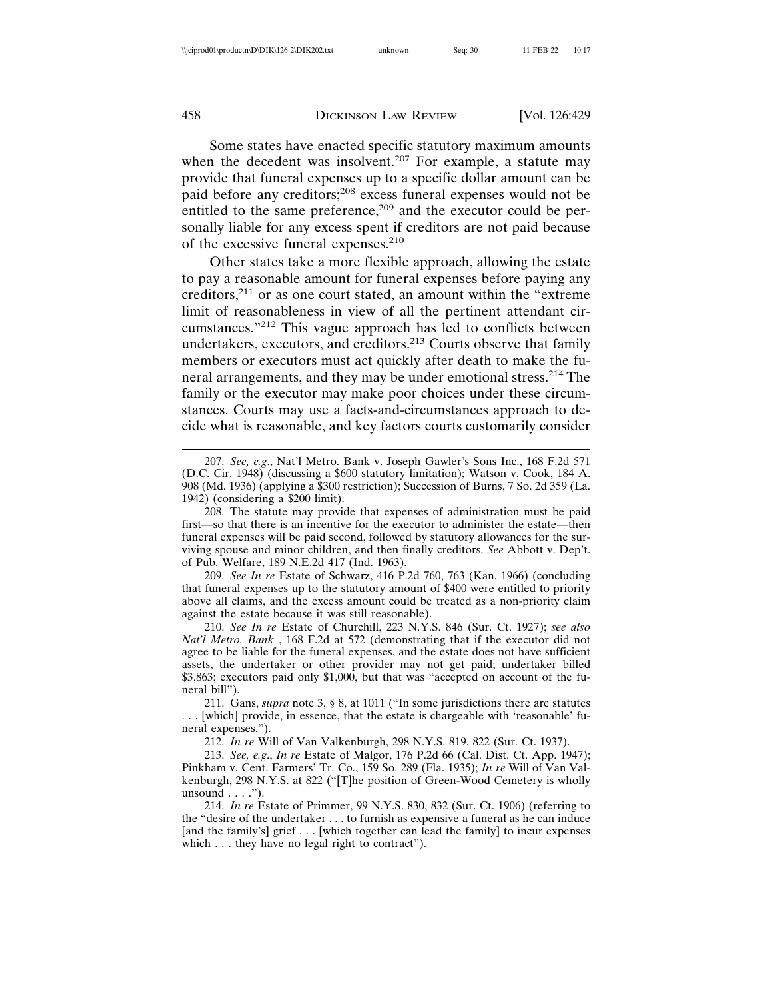Some states have enacted specific statutory maximum amounts when the decedent was insolvent.<sup>207</sup> For example, a statute may provide that funeral expenses up to a specific dollar amount can be paid before any creditors;208 excess funeral expenses would not be entitled to the same preference,<sup>209</sup> and the executor could be personally liable for any excess spent if creditors are not paid because of the excessive funeral expenses.<sup>210</sup>

Other states take a more flexible approach, allowing the estate to pay a reasonable amount for funeral expenses before paying any creditors,211 or as one court stated, an amount within the "extreme limit of reasonableness in view of all the pertinent attendant circumstances."212 This vague approach has led to conflicts between undertakers, executors, and creditors.213 Courts observe that family members or executors must act quickly after death to make the funeral arrangements, and they may be under emotional stress.214 The family or the executor may make poor choices under these circumstances. Courts may use a facts-and-circumstances approach to decide what is reasonable, and key factors courts customarily consider

209. *See In re* Estate of Schwarz, 416 P.2d 760, 763 (Kan. 1966) (concluding that funeral expenses up to the statutory amount of \$400 were entitled to priority above all claims, and the excess amount could be treated as a non-priority claim against the estate because it was still reasonable).

210. *See In re* Estate of Churchill, 223 N.Y.S. 846 (Sur. Ct. 1927); *see also Nat'l Metro. Bank* , 168 F.2d at 572 (demonstrating that if the executor did not agree to be liable for the funeral expenses, and the estate does not have sufficient assets, the undertaker or other provider may not get paid; undertaker billed \$3,863; executors paid only \$1,000, but that was "accepted on account of the funeral bill").

211. Gans, *supra* note 3, § 8, at 1011 ("In some jurisdictions there are statutes . . . [which] provide, in essence, that the estate is chargeable with 'reasonable' funeral expenses.").

212. *In re* Will of Van Valkenburgh, 298 N.Y.S. 819, 822 (Sur. Ct. 1937).

213. *See, e.g*., *In re* Estate of Malgor, 176 P.2d 66 (Cal. Dist. Ct. App. 1947); Pinkham v. Cent. Farmers' Tr. Co., 159 So. 289 (Fla. 1935); *In re* Will of Van Valkenburgh, 298 N.Y.S. at 822 ("[T]he position of Green-Wood Cemetery is wholly unsound  $\dots$  .").

214. *In re* Estate of Primmer, 99 N.Y.S. 830, 832 (Sur. Ct. 1906) (referring to the "desire of the undertaker . . . to furnish as expensive a funeral as he can induce [and the family's] grief . . . [which together can lead the family] to incur expenses which . . . they have no legal right to contract").

<sup>207.</sup> *See, e.g*., Nat'l Metro. Bank v. Joseph Gawler's Sons Inc., 168 F.2d 571 (D.C. Cir. 1948) (discussing a \$600 statutory limitation); Watson v. Cook, 184 A. 908 (Md. 1936) (applying a \$300 restriction); Succession of Burns, 7 So. 2d 359 (La. 1942) (considering a \$200 limit).

<sup>208.</sup> The statute may provide that expenses of administration must be paid first—so that there is an incentive for the executor to administer the estate—then funeral expenses will be paid second, followed by statutory allowances for the surviving spouse and minor children, and then finally creditors. *See* Abbott v. Dep't. of Pub. Welfare, 189 N.E.2d 417 (Ind. 1963).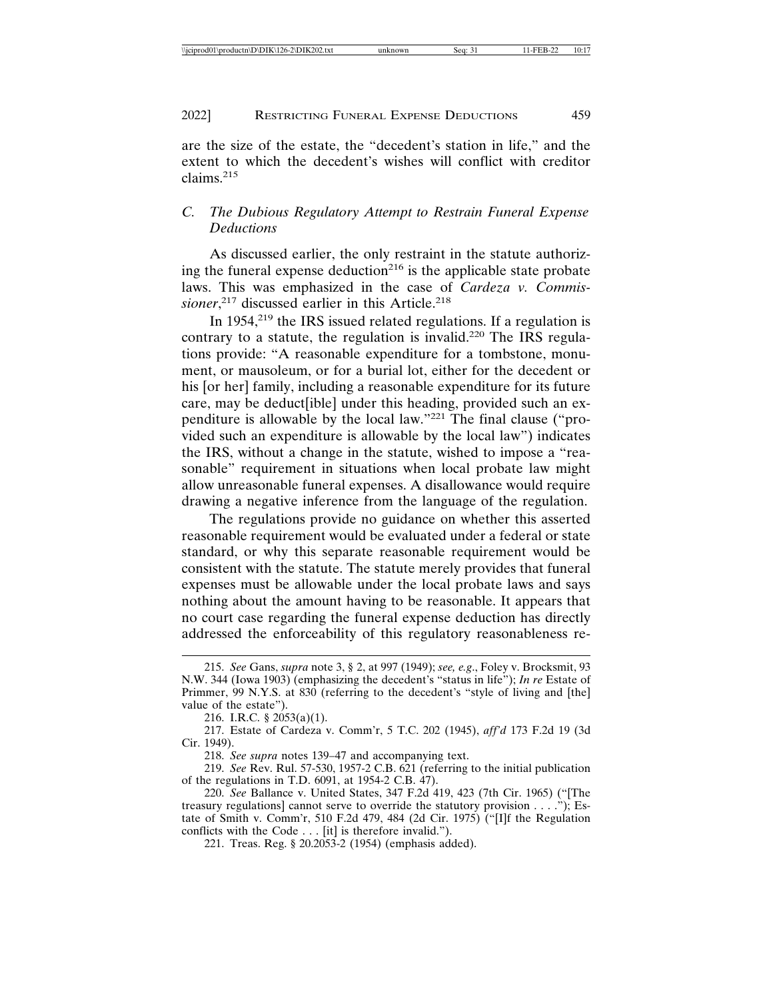are the size of the estate, the "decedent's station in life," and the extent to which the decedent's wishes will conflict with creditor claims.<sup>215</sup>

# *C. The Dubious Regulatory Attempt to Restrain Funeral Expense Deductions*

As discussed earlier, the only restraint in the statute authorizing the funeral expense deduction<sup>216</sup> is the applicable state probate laws. This was emphasized in the case of *Cardeza v. Commis*sioner,<sup>217</sup> discussed earlier in this Article.<sup>218</sup>

In 1954,219 the IRS issued related regulations. If a regulation is contrary to a statute, the regulation is invalid.<sup>220</sup> The IRS regulations provide: "A reasonable expenditure for a tombstone, monument, or mausoleum, or for a burial lot, either for the decedent or his [or her] family, including a reasonable expenditure for its future care, may be deduct[ible] under this heading, provided such an expenditure is allowable by the local law."221 The final clause ("provided such an expenditure is allowable by the local law") indicates the IRS, without a change in the statute, wished to impose a "reasonable" requirement in situations when local probate law might allow unreasonable funeral expenses. A disallowance would require drawing a negative inference from the language of the regulation.

The regulations provide no guidance on whether this asserted reasonable requirement would be evaluated under a federal or state standard, or why this separate reasonable requirement would be consistent with the statute. The statute merely provides that funeral expenses must be allowable under the local probate laws and says nothing about the amount having to be reasonable. It appears that no court case regarding the funeral expense deduction has directly addressed the enforceability of this regulatory reasonableness re-

<sup>215.</sup> *See* Gans, *supra* note 3, § 2, at 997 (1949); *see, e.g*., Foley v. Brocksmit, 93 N.W. 344 (Iowa 1903) (emphasizing the decedent's "status in life"); *In re* Estate of Primmer, 99 N.Y.S. at 830 (referring to the decedent's "style of living and [the] value of the estate").

<sup>216.</sup> I.R.C. § 2053(a)(1).

<sup>217.</sup> Estate of Cardeza v. Comm'r, 5 T.C. 202 (1945), *aff'd* 173 F.2d 19 (3d Cir. 1949).

<sup>218.</sup> *See supra* notes 139–47 and accompanying text.

<sup>219.</sup> *See* Rev. Rul. 57-530, 1957-2 C.B. 621 (referring to the initial publication of the regulations in T.D. 6091, at 1954-2 C.B. 47).

<sup>220.</sup> *See* Ballance v. United States, 347 F.2d 419, 423 (7th Cir. 1965) ("[The treasury regulations] cannot serve to override the statutory provision . . . ."); Estate of Smith v. Comm'r, 510 F.2d 479, 484 (2d Cir. 1975) ("[I]f the Regulation conflicts with the Code . . . [it] is therefore invalid.").

<sup>221.</sup> Treas. Reg. § 20.2053-2 (1954) (emphasis added).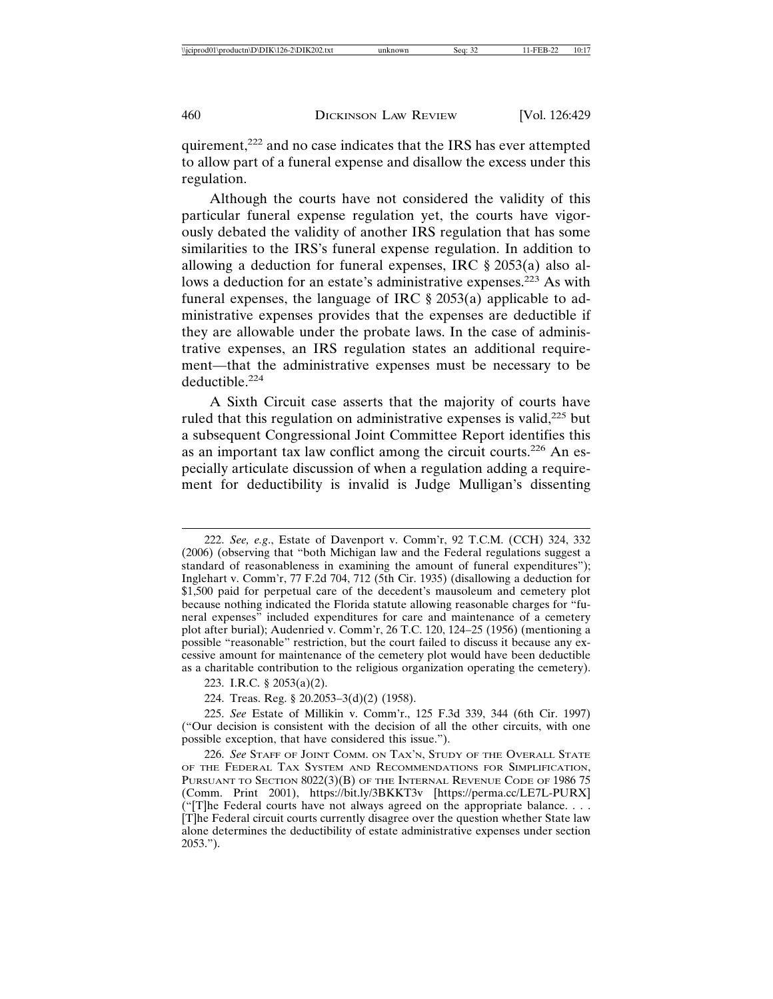quirement,<sup>222</sup> and no case indicates that the IRS has ever attempted to allow part of a funeral expense and disallow the excess under this regulation.

Although the courts have not considered the validity of this particular funeral expense regulation yet, the courts have vigorously debated the validity of another IRS regulation that has some similarities to the IRS's funeral expense regulation. In addition to allowing a deduction for funeral expenses, IRC § 2053(a) also allows a deduction for an estate's administrative expenses.<sup>223</sup> As with funeral expenses, the language of IRC § 2053(a) applicable to administrative expenses provides that the expenses are deductible if they are allowable under the probate laws. In the case of administrative expenses, an IRS regulation states an additional requirement—that the administrative expenses must be necessary to be deductible.<sup>224</sup>

A Sixth Circuit case asserts that the majority of courts have ruled that this regulation on administrative expenses is valid,<sup>225</sup> but a subsequent Congressional Joint Committee Report identifies this as an important tax law conflict among the circuit courts.<sup>226</sup> An especially articulate discussion of when a regulation adding a requirement for deductibility is invalid is Judge Mulligan's dissenting

224. Treas. Reg. § 20.2053–3(d)(2) (1958).

<sup>222.</sup> *See, e.g*., Estate of Davenport v. Comm'r, 92 T.C.M. (CCH) 324, 332 (2006) (observing that "both Michigan law and the Federal regulations suggest a standard of reasonableness in examining the amount of funeral expenditures"); Inglehart v. Comm'r, 77 F.2d 704, 712 (5th Cir. 1935) (disallowing a deduction for \$1,500 paid for perpetual care of the decedent's mausoleum and cemetery plot because nothing indicated the Florida statute allowing reasonable charges for "funeral expenses" included expenditures for care and maintenance of a cemetery plot after burial); Audenried v. Comm'r, 26 T.C. 120, 124–25 (1956) (mentioning a possible "reasonable" restriction, but the court failed to discuss it because any excessive amount for maintenance of the cemetery plot would have been deductible as a charitable contribution to the religious organization operating the cemetery).

<sup>223.</sup> I.R.C. § 2053(a)(2).

<sup>225.</sup> *See* Estate of Millikin v. Comm'r., 125 F.3d 339, 344 (6th Cir. 1997) ("Our decision is consistent with the decision of all the other circuits, with one possible exception, that have considered this issue.").

<sup>226.</sup> *See* STAFF OF JOINT COMM. ON TAX'N, STUDY OF THE OVERALL STATE OF THE FEDERAL TAX SYSTEM AND RECOMMENDATIONS FOR SIMPLIFICATION, PURSUANT TO SECTION 8022(3)(B) OF THE INTERNAL REVENUE CODE OF 1986 75 (Comm. Print 2001), https://bit.ly/3BKKT3v [https://perma.cc/LE7L-PURX] ("[T]he Federal courts have not always agreed on the appropriate balance. . . . [T]he Federal circuit courts currently disagree over the question whether State law alone determines the deductibility of estate administrative expenses under section 2053.").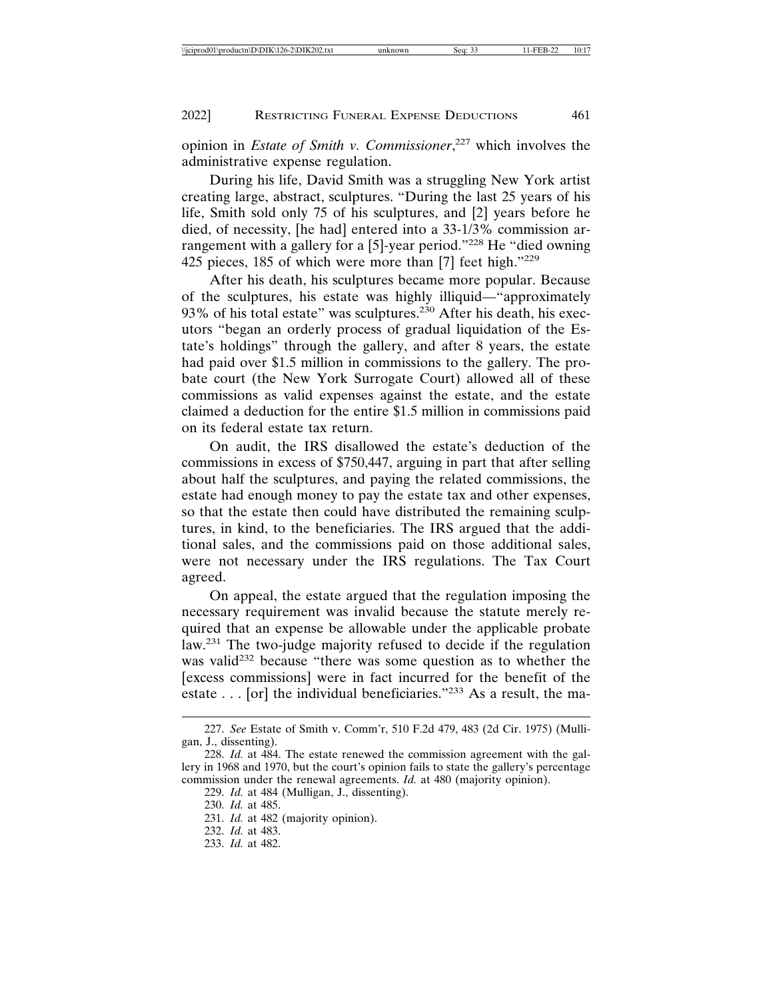opinion in *Estate of Smith v. Commissioner*, 227 which involves the administrative expense regulation.

During his life, David Smith was a struggling New York artist creating large, abstract, sculptures. "During the last 25 years of his life, Smith sold only 75 of his sculptures, and [2] years before he died, of necessity, [he had] entered into a 33-1/3% commission arrangement with a gallery for a [5]-year period."<sup>228</sup> He "died owning 425 pieces, 185 of which were more than [7] feet high."<sup>229</sup>

After his death, his sculptures became more popular. Because of the sculptures, his estate was highly illiquid—"approximately 93% of his total estate" was sculptures.<sup>230</sup> After his death, his executors "began an orderly process of gradual liquidation of the Estate's holdings" through the gallery, and after 8 years, the estate had paid over \$1.5 million in commissions to the gallery. The probate court (the New York Surrogate Court) allowed all of these commissions as valid expenses against the estate, and the estate claimed a deduction for the entire \$1.5 million in commissions paid on its federal estate tax return.

On audit, the IRS disallowed the estate's deduction of the commissions in excess of \$750,447, arguing in part that after selling about half the sculptures, and paying the related commissions, the estate had enough money to pay the estate tax and other expenses, so that the estate then could have distributed the remaining sculptures, in kind, to the beneficiaries. The IRS argued that the additional sales, and the commissions paid on those additional sales, were not necessary under the IRS regulations. The Tax Court agreed.

On appeal, the estate argued that the regulation imposing the necessary requirement was invalid because the statute merely required that an expense be allowable under the applicable probate law.<sup>231</sup> The two-judge majority refused to decide if the regulation was valid<sup>232</sup> because "there was some question as to whether the [excess commissions] were in fact incurred for the benefit of the estate  $\ldots$  [or] the individual beneficiaries."<sup>233</sup> As a result, the ma-

230. *Id.* at 485.

231. *Id.* at 482 (majority opinion).

232. *Id.* at 483.

<sup>227.</sup> *See* Estate of Smith v. Comm'r, 510 F.2d 479, 483 (2d Cir. 1975) (Mulligan, J., dissenting).

<sup>228.</sup> *Id.* at 484. The estate renewed the commission agreement with the gallery in 1968 and 1970, but the court's opinion fails to state the gallery's percentage commission under the renewal agreements. *Id.* at 480 (majority opinion).

<sup>229.</sup> *Id.* at 484 (Mulligan, J., dissenting).

<sup>233.</sup> *Id.* at 482.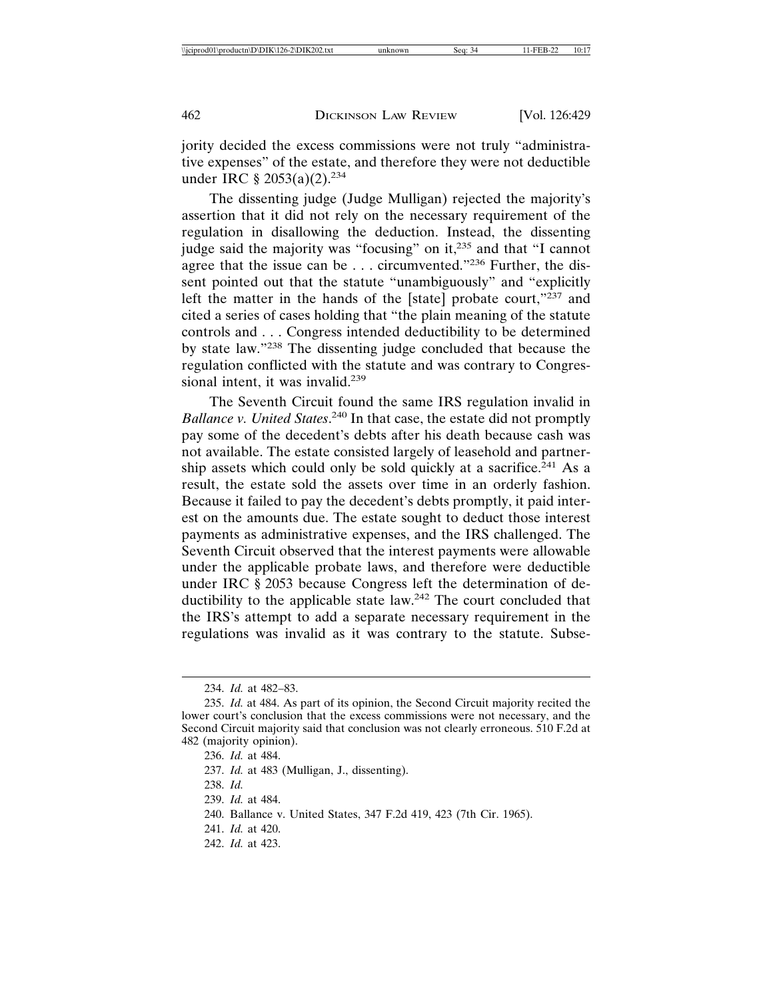jority decided the excess commissions were not truly "administrative expenses" of the estate, and therefore they were not deductible under IRC  $\S 2053(a)(2).^{234}$ 

The dissenting judge (Judge Mulligan) rejected the majority's assertion that it did not rely on the necessary requirement of the regulation in disallowing the deduction. Instead, the dissenting judge said the majority was "focusing" on it,<sup>235</sup> and that "I cannot agree that the issue can be . . . circumvented."<sup>236</sup> Further, the dissent pointed out that the statute "unambiguously" and "explicitly left the matter in the hands of the [state] probate court,"<sup>237</sup> and cited a series of cases holding that "the plain meaning of the statute controls and . . . Congress intended deductibility to be determined by state law."238 The dissenting judge concluded that because the regulation conflicted with the statute and was contrary to Congressional intent, it was invalid.<sup>239</sup>

The Seventh Circuit found the same IRS regulation invalid in *Ballance v. United States*. 240 In that case, the estate did not promptly pay some of the decedent's debts after his death because cash was not available. The estate consisted largely of leasehold and partnership assets which could only be sold quickly at a sacrifice.<sup>241</sup> As a result, the estate sold the assets over time in an orderly fashion. Because it failed to pay the decedent's debts promptly, it paid interest on the amounts due. The estate sought to deduct those interest payments as administrative expenses, and the IRS challenged. The Seventh Circuit observed that the interest payments were allowable under the applicable probate laws, and therefore were deductible under IRC § 2053 because Congress left the determination of deductibility to the applicable state law.<sup>242</sup> The court concluded that the IRS's attempt to add a separate necessary requirement in the regulations was invalid as it was contrary to the statute. Subse-

242. *Id.* at 423.

<sup>234.</sup> *Id.* at 482–83.

<sup>235.</sup> *Id.* at 484. As part of its opinion, the Second Circuit majority recited the lower court's conclusion that the excess commissions were not necessary, and the Second Circuit majority said that conclusion was not clearly erroneous. 510 F.2d at 482 (majority opinion).

<sup>236.</sup> *Id.* at 484.

<sup>237.</sup> *Id.* at 483 (Mulligan, J., dissenting).

<sup>238.</sup> *Id.*

<sup>239.</sup> *Id.* at 484.

<sup>240.</sup> Ballance v. United States, 347 F.2d 419, 423 (7th Cir. 1965).

<sup>241.</sup> *Id.* at 420.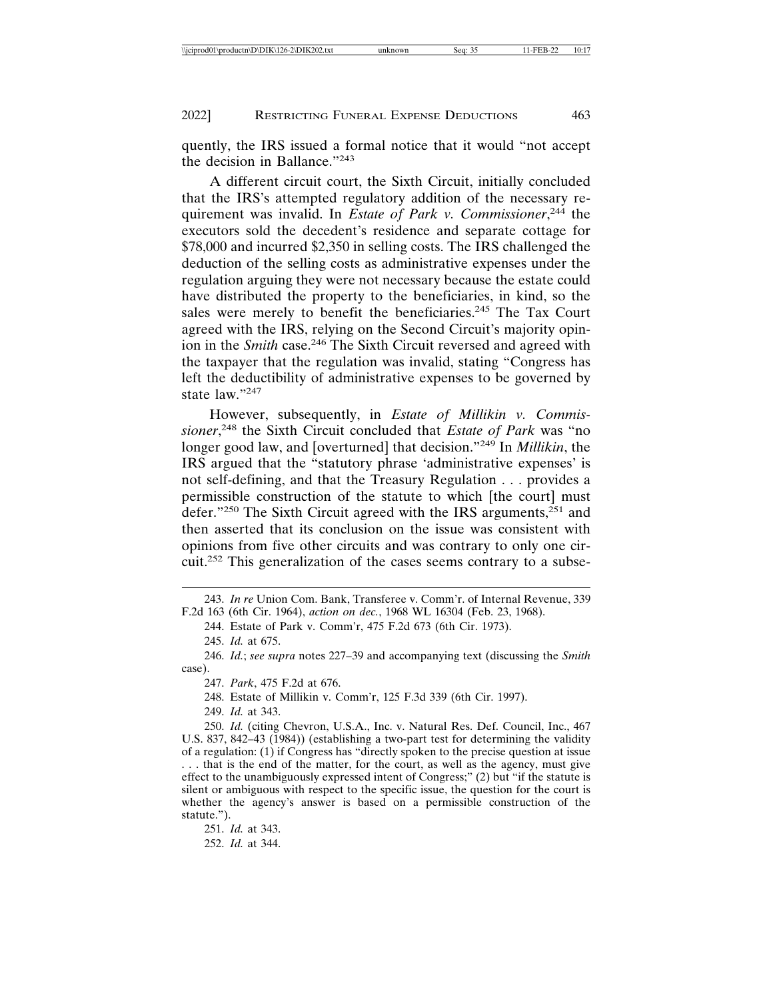quently, the IRS issued a formal notice that it would "not accept the decision in Ballance."<sup>243</sup>

A different circuit court, the Sixth Circuit, initially concluded that the IRS's attempted regulatory addition of the necessary requirement was invalid. In *Estate of Park v. Commissioner*, 244 the executors sold the decedent's residence and separate cottage for \$78,000 and incurred \$2,350 in selling costs. The IRS challenged the deduction of the selling costs as administrative expenses under the regulation arguing they were not necessary because the estate could have distributed the property to the beneficiaries, in kind, so the sales were merely to benefit the beneficiaries.<sup>245</sup> The Tax Court agreed with the IRS, relying on the Second Circuit's majority opinion in the *Smith* case.<sup>246</sup> The Sixth Circuit reversed and agreed with the taxpayer that the regulation was invalid, stating "Congress has left the deductibility of administrative expenses to be governed by state law."<sup>247</sup>

However, subsequently, in *Estate of Millikin v. Commissioner*, 248 the Sixth Circuit concluded that *Estate of Park* was "no longer good law, and [overturned] that decision."<sup>249</sup> In *Millikin*, the IRS argued that the "statutory phrase 'administrative expenses' is not self-defining, and that the Treasury Regulation . . . provides a permissible construction of the statute to which [the court] must defer."<sup>250</sup> The Sixth Circuit agreed with the IRS arguments, $251$  and then asserted that its conclusion on the issue was consistent with opinions from five other circuits and was contrary to only one circuit.252 This generalization of the cases seems contrary to a subse-

243. *In re* Union Com. Bank, Transferee v. Comm'r. of Internal Revenue, 339 F.2d 163 (6th Cir. 1964), *action on dec.*, 1968 WL 16304 (Feb. 23, 1968).

244. Estate of Park v. Comm'r, 475 F.2d 673 (6th Cir. 1973).

245. *Id.* at 675.

246. *Id.*; *see supra* notes 227–39 and accompanying text (discussing the *Smith* case).

247. *Park*, 475 F.2d at 676.

248. Estate of Millikin v. Comm'r, 125 F.3d 339 (6th Cir. 1997).

249. *Id.* at 343.

250. *Id.* (citing Chevron, U.S.A., Inc. v. Natural Res. Def. Council, Inc., 467 U.S. 837, 842–43 (1984)) (establishing a two-part test for determining the validity of a regulation: (1) if Congress has "directly spoken to the precise question at issue . . . that is the end of the matter, for the court, as well as the agency, must give effect to the unambiguously expressed intent of Congress;" (2) but "if the statute is silent or ambiguous with respect to the specific issue, the question for the court is whether the agency's answer is based on a permissible construction of the statute.").

251. *Id.* at 343. 252. *Id.* at 344.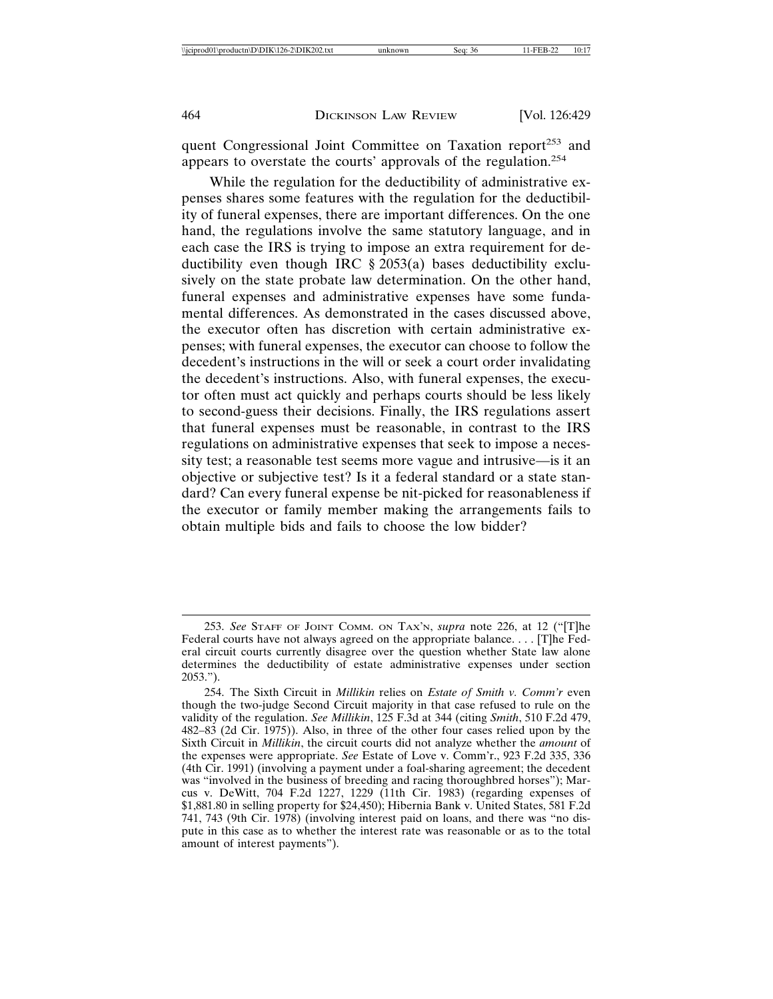quent Congressional Joint Committee on Taxation report<sup>253</sup> and appears to overstate the courts' approvals of the regulation.<sup>254</sup>

While the regulation for the deductibility of administrative expenses shares some features with the regulation for the deductibility of funeral expenses, there are important differences. On the one hand, the regulations involve the same statutory language, and in each case the IRS is trying to impose an extra requirement for deductibility even though IRC § 2053(a) bases deductibility exclusively on the state probate law determination. On the other hand, funeral expenses and administrative expenses have some fundamental differences. As demonstrated in the cases discussed above, the executor often has discretion with certain administrative expenses; with funeral expenses, the executor can choose to follow the decedent's instructions in the will or seek a court order invalidating the decedent's instructions. Also, with funeral expenses, the executor often must act quickly and perhaps courts should be less likely to second-guess their decisions. Finally, the IRS regulations assert that funeral expenses must be reasonable, in contrast to the IRS regulations on administrative expenses that seek to impose a necessity test; a reasonable test seems more vague and intrusive—is it an objective or subjective test? Is it a federal standard or a state standard? Can every funeral expense be nit-picked for reasonableness if the executor or family member making the arrangements fails to obtain multiple bids and fails to choose the low bidder?

<sup>253.</sup> *See* STAFF OF JOINT COMM. ON TAX'N, *supra* note 226, at 12 ("[T]he Federal courts have not always agreed on the appropriate balance. . . . [T]he Federal circuit courts currently disagree over the question whether State law alone determines the deductibility of estate administrative expenses under section 2053.").

<sup>254.</sup> The Sixth Circuit in *Millikin* relies on *Estate of Smith v. Comm'r* even though the two-judge Second Circuit majority in that case refused to rule on the validity of the regulation. *See Millikin*, 125 F.3d at 344 (citing *Smith*, 510 F.2d 479, 482–83 (2d Cir. 1975)). Also, in three of the other four cases relied upon by the Sixth Circuit in *Millikin*, the circuit courts did not analyze whether the *amount* of the expenses were appropriate. *See* Estate of Love v. Comm'r., 923 F.2d 335, 336 (4th Cir. 1991) (involving a payment under a foal-sharing agreement; the decedent was "involved in the business of breeding and racing thoroughbred horses"); Marcus v. DeWitt, 704 F.2d 1227, 1229 (11th Cir. 1983) (regarding expenses of \$1,881.80 in selling property for \$24,450); Hibernia Bank v. United States, 581 F.2d 741, 743 (9th Cir. 1978) (involving interest paid on loans, and there was "no dispute in this case as to whether the interest rate was reasonable or as to the total amount of interest payments").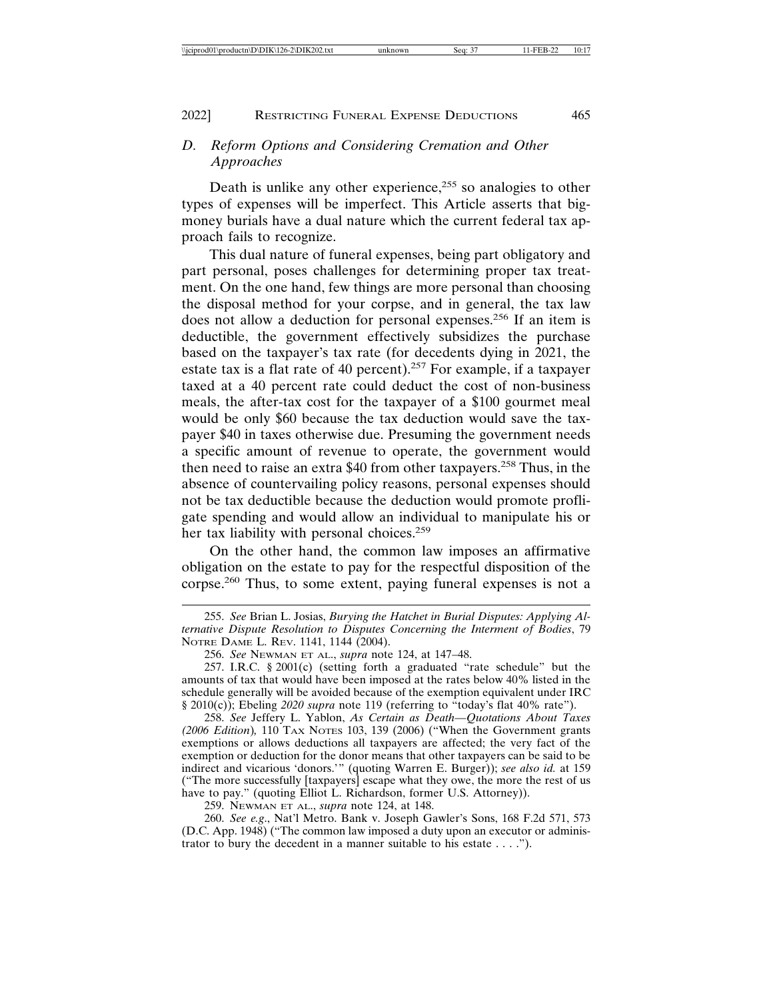#### 2022] RESTRICTING FUNERAL EXPENSE DEDUCTIONS 465

# *D. Reform Options and Considering Cremation and Other Approaches*

Death is unlike any other experience,<sup> $255$ </sup> so analogies to other types of expenses will be imperfect. This Article asserts that bigmoney burials have a dual nature which the current federal tax approach fails to recognize.

This dual nature of funeral expenses, being part obligatory and part personal, poses challenges for determining proper tax treatment. On the one hand, few things are more personal than choosing the disposal method for your corpse, and in general, the tax law does not allow a deduction for personal expenses.256 If an item is deductible, the government effectively subsidizes the purchase based on the taxpayer's tax rate (for decedents dying in 2021, the estate tax is a flat rate of 40 percent).<sup>257</sup> For example, if a taxpayer taxed at a 40 percent rate could deduct the cost of non-business meals, the after-tax cost for the taxpayer of a \$100 gourmet meal would be only \$60 because the tax deduction would save the taxpayer \$40 in taxes otherwise due. Presuming the government needs a specific amount of revenue to operate, the government would then need to raise an extra \$40 from other taxpayers.258 Thus, in the absence of countervailing policy reasons, personal expenses should not be tax deductible because the deduction would promote profligate spending and would allow an individual to manipulate his or her tax liability with personal choices.<sup>259</sup>

On the other hand, the common law imposes an affirmative obligation on the estate to pay for the respectful disposition of the corpse.260 Thus, to some extent, paying funeral expenses is not a

258. *See* Jeffery L. Yablon, *As Certain as Death—Quotations About Taxes (2006 Edition*)*,* 110 TAX NOTES 103, 139 (2006) ("When the Government grants exemptions or allows deductions all taxpayers are affected; the very fact of the exemption or deduction for the donor means that other taxpayers can be said to be indirect and vicarious 'donors.'" (quoting Warren E. Burger)); *see also id.* at 159 ("The more successfully [taxpayers] escape what they owe, the more the rest of us have to pay." (quoting Elliot L. Richardson, former U.S. Attorney)).

259. NEWMAN ET AL., *supra* note 124, at 148.

260. *See e.g*., Nat'l Metro. Bank v. Joseph Gawler's Sons, 168 F.2d 571, 573 (D.C. App. 1948) ("The common law imposed a duty upon an executor or administrator to bury the decedent in a manner suitable to his estate . . . .").

<sup>255.</sup> *See* Brian L. Josias, *Burying the Hatchet in Burial Disputes: Applying Alternative Dispute Resolution to Disputes Concerning the Interment of Bodies*, 79 NOTRE DAME L. REV. 1141, 1144 (2004).

<sup>256.</sup> *See* NEWMAN ET AL., *supra* note 124, at 147–48.

<sup>257.</sup> I.R.C. § 2001(c) (setting forth a graduated "rate schedule" but the amounts of tax that would have been imposed at the rates below 40% listed in the schedule generally will be avoided because of the exemption equivalent under IRC § 2010(c)); Ebeling *2020 supra* note 119 (referring to "today's flat 40% rate").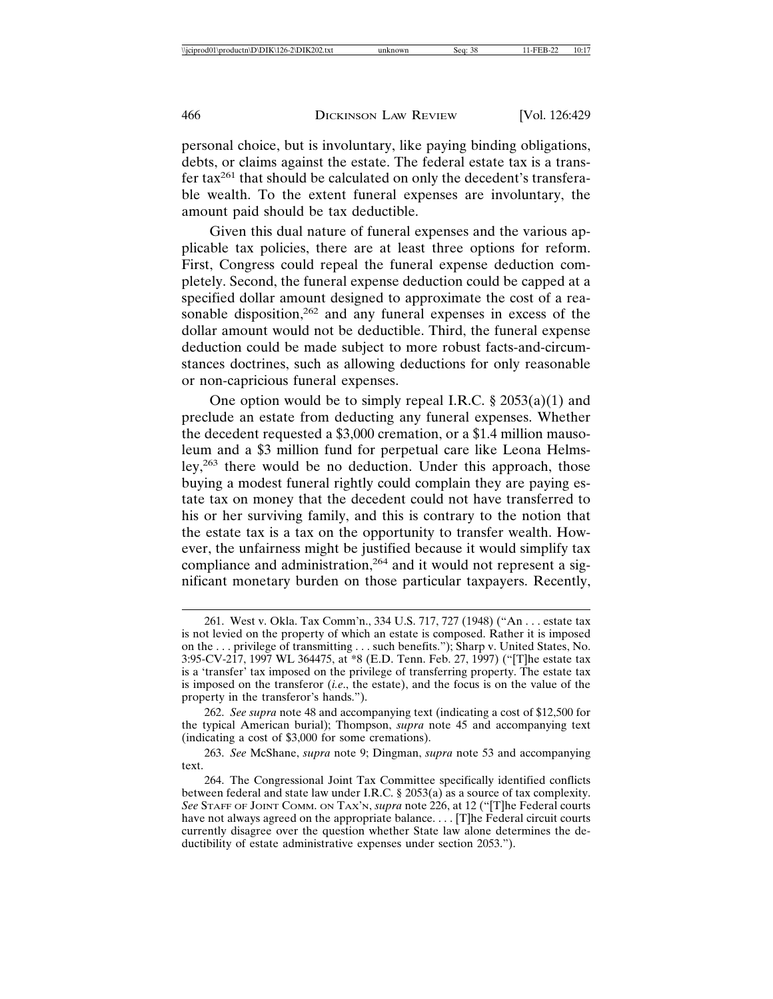personal choice, but is involuntary, like paying binding obligations, debts, or claims against the estate. The federal estate tax is a transfer tax261 that should be calculated on only the decedent's transferable wealth. To the extent funeral expenses are involuntary, the amount paid should be tax deductible.

Given this dual nature of funeral expenses and the various applicable tax policies, there are at least three options for reform. First, Congress could repeal the funeral expense deduction completely. Second, the funeral expense deduction could be capped at a specified dollar amount designed to approximate the cost of a reasonable disposition,<sup>262</sup> and any funeral expenses in excess of the dollar amount would not be deductible. Third, the funeral expense deduction could be made subject to more robust facts-and-circumstances doctrines, such as allowing deductions for only reasonable or non-capricious funeral expenses.

One option would be to simply repeal I.R.C.  $\S 2053(a)(1)$  and preclude an estate from deducting any funeral expenses. Whether the decedent requested a \$3,000 cremation, or a \$1.4 million mausoleum and a \$3 million fund for perpetual care like Leona Helmsley,263 there would be no deduction. Under this approach, those buying a modest funeral rightly could complain they are paying estate tax on money that the decedent could not have transferred to his or her surviving family, and this is contrary to the notion that the estate tax is a tax on the opportunity to transfer wealth. However, the unfairness might be justified because it would simplify tax compliance and administration,<sup>264</sup> and it would not represent a significant monetary burden on those particular taxpayers. Recently,

<sup>261.</sup> West v. Okla. Tax Comm'n., 334 U.S. 717, 727 (1948) ("An . . . estate tax is not levied on the property of which an estate is composed. Rather it is imposed on the . . . privilege of transmitting . . . such benefits."); Sharp v. United States, No. 3:95-CV-217, 1997 WL 364475, at \*8 (E.D. Tenn. Feb. 27, 1997) ("[T]he estate tax is a 'transfer' tax imposed on the privilege of transferring property. The estate tax is imposed on the transferor (*i.e*., the estate), and the focus is on the value of the property in the transferor's hands.").

<sup>262.</sup> *See supra* note 48 and accompanying text (indicating a cost of \$12,500 for the typical American burial); Thompson, *supra* note 45 and accompanying text (indicating a cost of \$3,000 for some cremations).

<sup>263.</sup> *See* McShane, *supra* note 9; Dingman, *supra* note 53 and accompanying text.

<sup>264.</sup> The Congressional Joint Tax Committee specifically identified conflicts between federal and state law under I.R.C.  $\S 2053(a)$  as a source of tax complexity. *See* STAFF OF JOINT COMM. ON TAX'N, *supra* note 226, at 12 ("[T]he Federal courts have not always agreed on the appropriate balance. . . . [T]he Federal circuit courts currently disagree over the question whether State law alone determines the deductibility of estate administrative expenses under section 2053.").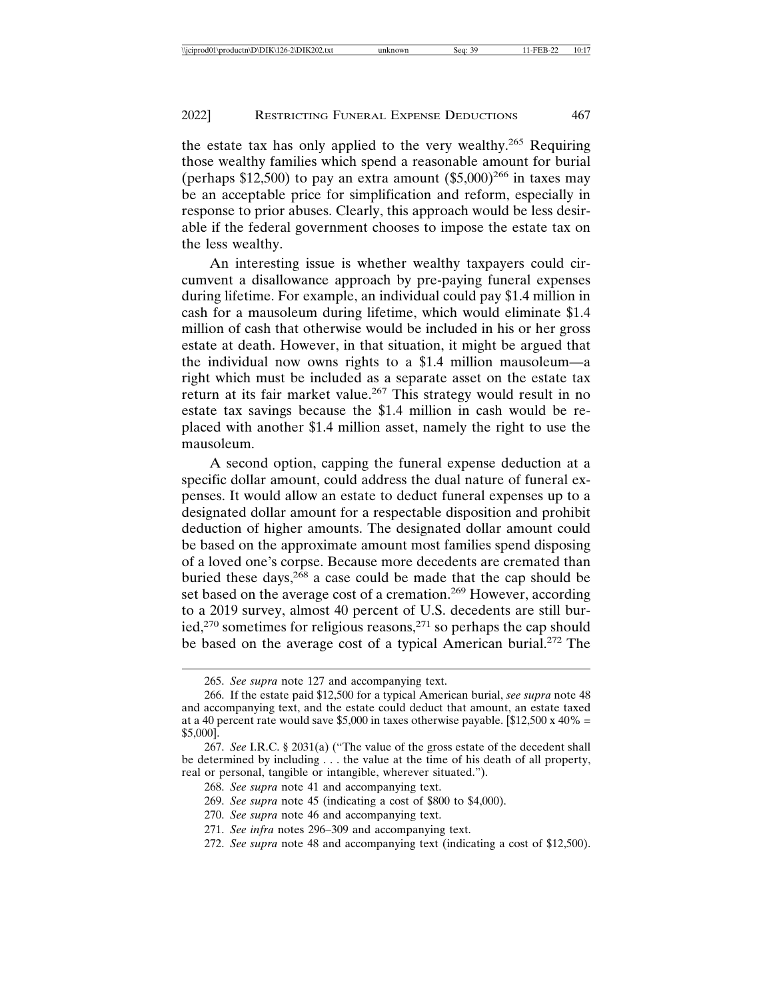the estate tax has only applied to the very wealthy.<sup>265</sup> Requiring those wealthy families which spend a reasonable amount for burial (perhaps  $$12,500$ ) to pay an extra amount  $$5,000$ <sup>266</sup> in taxes may be an acceptable price for simplification and reform, especially in response to prior abuses. Clearly, this approach would be less desirable if the federal government chooses to impose the estate tax on the less wealthy.

An interesting issue is whether wealthy taxpayers could circumvent a disallowance approach by pre-paying funeral expenses during lifetime. For example, an individual could pay \$1.4 million in cash for a mausoleum during lifetime, which would eliminate \$1.4 million of cash that otherwise would be included in his or her gross estate at death. However, in that situation, it might be argued that the individual now owns rights to a \$1.4 million mausoleum—a right which must be included as a separate asset on the estate tax return at its fair market value.<sup>267</sup> This strategy would result in no estate tax savings because the \$1.4 million in cash would be replaced with another \$1.4 million asset, namely the right to use the mausoleum.

A second option, capping the funeral expense deduction at a specific dollar amount, could address the dual nature of funeral expenses. It would allow an estate to deduct funeral expenses up to a designated dollar amount for a respectable disposition and prohibit deduction of higher amounts. The designated dollar amount could be based on the approximate amount most families spend disposing of a loved one's corpse. Because more decedents are cremated than buried these days,  $268$  a case could be made that the cap should be set based on the average cost of a cremation.<sup>269</sup> However, according to a 2019 survey, almost 40 percent of U.S. decedents are still buried,<sup>270</sup> sometimes for religious reasons,<sup>271</sup> so perhaps the cap should be based on the average cost of a typical American burial.272 The

- 270. *See supra* note 46 and accompanying text.
- 271. *See infra* notes 296–309 and accompanying text.
- 272. *See supra* note 48 and accompanying text (indicating a cost of \$12,500).

<sup>265.</sup> *See supra* note 127 and accompanying text.

<sup>266.</sup> If the estate paid \$12,500 for a typical American burial, *see supra* note 48 and accompanying text, and the estate could deduct that amount, an estate taxed at a 40 percent rate would save \$5,000 in taxes otherwise payable. [\$12,500 x 40% = \$5,000].

<sup>267.</sup> *See* I.R.C. § 2031(a) ("The value of the gross estate of the decedent shall be determined by including . . . the value at the time of his death of all property, real or personal, tangible or intangible, wherever situated.").

<sup>268.</sup> *See supra* note 41 and accompanying text.

<sup>269.</sup> *See supra* note 45 (indicating a cost of \$800 to \$4,000).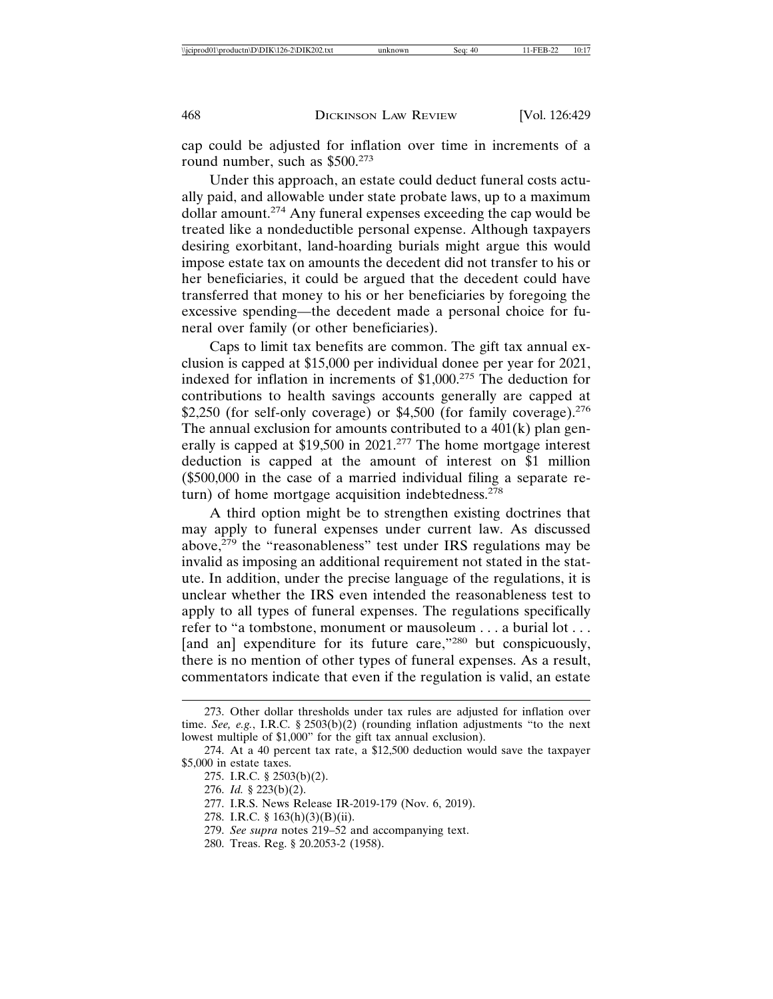cap could be adjusted for inflation over time in increments of a round number, such as  $$500.<sup>273</sup>$ 

Under this approach, an estate could deduct funeral costs actually paid, and allowable under state probate laws, up to a maximum dollar amount.274 Any funeral expenses exceeding the cap would be treated like a nondeductible personal expense. Although taxpayers desiring exorbitant, land-hoarding burials might argue this would impose estate tax on amounts the decedent did not transfer to his or her beneficiaries, it could be argued that the decedent could have transferred that money to his or her beneficiaries by foregoing the excessive spending—the decedent made a personal choice for funeral over family (or other beneficiaries).

Caps to limit tax benefits are common. The gift tax annual exclusion is capped at \$15,000 per individual donee per year for 2021, indexed for inflation in increments of \$1,000.275 The deduction for contributions to health savings accounts generally are capped at \$2,250 (for self-only coverage) or  $$4,500$  (for family coverage).<sup>276</sup> The annual exclusion for amounts contributed to a  $401(k)$  plan generally is capped at \$19,500 in 2021.277 The home mortgage interest deduction is capped at the amount of interest on \$1 million (\$500,000 in the case of a married individual filing a separate return) of home mortgage acquisition indebtedness. $278$ 

A third option might be to strengthen existing doctrines that may apply to funeral expenses under current law. As discussed above, $279$  the "reasonableness" test under IRS regulations may be invalid as imposing an additional requirement not stated in the statute. In addition, under the precise language of the regulations, it is unclear whether the IRS even intended the reasonableness test to apply to all types of funeral expenses. The regulations specifically refer to "a tombstone, monument or mausoleum . . . a burial lot . . . [and an] expenditure for its future care,"280 but conspicuously, there is no mention of other types of funeral expenses. As a result, commentators indicate that even if the regulation is valid, an estate

<sup>273.</sup> Other dollar thresholds under tax rules are adjusted for inflation over time. *See, e.g.*, I.R.C. § 2503(b)(2) (rounding inflation adjustments "to the next lowest multiple of \$1,000" for the gift tax annual exclusion).

<sup>274.</sup> At a 40 percent tax rate, a \$12,500 deduction would save the taxpayer \$5,000 in estate taxes.

<sup>275.</sup> I.R.C. § 2503(b)(2).

<sup>276.</sup> *Id.* § 223(b)(2).

<sup>277.</sup> I.R.S. News Release IR-2019-179 (Nov. 6, 2019).

<sup>278.</sup> I.R.C. § 163(h)(3)(B)(ii).

<sup>279.</sup> *See supra* notes 219–52 and accompanying text.

<sup>280.</sup> Treas. Reg. § 20.2053-2 (1958).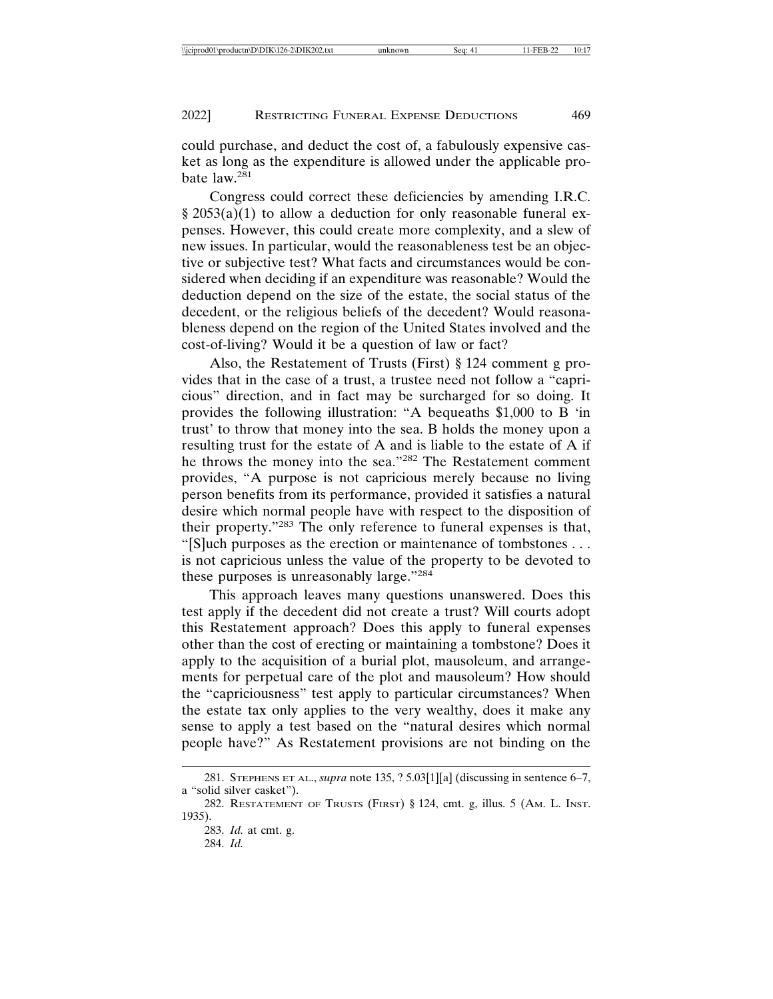could purchase, and deduct the cost of, a fabulously expensive casket as long as the expenditure is allowed under the applicable probate law.<sup>281</sup>

Congress could correct these deficiencies by amending I.R.C.  $\frac{\sqrt{2053(a)(1)}}{2053(a)(1)}$  to allow a deduction for only reasonable funeral expenses. However, this could create more complexity, and a slew of new issues. In particular, would the reasonableness test be an objective or subjective test? What facts and circumstances would be considered when deciding if an expenditure was reasonable? Would the deduction depend on the size of the estate, the social status of the decedent, or the religious beliefs of the decedent? Would reasonableness depend on the region of the United States involved and the cost-of-living? Would it be a question of law or fact?

Also, the Restatement of Trusts (First) § 124 comment g provides that in the case of a trust, a trustee need not follow a "capricious" direction, and in fact may be surcharged for so doing. It provides the following illustration: "A bequeaths \$1,000 to B 'in trust' to throw that money into the sea. B holds the money upon a resulting trust for the estate of A and is liable to the estate of A if he throws the money into the sea."282 The Restatement comment provides, "A purpose is not capricious merely because no living person benefits from its performance, provided it satisfies a natural desire which normal people have with respect to the disposition of their property."283 The only reference to funeral expenses is that, "[S]uch purposes as the erection or maintenance of tombstones . . . is not capricious unless the value of the property to be devoted to these purposes is unreasonably large."<sup>284</sup>

This approach leaves many questions unanswered. Does this test apply if the decedent did not create a trust? Will courts adopt this Restatement approach? Does this apply to funeral expenses other than the cost of erecting or maintaining a tombstone? Does it apply to the acquisition of a burial plot, mausoleum, and arrangements for perpetual care of the plot and mausoleum? How should the "capriciousness" test apply to particular circumstances? When the estate tax only applies to the very wealthy, does it make any sense to apply a test based on the "natural desires which normal people have?" As Restatement provisions are not binding on the

<sup>281.</sup> STEPHENS ET AL., *supra* note 135, ? 5.03[1][a] (discussing in sentence 6–7, a "solid silver casket").

<sup>282.</sup> RESTATEMENT OF TRUSTS (FIRST) § 124, cmt. g, illus. 5 (AM. L. INST. 1935).

<sup>283.</sup> *Id.* at cmt. g.

<sup>284.</sup> *Id.*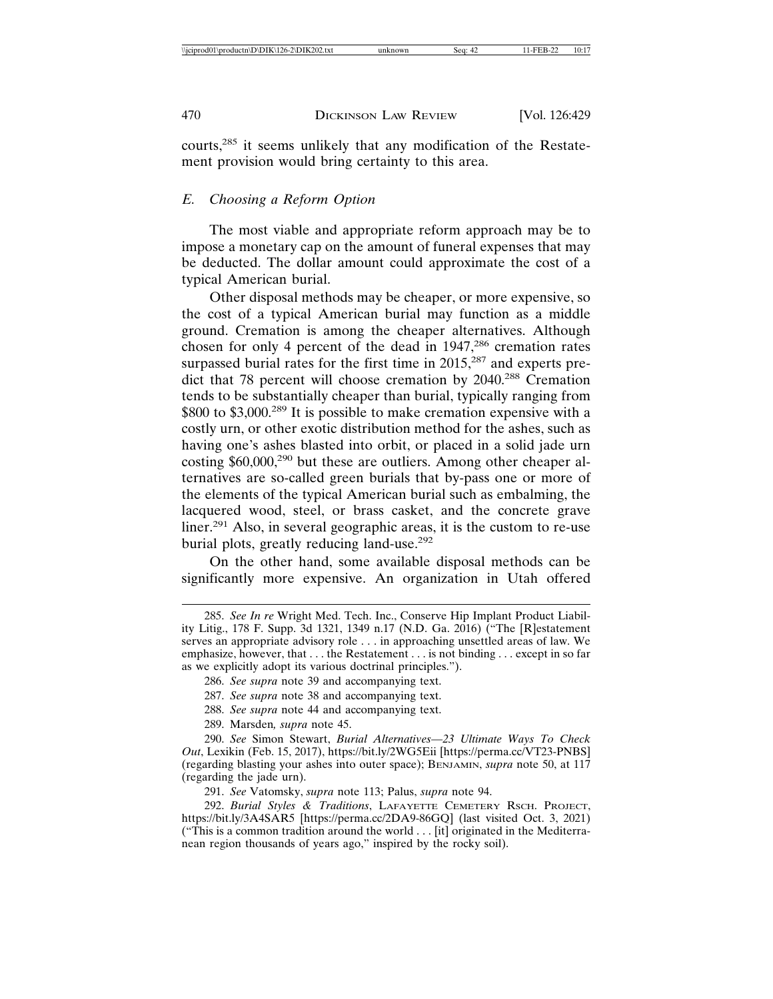courts,285 it seems unlikely that any modification of the Restatement provision would bring certainty to this area.

# *E. Choosing a Reform Option*

The most viable and appropriate reform approach may be to impose a monetary cap on the amount of funeral expenses that may be deducted. The dollar amount could approximate the cost of a typical American burial.

Other disposal methods may be cheaper, or more expensive, so the cost of a typical American burial may function as a middle ground. Cremation is among the cheaper alternatives. Although chosen for only 4 percent of the dead in 1947,<sup>286</sup> cremation rates surpassed burial rates for the first time in  $2015$ ,<sup>287</sup> and experts predict that 78 percent will choose cremation by 2040.288 Cremation tends to be substantially cheaper than burial, typically ranging from \$800 to \$3,000.<sup>289</sup> It is possible to make cremation expensive with a costly urn, or other exotic distribution method for the ashes, such as having one's ashes blasted into orbit, or placed in a solid jade urn costing \$60,000,<sup>290</sup> but these are outliers. Among other cheaper alternatives are so-called green burials that by-pass one or more of the elements of the typical American burial such as embalming, the lacquered wood, steel, or brass casket, and the concrete grave liner.291 Also, in several geographic areas, it is the custom to re-use burial plots, greatly reducing land-use.<sup>292</sup>

On the other hand, some available disposal methods can be significantly more expensive. An organization in Utah offered

- 288. *See supra* note 44 and accompanying text.
- 289. Marsden*, supra* note 45.

290. *See* Simon Stewart, *Burial Alternatives—23 Ultimate Ways To Check Out*, Lexikin (Feb. 15, 2017), https://bit.ly/2WG5Eii [https://perma.cc/VT23-PNBS] (regarding blasting your ashes into outer space); BENJAMIN, *supra* note 50, at 117 (regarding the jade urn).

291. *See* Vatomsky, *supra* note 113; Palus, *supra* note 94.

292. *Burial Styles & Traditions*, LAFAYETTE CEMETERY RSCH. PROJECT, https://bit.ly/3A4SAR5 [https://perma.cc/2DA9-86GQ] (last visited Oct. 3, 2021) ("This is a common tradition around the world . . . [it] originated in the Mediterranean region thousands of years ago," inspired by the rocky soil).

<sup>285.</sup> *See In re* Wright Med. Tech. Inc., Conserve Hip Implant Product Liability Litig., 178 F. Supp. 3d 1321, 1349 n.17 (N.D. Ga. 2016) ("The [R]estatement serves an appropriate advisory role . . . in approaching unsettled areas of law. We emphasize, however, that . . . the Restatement . . . is not binding . . . except in so far as we explicitly adopt its various doctrinal principles.").

<sup>286.</sup> *See supra* note 39 and accompanying text.

<sup>287.</sup> *See supra* note 38 and accompanying text.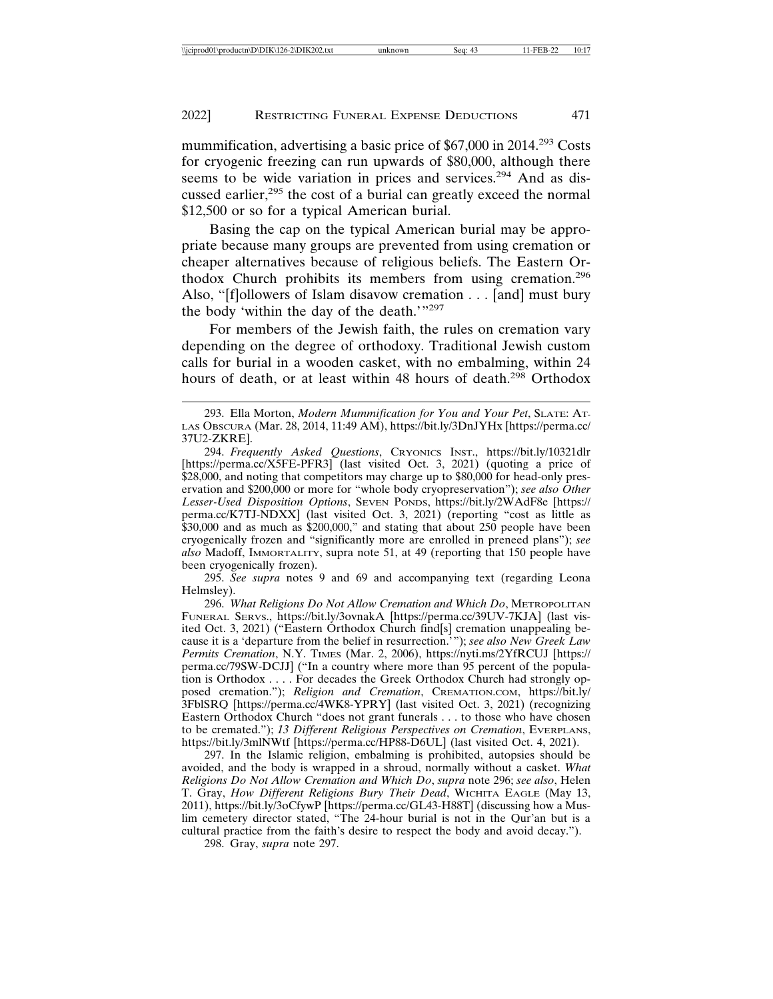mummification, advertising a basic price of \$67,000 in 2014.<sup>293</sup> Costs for cryogenic freezing can run upwards of \$80,000, although there seems to be wide variation in prices and services.<sup>294</sup> And as discussed earlier,<sup>295</sup> the cost of a burial can greatly exceed the normal \$12,500 or so for a typical American burial.

Basing the cap on the typical American burial may be appropriate because many groups are prevented from using cremation or cheaper alternatives because of religious beliefs. The Eastern Orthodox Church prohibits its members from using cremation.<sup>296</sup> Also, "[f]ollowers of Islam disavow cremation . . . [and] must bury the body 'within the day of the death.'"<sup>297</sup>

For members of the Jewish faith, the rules on cremation vary depending on the degree of orthodoxy. Traditional Jewish custom calls for burial in a wooden casket, with no embalming, within 24 hours of death, or at least within 48 hours of death.<sup>298</sup> Orthodox

295. *See supra* notes 9 and 69 and accompanying text (regarding Leona Helmsley).

296. *What Religions Do Not Allow Cremation and Which Do*, METROPOLITAN FUNERAL SERVS., https://bit.ly/3ovnakA [https://perma.cc/39UV-7KJA] (last visited Oct. 3, 2021) ("Eastern Orthodox Church find[s] cremation unappealing because it is a 'departure from the belief in resurrection.'"); *see also New Greek Law Permits Cremation*, N.Y. TIMES (Mar. 2, 2006), https://nyti.ms/2YfRCUJ [https:// perma.cc/79SW-DCJJ] ("In a country where more than 95 percent of the population is Orthodox . . . . For decades the Greek Orthodox Church had strongly opposed cremation."); *Religion and Cremation*, CREMATION.COM, https://bit.ly/ 3FblSRQ [https://perma.cc/4WK8-YPRY] (last visited Oct. 3, 2021) (recognizing Eastern Orthodox Church "does not grant funerals . . . to those who have chosen to be cremated."); *13 Different Religious Perspectives on Cremation*, EVERPLANS, https://bit.ly/3mlNWtf [https://perma.cc/HP88-D6UL] (last visited Oct. 4, 2021).

297. In the Islamic religion, embalming is prohibited, autopsies should be avoided, and the body is wrapped in a shroud, normally without a casket. *What Religions Do Not Allow Cremation and Which Do*, *supra* note 296; *see also*, Helen T. Gray, *How Different Religions Bury Their Dead*, WICHITA EAGLE (May 13, 2011), https://bit.ly/3oCfywP [https://perma.cc/GL43-H88T] (discussing how a Muslim cemetery director stated, "The 24-hour burial is not in the Qur'an but is a cultural practice from the faith's desire to respect the body and avoid decay.").

298. Gray, *supra* note 297.

<sup>293.</sup> Ella Morton, *Modern Mummification for You and Your Pet*, SLATE: AT-LAS OBSCURA (Mar. 28, 2014, 11:49 AM), https://bit.ly/3DnJYHx [https://perma.cc/ 37U2-ZKRE].

<sup>294.</sup> *Frequently Asked Questions*, CRYONICS INST., https://bit.ly/10321dlr [https://perma.cc/X5FE-PFR3] (last visited Oct. 3, 2021) (quoting a price of \$28,000, and noting that competitors may charge up to \$80,000 for head-only preservation and \$200,000 or more for "whole body cryopreservation"); *see also Other Lesser-Used Disposition Options*, SEVEN PONDS, https://bit.ly/2WAdF8e [https:// perma.cc/K7TJ-NDXX] (last visited Oct. 3, 2021) (reporting "cost as little as \$30,000 and as much as \$200,000," and stating that about 250 people have been cryogenically frozen and "significantly more are enrolled in preneed plans"); *see also* Madoff, IMMORTALITY, supra note 51, at 49 (reporting that 150 people have been cryogenically frozen).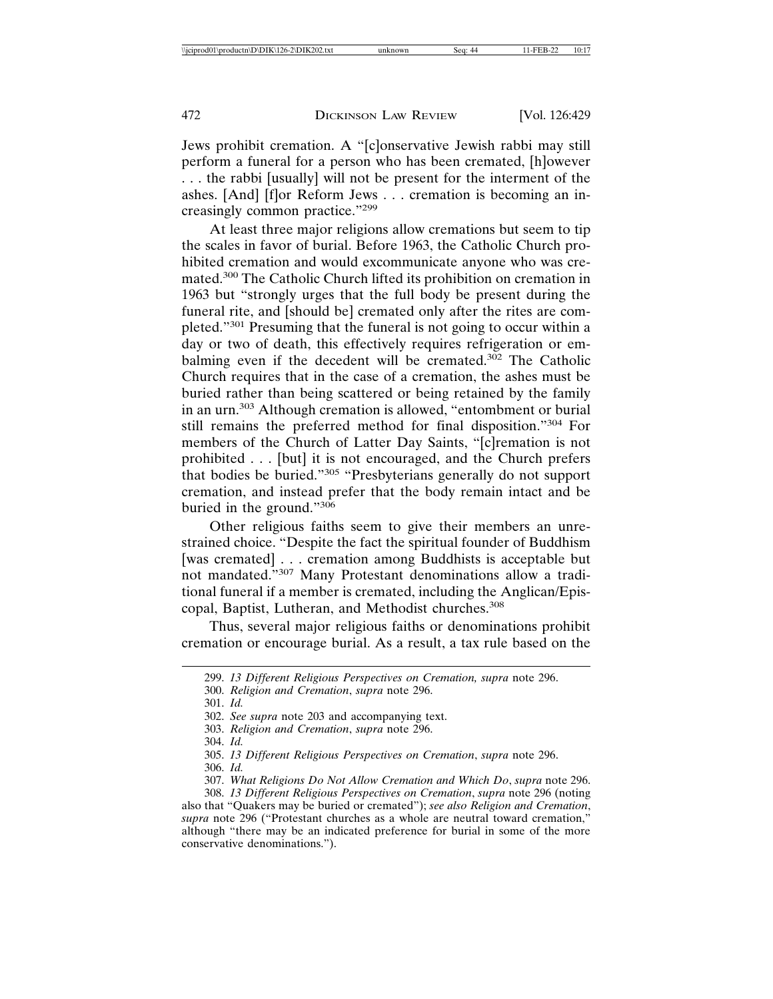Jews prohibit cremation. A "[c]onservative Jewish rabbi may still perform a funeral for a person who has been cremated, [h]owever . . . the rabbi [usually] will not be present for the interment of the ashes. [And] [f]or Reform Jews . . . cremation is becoming an increasingly common practice."<sup>299</sup>

At least three major religions allow cremations but seem to tip the scales in favor of burial. Before 1963, the Catholic Church prohibited cremation and would excommunicate anyone who was cremated.300 The Catholic Church lifted its prohibition on cremation in 1963 but "strongly urges that the full body be present during the funeral rite, and [should be] cremated only after the rites are completed."301 Presuming that the funeral is not going to occur within a day or two of death, this effectively requires refrigeration or embalming even if the decedent will be cremated.<sup>302</sup> The Catholic Church requires that in the case of a cremation, the ashes must be buried rather than being scattered or being retained by the family in an urn.303 Although cremation is allowed, "entombment or burial still remains the preferred method for final disposition."304 For members of the Church of Latter Day Saints, "[c]remation is not prohibited . . . [but] it is not encouraged, and the Church prefers that bodies be buried."305 "Presbyterians generally do not support cremation, and instead prefer that the body remain intact and be buried in the ground."<sup>306</sup>

Other religious faiths seem to give their members an unrestrained choice. "Despite the fact the spiritual founder of Buddhism [was cremated] . . . cremation among Buddhists is acceptable but not mandated."307 Many Protestant denominations allow a traditional funeral if a member is cremated, including the Anglican/Episcopal, Baptist, Lutheran, and Methodist churches.<sup>308</sup>

Thus, several major religious faiths or denominations prohibit cremation or encourage burial. As a result, a tax rule based on the

300. *Religion and Cremation*, *supra* note 296.

- 303. *Religion and Cremation*, *supra* note 296.
- 304. *Id.*
- 305. *13 Different Religious Perspectives on Cremation*, *supra* note 296.

306. *Id.*

<sup>299.</sup> *13 Different Religious Perspectives on Cremation, supra* note 296.

<sup>301.</sup> *Id.*

<sup>302.</sup> *See supra* note 203 and accompanying text.

<sup>307.</sup> *What Religions Do Not Allow Cremation and Which Do*, *supra* note 296.

<sup>308.</sup> *13 Different Religious Perspectives on Cremation*, *supra* note 296 (noting also that "Quakers may be buried or cremated"); *see also Religion and Cremation*, supra note 296 ("Protestant churches as a whole are neutral toward cremation," although "there may be an indicated preference for burial in some of the more conservative denominations.").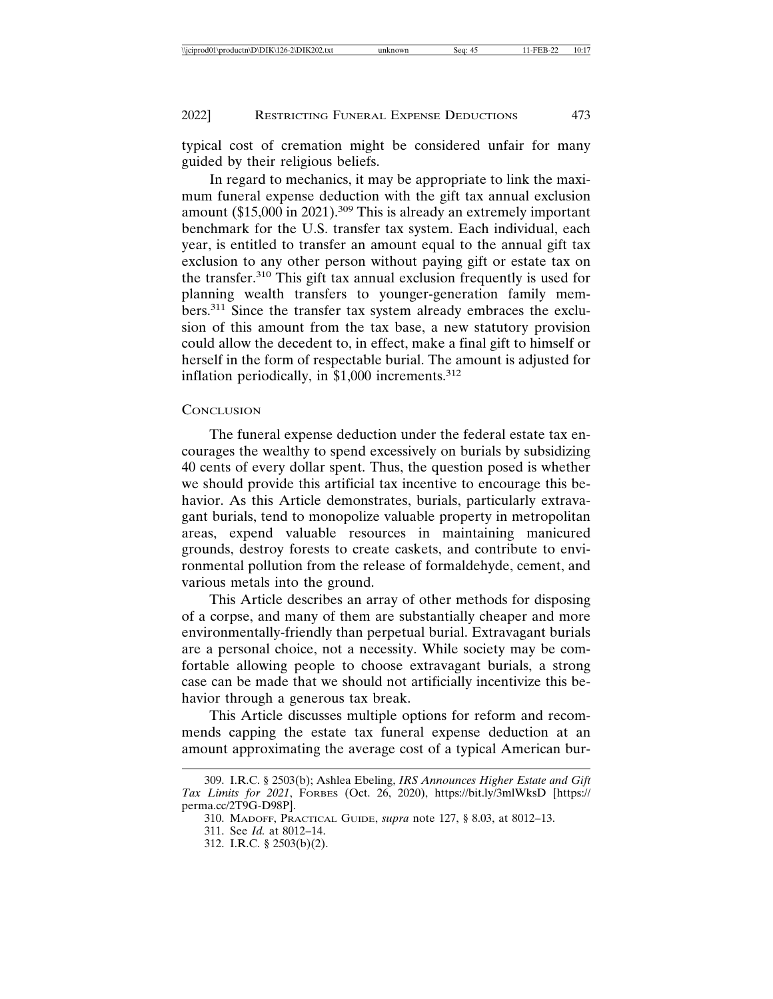typical cost of cremation might be considered unfair for many guided by their religious beliefs.

In regard to mechanics, it may be appropriate to link the maximum funeral expense deduction with the gift tax annual exclusion amount (\$15,000 in 2021).<sup>309</sup> This is already an extremely important benchmark for the U.S. transfer tax system. Each individual, each year, is entitled to transfer an amount equal to the annual gift tax exclusion to any other person without paying gift or estate tax on the transfer.310 This gift tax annual exclusion frequently is used for planning wealth transfers to younger-generation family members.<sup>311</sup> Since the transfer tax system already embraces the exclusion of this amount from the tax base, a new statutory provision could allow the decedent to, in effect, make a final gift to himself or herself in the form of respectable burial. The amount is adjusted for inflation periodically, in \$1,000 increments.<sup>312</sup>

#### **CONCLUSION**

The funeral expense deduction under the federal estate tax encourages the wealthy to spend excessively on burials by subsidizing 40 cents of every dollar spent. Thus, the question posed is whether we should provide this artificial tax incentive to encourage this behavior. As this Article demonstrates, burials, particularly extravagant burials, tend to monopolize valuable property in metropolitan areas, expend valuable resources in maintaining manicured grounds, destroy forests to create caskets, and contribute to environmental pollution from the release of formaldehyde, cement, and various metals into the ground.

This Article describes an array of other methods for disposing of a corpse, and many of them are substantially cheaper and more environmentally-friendly than perpetual burial. Extravagant burials are a personal choice, not a necessity. While society may be comfortable allowing people to choose extravagant burials, a strong case can be made that we should not artificially incentivize this behavior through a generous tax break.

This Article discusses multiple options for reform and recommends capping the estate tax funeral expense deduction at an amount approximating the average cost of a typical American bur-

<sup>309.</sup> I.R.C. § 2503(b); Ashlea Ebeling, *IRS Announces Higher Estate and Gift Tax Limits for 2021*, FORBES (Oct. 26, 2020), https://bit.ly/3mlWksD [https:// perma.cc/2T9G-D98P].

<sup>310.</sup> MADOFF, PRACTICAL GUIDE, *supra* note 127, § 8.03, at 8012–13.

<sup>311.</sup> See *Id.* at 8012–14.

<sup>312.</sup> I.R.C. § 2503(b)(2).